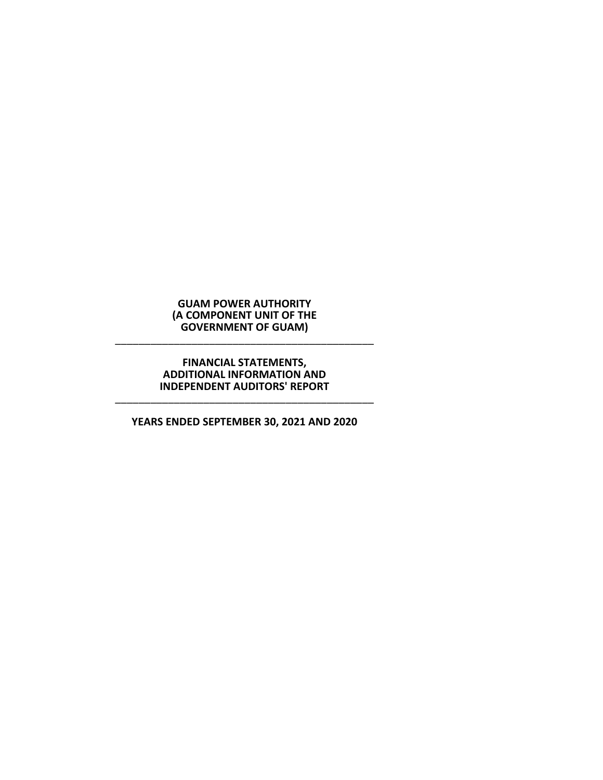\_\_\_\_\_\_\_\_\_\_\_\_\_\_\_\_\_\_\_\_\_\_\_\_\_\_\_\_\_\_\_\_\_\_\_\_\_\_\_\_\_\_\_\_

# **FINANCIAL STATEMENTS, ADDITIONAL INFORMATION AND INDEPENDENT AUDITORS' REPORT**

# **YEARS ENDED SEPTEMBER 30, 2021 AND 2020**

\_\_\_\_\_\_\_\_\_\_\_\_\_\_\_\_\_\_\_\_\_\_\_\_\_\_\_\_\_\_\_\_\_\_\_\_\_\_\_\_\_\_\_\_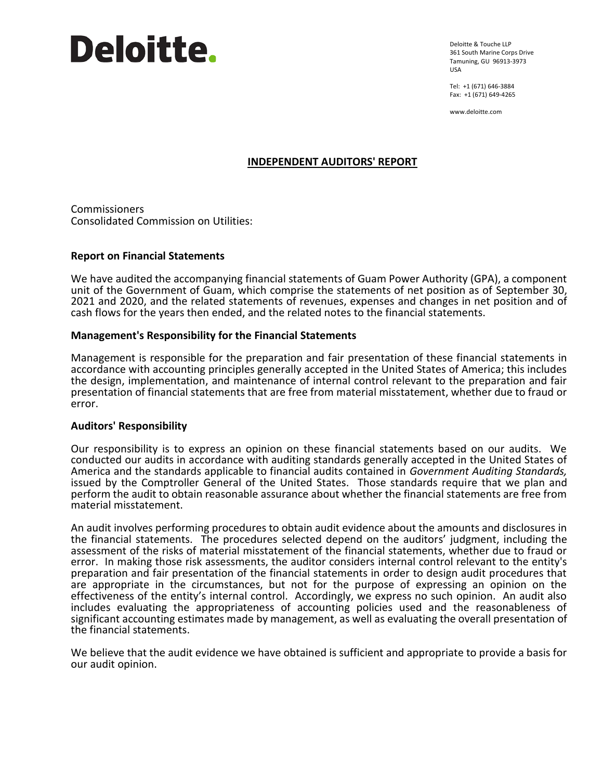# **Deloitte.**

Deloitte & Touche LLP 361 South Marine Corps Drive Tamuning, GU 96913-3973 USA

Tel: +1 (671) 646-3884 Fax: +1 (671) 649-4265

www.deloitte.com

# **INDEPENDENT AUDITORS' REPORT**

Commissioners Consolidated Commission on Utilities:

# **Report on Financial Statements**

We have audited the accompanying financial statements of Guam Power Authority (GPA), a component unit of the Government of Guam, which comprise the statements of net position as of September 30, 2021 and 2020, and the related statements of revenues, expenses and changes in net position and of cash flows for the years then ended, and the related notes to the financial statements.

# **Management's Responsibility for the Financial Statements**

Management is responsible for the preparation and fair presentation of these financial statements in accordance with accounting principles generally accepted in the United States of America; this includes the design, implementation, and maintenance of internal control relevant to the preparation and fair presentation of financial statements that are free from material misstatement, whether due to fraud or error.

# **Auditors' Responsibility**

Our responsibility is to express an opinion on these financial statements based on our audits. We conducted our audits in accordance with auditing standards generally accepted in the United States of America and the standards applicable to financial audits contained in *Government Auditing Standards,*  issued by the Comptroller General of the United States. Those standards require that we plan and perform the audit to obtain reasonable assurance about whether the financial statements are free from material misstatement.

An audit involves performing procedures to obtain audit evidence about the amounts and disclosures in the financial statements. The procedures selected depend on the auditors' judgment, including the assessment of the risks of material misstatement of the financial statements, whether due to fraud or error. In making those risk assessments, the auditor considers internal control relevant to the entity's preparation and fair presentation of the financial statements in order to design audit procedures that are appropriate in the circumstances, but not for the purpose of expressing an opinion on the effectiveness of the entity's internal control. Accordingly, we express no such opinion. An audit also includes evaluating the appropriateness of accounting policies used and the reasonableness of significant accounting estimates made by management, as well as evaluating the overall presentation of the financial statements.

We believe that the audit evidence we have obtained is sufficient and appropriate to provide a basis for our audit opinion.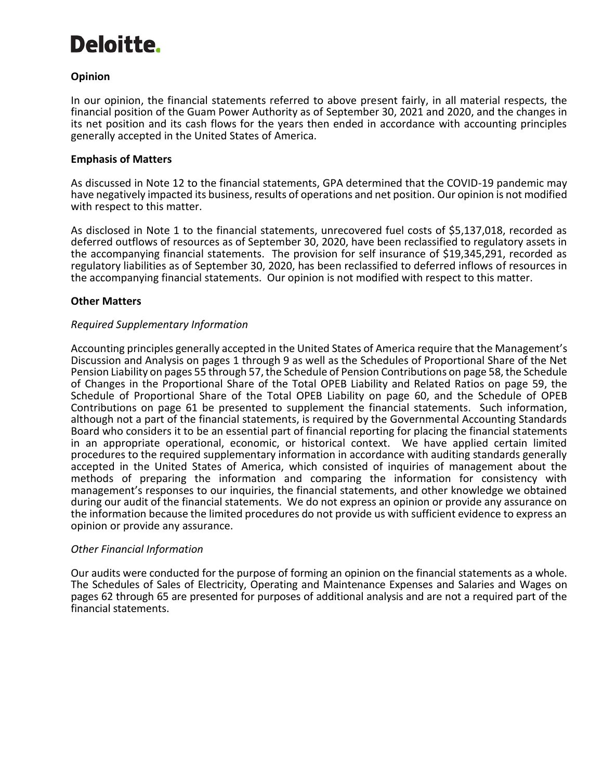# Deloitte.

# **Opinion**

In our opinion, the financial statements referred to above present fairly, in all material respects, the financial position of the Guam Power Authority as of September 30, 2021 and 2020, and the changes in its net position and its cash flows for the years then ended in accordance with accounting principles generally accepted in the United States of America.

# **Emphasis of Matters**

As discussed in Note 12 to the financial statements, GPA determined that the COVID-19 pandemic may have negatively impacted its business, results of operations and net position. Our opinion is not modified with respect to this matter.

As disclosed in Note 1 to the financial statements, unrecovered fuel costs of \$5,137,018, recorded as deferred outflows of resources as of September 30, 2020, have been reclassified to regulatory assets in the accompanying financial statements. The provision for self insurance of \$19,345,291, recorded as regulatory liabilities as of September 30, 2020, has been reclassified to deferred inflows of resources in the accompanying financial statements. Our opinion is not modified with respect to this matter.

# **Other Matters**

# *Required Supplementary Information*

Accounting principles generally accepted in the United States of America require that the Management's Discussion and Analysis on pages 1 through 9 as well as the Schedules of Proportional Share of the Net Pension Liability on pages 55 through 57, the Schedule of Pension Contributions on page 58, the Schedule of Changes in the Proportional Share of the Total OPEB Liability and Related Ratios on page 59, the Schedule of Proportional Share of the Total OPEB Liability on page 60, and the Schedule of OPEB Contributions on page 61 be presented to supplement the financial statements. Such information, although not a part of the financial statements, is required by the Governmental Accounting Standards Board who considers it to be an essential part of financial reporting for placing the financial statements in an appropriate operational, economic, or historical context. We have applied certain limited procedures to the required supplementary information in accordance with auditing standards generally accepted in the United States of America, which consisted of inquiries of management about the methods of preparing the information and comparing the information for consistency with management's responses to our inquiries, the financial statements, and other knowledge we obtained during our audit of the financial statements. We do not express an opinion or provide any assurance on the information because the limited procedures do not provide us with sufficient evidence to express an opinion or provide any assurance.

# *Other Financial Information*

Our audits were conducted for the purpose of forming an opinion on the financial statements as a whole. The Schedules of Sales of Electricity, Operating and Maintenance Expenses and Salaries and Wages on pages 62 through 65 are presented for purposes of additional analysis and are not a required part of the financial statements.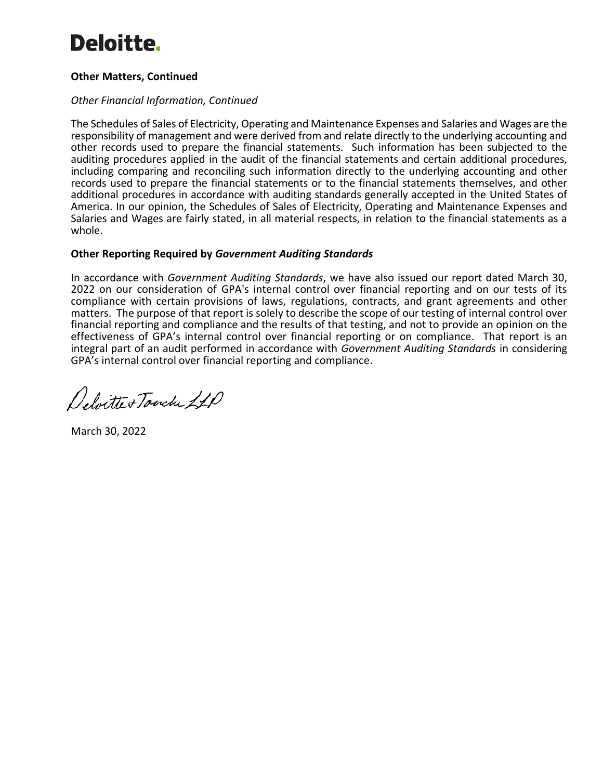# **Deloitte.**

# **Other Matters, Continued**

# *Other Financial Information, Continued*

The Schedules of Sales of Electricity, Operating and Maintenance Expenses and Salaries and Wages are the responsibility of management and were derived from and relate directly to the underlying accounting and other records used to prepare the financial statements. Such information has been subjected to the auditing procedures applied in the audit of the financial statements and certain additional procedures, including comparing and reconciling such information directly to the underlying accounting and other records used to prepare the financial statements or to the financial statements themselves, and other additional procedures in accordance with auditing standards generally accepted in the United States of America. In our opinion, the Schedules of Sales of Electricity, Operating and Maintenance Expenses and Salaries and Wages are fairly stated, in all material respects, in relation to the financial statements as a whole.

# **Other Reporting Required by** *Government Auditing Standards*

In accordance with *Government Auditing Standards*, we have also issued our report dated March 30, 2022 on our consideration of GPA's internal control over financial reporting and on our tests of its compliance with certain provisions of laws, regulations, contracts, and grant agreements and other matters. The purpose of that report is solely to describe the scope of our testing of internal control over financial reporting and compliance and the results of that testing, and not to provide an opinion on the effectiveness of GPA's internal control over financial reporting or on compliance. That report is an integral part of an audit performed in accordance with *Government Auditing Standards* in considering GPA's internal control over financial reporting and compliance.

Deloitte + Touche 21P

March 30, 2022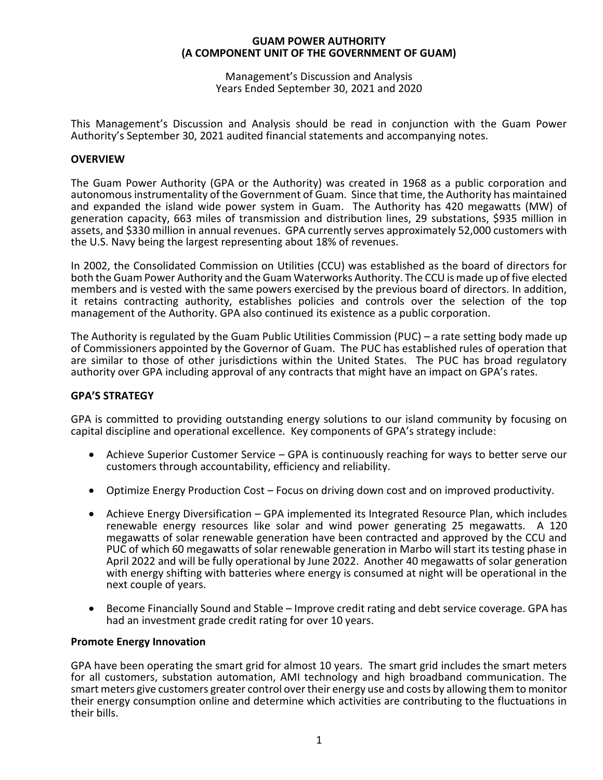Management's Discussion and Analysis Years Ended September 30, 2021 and 2020

This Management's Discussion and Analysis should be read in conjunction with the Guam Power Authority's September 30, 2021 audited financial statements and accompanying notes.

# **OVERVIEW**

The Guam Power Authority (GPA or the Authority) was created in 1968 as a public corporation and autonomous instrumentality of the Government of Guam. Since that time, the Authority has maintained and expanded the island wide power system in Guam. The Authority has 420 megawatts (MW) of generation capacity, 663 miles of transmission and distribution lines, 29 substations, \$935 million in assets, and \$330 million in annual revenues. GPA currently serves approximately 52,000 customers with the U.S. Navy being the largest representing about 18% of revenues.

In 2002, the Consolidated Commission on Utilities (CCU) was established as the board of directors for both the Guam Power Authority and the Guam Waterworks Authority. The CCU is made up of five elected members and is vested with the same powers exercised by the previous board of directors. In addition, it retains contracting authority, establishes policies and controls over the selection of the top management of the Authority. GPA also continued its existence as a public corporation.

The Authority is regulated by the Guam Public Utilities Commission (PUC) – a rate setting body made up of Commissioners appointed by the Governor of Guam. The PUC has established rules of operation that are similar to those of other jurisdictions within the United States. The PUC has broad regulatory authority over GPA including approval of any contracts that might have an impact on GPA's rates.

# **GPA'S STRATEGY**

GPA is committed to providing outstanding energy solutions to our island community by focusing on capital discipline and operational excellence. Key components of GPA's strategy include:

- Achieve Superior Customer Service GPA is continuously reaching for ways to better serve our customers through accountability, efficiency and reliability.
- Optimize Energy Production Cost Focus on driving down cost and on improved productivity.
- Achieve Energy Diversification GPA implemented its Integrated Resource Plan, which includes renewable energy resources like solar and wind power generating 25 megawatts. A 120 megawatts of solar renewable generation have been contracted and approved by the CCU and PUC of which 60 megawatts of solar renewable generation in Marbo will start its testing phase in April 2022 and will be fully operational by June 2022. Another 40 megawatts of solar generation with energy shifting with batteries where energy is consumed at night will be operational in the next couple of years.
- Become Financially Sound and Stable Improve credit rating and debt service coverage. GPA has had an investment grade credit rating for over 10 years.

# **Promote Energy Innovation**

GPA have been operating the smart grid for almost 10 years. The smart grid includes the smart meters for all customers, substation automation, AMI technology and high broadband communication. The smart meters give customers greater control over their energy use and costs by allowing them to monitor their energy consumption online and determine which activities are contributing to the fluctuations in their bills.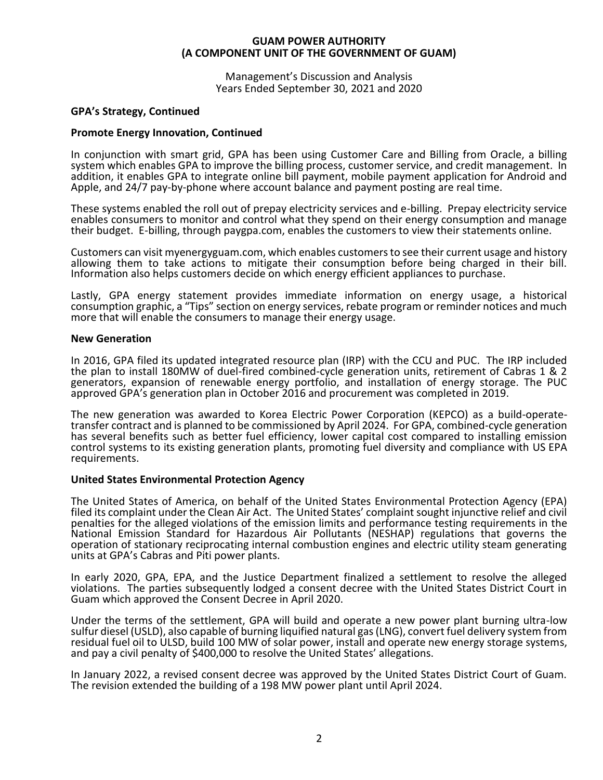Management's Discussion and Analysis Years Ended September 30, 2021 and 2020

# **GPA's Strategy, Continued**

# **Promote Energy Innovation, Continued**

In conjunction with smart grid, GPA has been using Customer Care and Billing from Oracle, a billing system which enables GPA to improve the billing process, customer service, and credit management. In addition, it enables GPA to integrate online bill payment, mobile payment application for Android and Apple, and 24/7 pay-by-phone where account balance and payment posting are real time.

These systems enabled the roll out of prepay electricity services and e-billing. Prepay electricity service enables consumers to monitor and control what they spend on their energy consumption and manage their budget. E-billing, through paygpa.com, enables the customers to view their statements online.

Customers can visit myenergyguam.com, which enables customers to see their current usage and history allowing them to take actions to mitigate their consumption before being charged in their bill. Information also helps customers decide on which energy efficient appliances to purchase.

Lastly, GPA energy statement provides immediate information on energy usage, a historical consumption graphic, a "Tips" section on energy services, rebate program or reminder notices and much more that will enable the consumers to manage their energy usage.

# **New Generation**

In 2016, GPA filed its updated integrated resource plan (IRP) with the CCU and PUC. The IRP included the plan to install 180MW of duel-fired combined-cycle generation units, retirement of Cabras 1 & 2 generators, expansion of renewable energy portfolio, and installation of energy storage. The PUC approved GPA's generation plan in October 2016 and procurement was completed in 2019.

The new generation was awarded to Korea Electric Power Corporation (KEPCO) as a build-operatetransfer contract and is planned to be commissioned by April 2024. For GPA, combined-cycle generation has several benefits such as better fuel efficiency, lower capital cost compared to installing emission control systems to its existing generation plants, promoting fuel diversity and compliance with US EPA requirements.

# **United States Environmental Protection Agency**

The United States of America, on behalf of the United States Environmental Protection Agency (EPA) filed its complaint under the Clean Air Act. The United States' complaint sought injunctive relief and civil penalties for the alleged violations of the emission limits and performance testing requirements in the National Emission Standard for Hazardous Air Pollutants (NESHAP) regulations that governs the operation of stationary reciprocating internal combustion engines and electric utility steam generating units at GPA's Cabras and Piti power plants.

In early 2020, GPA, EPA, and the Justice Department finalized a settlement to resolve the alleged violations. The parties subsequently lodged a consent decree with the United States District Court in Guam which approved the Consent Decree in April 2020.

Under the terms of the settlement, GPA will build and operate a new power plant burning ultra-low sulfur diesel (USLD), also capable of burning liquified natural gas (LNG), convert fuel delivery system from residual fuel oil to ULSD, build 100 MW of solar power, install and operate new energy storage systems, and pay a civil penalty of \$400,000 to resolve the United States' allegations.

In January 2022, a revised consent decree was approved by the United States District Court of Guam. The revision extended the building of a 198 MW power plant until April 2024.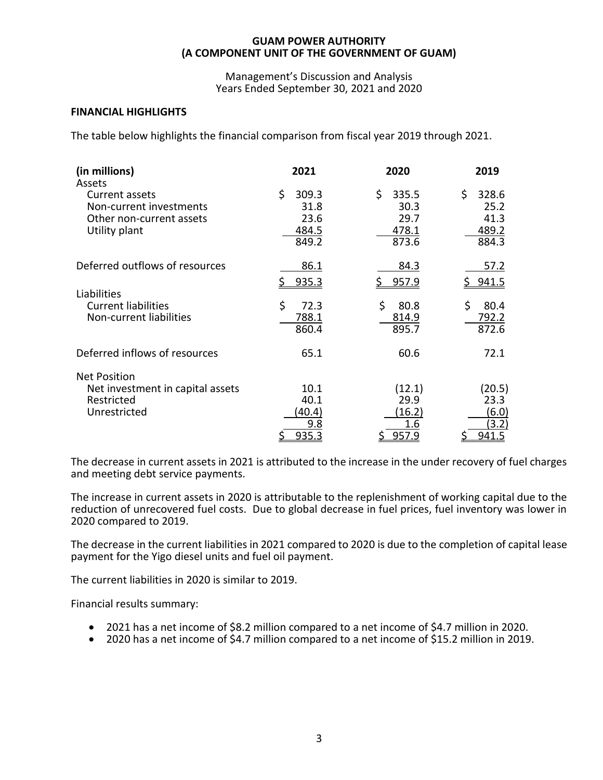Management's Discussion and Analysis Years Ended September 30, 2021 and 2020

# **FINANCIAL HIGHLIGHTS**

The table below highlights the financial comparison from fiscal year 2019 through 2021.

| (in millions)<br>Assets                                                                | 2021                                           | 2020                                           | 2019                                          |
|----------------------------------------------------------------------------------------|------------------------------------------------|------------------------------------------------|-----------------------------------------------|
| Current assets<br>Non-current investments<br>Other non-current assets<br>Utility plant | \$.<br>309.3<br>31.8<br>23.6<br>484.5<br>849.2 | \$.<br>335.5<br>30.3<br>29.7<br>478.1<br>873.6 | \$<br>328.6<br>25.2<br>41.3<br>489.2<br>884.3 |
| Deferred outflows of resources                                                         | 86.1<br>935.3                                  | <u>84.3</u><br>957.9                           | <u>57.2</u><br><u>\$941.5</u>                 |
| Liabilities<br><b>Current liabilities</b><br>Non-current liabilities                   | \$<br>72.3<br>788.1<br>860.4                   | \$<br>80.8<br>814.9<br>895.7                   | \$<br>80.4<br>792.2<br>872.6                  |
| Deferred inflows of resources                                                          | 65.1                                           | 60.6                                           | 72.1                                          |
| <b>Net Position</b><br>Net investment in capital assets<br>Restricted<br>Unrestricted  | 10.1<br>40.1<br>(40.4)<br>9.8<br>935.3         | (12.1)<br>29.9<br>(16.2)<br>1.6<br>957.9       | (20.5)<br>23.3<br>(6.0)<br>(3.2)<br>941.5     |

The decrease in current assets in 2021 is attributed to the increase in the under recovery of fuel charges and meeting debt service payments.

The increase in current assets in 2020 is attributable to the replenishment of working capital due to the reduction of unrecovered fuel costs. Due to global decrease in fuel prices, fuel inventory was lower in 2020 compared to 2019.

The decrease in the current liabilities in 2021 compared to 2020 is due to the completion of capital lease payment for the Yigo diesel units and fuel oil payment.

The current liabilities in 2020 is similar to 2019.

Financial results summary:

- 2021 has a net income of \$8.2 million compared to a net income of \$4.7 million in 2020.
- 2020 has a net income of \$4.7 million compared to a net income of \$15.2 million in 2019.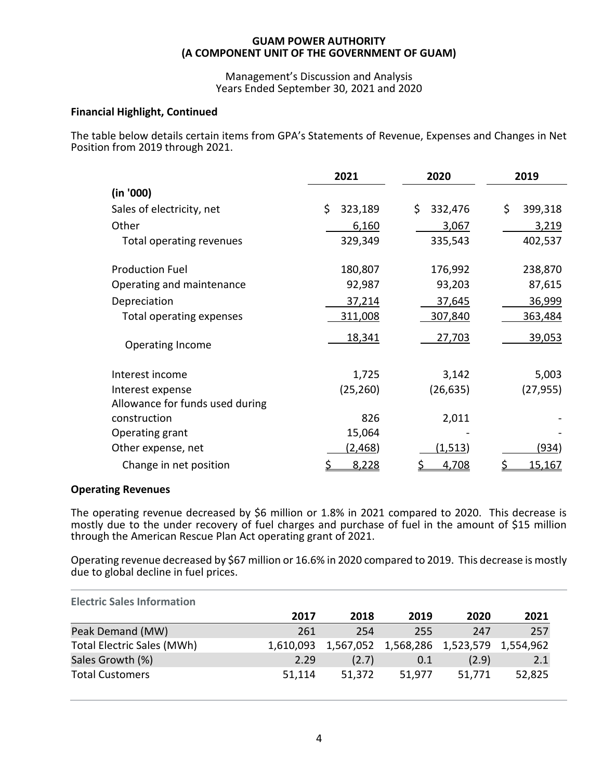Management's Discussion and Analysis Years Ended September 30, 2021 and 2020

# **Financial Highlight, Continued**

The table below details certain items from GPA's Statements of Revenue, Expenses and Changes in Net Position from 2019 through 2021.

|                                 | 2021          | 2020          | 2019          |
|---------------------------------|---------------|---------------|---------------|
| (in '000)                       |               |               |               |
| Sales of electricity, net       | \$<br>323,189 | \$<br>332,476 | \$<br>399,318 |
| Other                           | 6,160         | 3,067         | 3,219         |
| Total operating revenues        | 329,349       | 335,543       | 402,537       |
| <b>Production Fuel</b>          | 180,807       | 176,992       | 238,870       |
| Operating and maintenance       | 92,987        | 93,203        | 87,615        |
| Depreciation                    | 37,214        | 37,645        | 36,999        |
| Total operating expenses        | 311,008       | 307,840       | 363,484       |
| Operating Income                | <u>18,341</u> | 27,703        | 39,053        |
| Interest income                 | 1,725         | 3,142         | 5,003         |
| Interest expense                | (25, 260)     | (26, 635)     | (27, 955)     |
| Allowance for funds used during |               |               |               |
| construction                    | 826           | 2,011         |               |
| Operating grant                 | 15,064        |               |               |
| Other expense, net              | (2,468)       | (1,513)       | (934)         |
| Change in net position          | 8,228         | <u>4,708</u>  | <u>15,167</u> |

# **Operating Revenues**

The operating revenue decreased by \$6 million or 1.8% in 2021 compared to 2020. This decrease is mostly due to the under recovery of fuel charges and purchase of fuel in the amount of \$15 million through the American Rescue Plan Act operating grant of 2021.

Operating revenue decreased by \$67 million or 16.6% in 2020 compared to 2019. This decrease is mostly due to global decline in fuel prices.

| <b>Electric Sales Information</b> |           |        |                                         |        |        |
|-----------------------------------|-----------|--------|-----------------------------------------|--------|--------|
|                                   | 2017      | 2018   | 2019                                    | 2020   | 2021   |
| Peak Demand (MW)                  | 261       | 254    | 255                                     | 247    | 257    |
| <b>Total Electric Sales (MWh)</b> | 1,610,093 |        | 1,567,052 1,568,286 1,523,579 1,554,962 |        |        |
| Sales Growth (%)                  | 2.29      | (2.7)  | 0.1                                     | (2.9)  | 2.1    |
| <b>Total Customers</b>            | 51,114    | 51,372 | 51,977                                  | 51,771 | 52,825 |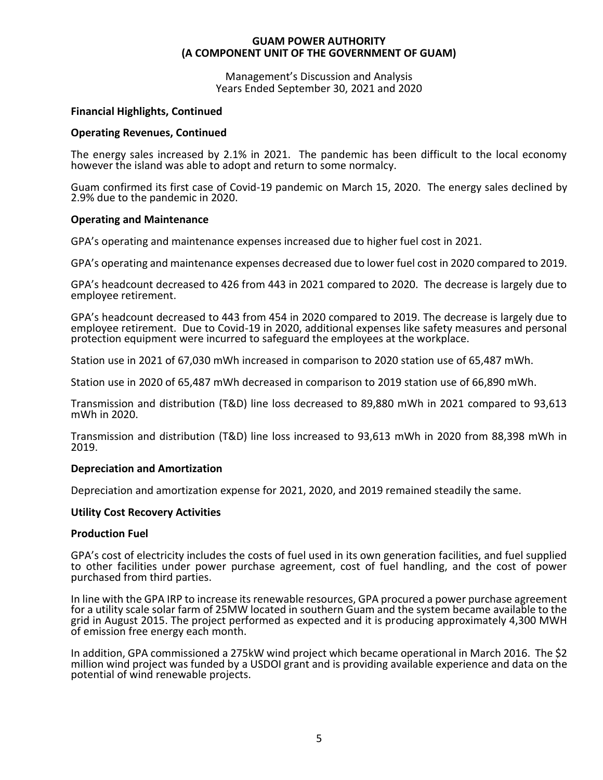Management's Discussion and Analysis Years Ended September 30, 2021 and 2020

# **Financial Highlights, Continued**

# **Operating Revenues, Continued**

The energy sales increased by 2.1% in 2021. The pandemic has been difficult to the local economy however the island was able to adopt and return to some normalcy.

Guam confirmed its first case of Covid-19 pandemic on March 15, 2020. The energy sales declined by 2.9% due to the pandemic in 2020.

# **Operating and Maintenance**

GPA's operating and maintenance expenses increased due to higher fuel cost in 2021.

GPA's operating and maintenance expenses decreased due to lower fuel cost in 2020 compared to 2019.

GPA's headcount decreased to 426 from 443 in 2021 compared to 2020. The decrease is largely due to employee retirement.

GPA's headcount decreased to 443 from 454 in 2020 compared to 2019. The decrease is largely due to employee retirement. Due to Covid-19 in 2020, additional expenses like safety measures and personal protection equipment were incurred to safeguard the employees at the workplace.

Station use in 2021 of 67,030 mWh increased in comparison to 2020 station use of 65,487 mWh.

Station use in 2020 of 65,487 mWh decreased in comparison to 2019 station use of 66,890 mWh.

Transmission and distribution (T&D) line loss decreased to 89,880 mWh in 2021 compared to 93,613 mWh in 2020.

Transmission and distribution (T&D) line loss increased to 93,613 mWh in 2020 from 88,398 mWh in 2019.

# **Depreciation and Amortization**

Depreciation and amortization expense for 2021, 2020, and 2019 remained steadily the same.

# **Utility Cost Recovery Activities**

# **Production Fuel**

GPA's cost of electricity includes the costs of fuel used in its own generation facilities, and fuel supplied to other facilities under power purchase agreement, cost of fuel handling, and the cost of power purchased from third parties.

In line with the GPA IRP to increase its renewable resources, GPA procured a power purchase agreement for a utility scale solar farm of 25MW located in southern Guam and the system became available to the grid in August 2015. The project performed as expected and it is producing approximately 4,300 MWH of emission free energy each month.

In addition, GPA commissioned a 275kW wind project which became operational in March 2016. The \$2 million wind project was funded by a USDOI grant and is providing available experience and data on the potential of wind renewable projects.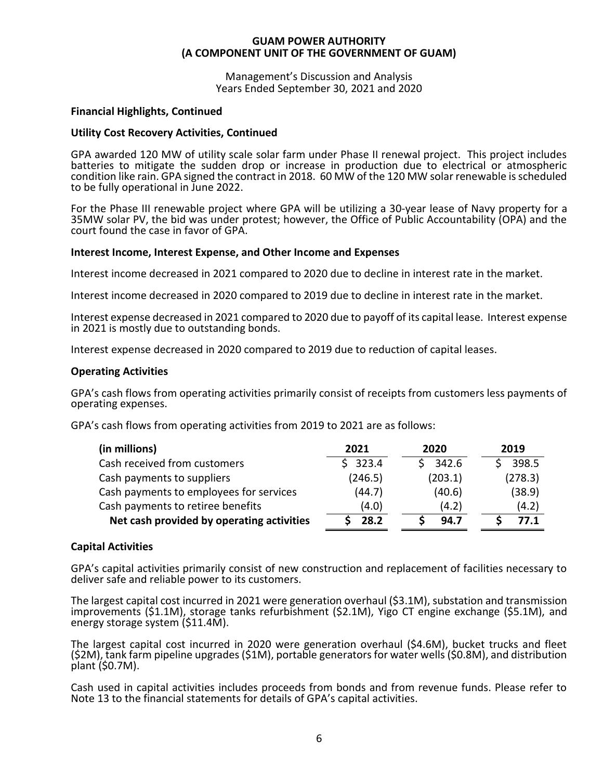Management's Discussion and Analysis Years Ended September 30, 2021 and 2020

# **Financial Highlights, Continued**

# **Utility Cost Recovery Activities, Continued**

GPA awarded 120 MW of utility scale solar farm under Phase II renewal project. This project includes batteries to mitigate the sudden drop or increase in production due to electrical or atmospheric condition like rain. GPA signed the contract in 2018. 60 MW of the 120 MW solar renewable is scheduled to be fully operational in June 2022.

For the Phase III renewable project where GPA will be utilizing a 30-year lease of Navy property for a 35MW solar PV, the bid was under protest; however, the Office of Public Accountability (OPA) and the court found the case in favor of GPA.

# **Interest Income, Interest Expense, and Other Income and Expenses**

Interest income decreased in 2021 compared to 2020 due to decline in interest rate in the market.

Interest income decreased in 2020 compared to 2019 due to decline in interest rate in the market.

Interest expense decreased in 2021 compared to 2020 due to payoff of its capital lease. Interest expense in 2021 is mostly due to outstanding bonds.

Interest expense decreased in 2020 compared to 2019 due to reduction of capital leases.

# **Operating Activities**

GPA's cash flows from operating activities primarily consist of receipts from customers less payments of operating expenses.

GPA's cash flows from operating activities from 2019 to 2021 are as follows:

| (in millions)                             | 2021    | 2020    | 2019    |
|-------------------------------------------|---------|---------|---------|
| Cash received from customers              | \$323.4 | 342.6   | 398.5   |
| Cash payments to suppliers                | (246.5) | (203.1) | (278.3) |
| Cash payments to employees for services   | (44.7)  | (40.6)  | (38.9)  |
| Cash payments to retiree benefits         | (4.0)   | (4.2)   | (4.2)   |
| Net cash provided by operating activities | 28.2    | 94.7    | 77.1    |

# **Capital Activities**

GPA's capital activities primarily consist of new construction and replacement of facilities necessary to deliver safe and reliable power to its customers.

The largest capital cost incurred in 2021 were generation overhaul (\$3.1M), substation and transmission improvements (\$1.1M), storage tanks refurbishment (\$2.1M), Yigo CT engine exchange (\$5.1M), and energy storage system (\$11.4M).

The largest capital cost incurred in 2020 were generation overhaul (\$4.6M), bucket trucks and fleet (\$2M), tank farm pipeline upgrades (\$1M), portable generators for water wells (\$0.8M), and distribution plant (\$0.7M).

Cash used in capital activities includes proceeds from bonds and from revenue funds. Please refer to Note 13 to the financial statements for details of GPA's capital activities.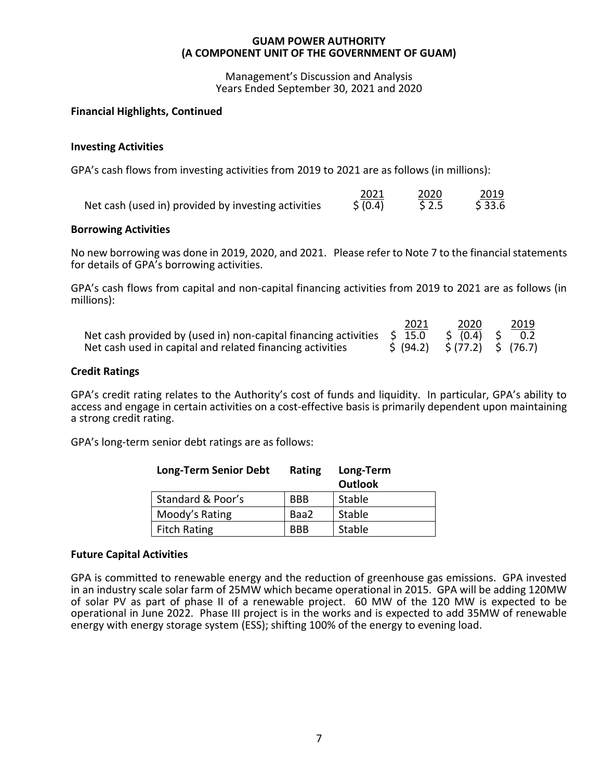Management's Discussion and Analysis Years Ended September 30, 2021 and 2020

# **Financial Highlights, Continued**

# **Investing Activities**

GPA's cash flows from investing activities from 2019 to 2021 are as follows (in millions):

|                                                     | 2021     |       | 2019   |
|-----------------------------------------------------|----------|-------|--------|
| Net cash (used in) provided by investing activities | \$ (0.4) | \$2.5 | \$33.6 |

# **Borrowing Activities**

No new borrowing was done in 2019, 2020, and 2021. Please refer to Note 7 to the financial statements for details of GPA's borrowing activities.

GPA's cash flows from capital and non-capital financing activities from 2019 to 2021 are as follows (in millions):

2021 2020 2019

|                                                                                                     | 2021                                                           | ∠∪∠∪ | ∠∪⊥ |
|-----------------------------------------------------------------------------------------------------|----------------------------------------------------------------|------|-----|
| Net cash provided by (used in) non-capital financing activities $\sin 15.0$ $\sin 10.4$ $\sin 10.4$ |                                                                |      | 0.2 |
| Net cash used in capital and related financing activities                                           | $\frac{1}{2}$ (94.2) $\frac{1}{2}$ (77.2) $\frac{1}{2}$ (76.7) |      |     |

# **Credit Ratings**

GPA's credit rating relates to the Authority's cost of funds and liquidity. In particular, GPA's ability to access and engage in certain activities on a cost-effective basis is primarily dependent upon maintaining a strong credit rating.

GPA's long-term senior debt ratings are as follows:

| <b>Long-Term Senior Debt</b> | Rating     | Long-Term |
|------------------------------|------------|-----------|
|                              |            | Outlook   |
| Standard & Poor's            | <b>BBB</b> | Stable    |
| Moody's Rating               | Baa2       | Stable    |
| Fitch Rating                 | <b>BBB</b> | Stable    |

# **Future Capital Activities**

GPA is committed to renewable energy and the reduction of greenhouse gas emissions. GPA invested in an industry scale solar farm of 25MW which became operational in 2015. GPA will be adding 120MW of solar PV as part of phase II of a renewable project. 60 MW of the 120 MW is expected to be operational in June 2022. Phase III project is in the works and is expected to add 35MW of renewable energy with energy storage system (ESS); shifting 100% of the energy to evening load.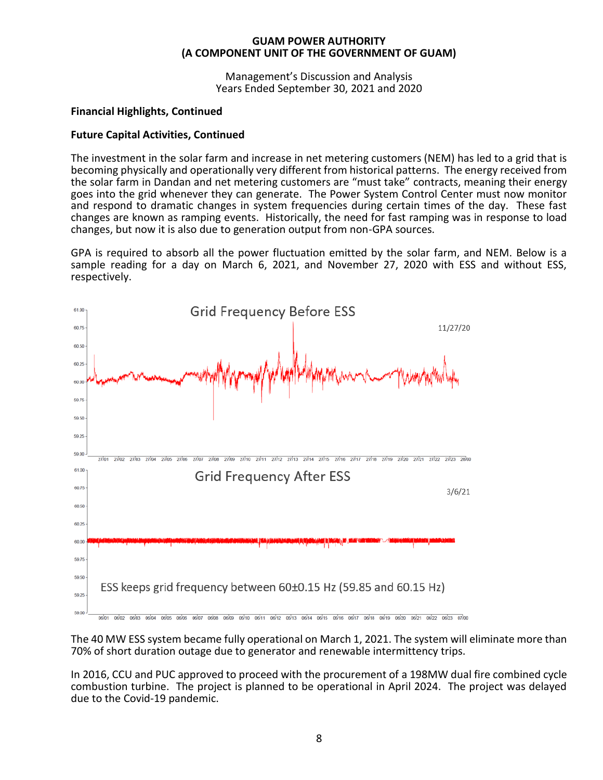Management's Discussion and Analysis Years Ended September 30, 2021 and 2020

# **Financial Highlights, Continued**

# **Future Capital Activities, Continued**

The investment in the solar farm and increase in net metering customers (NEM) has led to a grid that is becoming physically and operationally very different from historical patterns. The energy received from the solar farm in Dandan and net metering customers are "must take" contracts, meaning their energy goes into the grid whenever they can generate. The Power System Control Center must now monitor and respond to dramatic changes in system frequencies during certain times of the day. These fast changes are known as ramping events. Historically, the need for fast ramping was in response to load changes, but now it is also due to generation output from non-GPA sources.

GPA is required to absorb all the power fluctuation emitted by the solar farm, and NEM. Below is a sample reading for a day on March 6, 2021, and November 27, 2020 with ESS and without ESS, respectively.



The 40 MW ESS system became fully operational on March 1, 2021. The system will eliminate more than 70% of short duration outage due to generator and renewable intermittency trips.

In 2016, CCU and PUC approved to proceed with the procurement of a 198MW dual fire combined cycle combustion turbine. The project is planned to be operational in April 2024. The project was delayed due to the Covid-19 pandemic.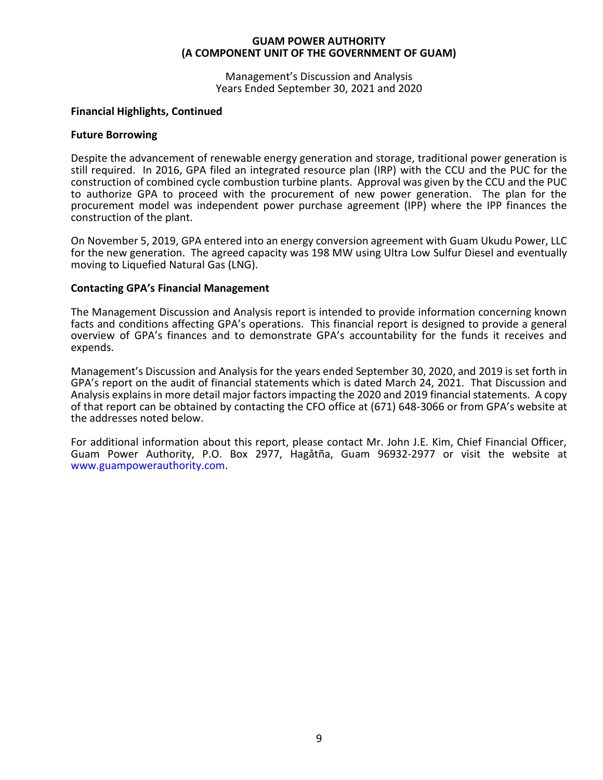Management's Discussion and Analysis Years Ended September 30, 2021 and 2020

# **Financial Highlights, Continued**

# **Future Borrowing**

Despite the advancement of renewable energy generation and storage, traditional power generation is still required. In 2016, GPA filed an integrated resource plan (IRP) with the CCU and the PUC for the construction of combined cycle combustion turbine plants. Approval was given by the CCU and the PUC to authorize GPA to proceed with the procurement of new power generation. The plan for the procurement model was independent power purchase agreement (IPP) where the IPP finances the construction of the plant.

On November 5, 2019, GPA entered into an energy conversion agreement with Guam Ukudu Power, LLC for the new generation. The agreed capacity was 198 MW using Ultra Low Sulfur Diesel and eventually moving to Liquefied Natural Gas (LNG).

# **Contacting GPA's Financial Management**

The Management Discussion and Analysis report is intended to provide information concerning known facts and conditions affecting GPA's operations. This financial report is designed to provide a general overview of GPA's finances and to demonstrate GPA's accountability for the funds it receives and expends.

Management's Discussion and Analysis for the years ended September 30, 2020, and 2019 is set forth in GPA's report on the audit of financial statements which is dated March 24, 2021. That Discussion and Analysis explains in more detail major factors impacting the 2020 and 2019 financial statements. A copy of that report can be obtained by contacting the CFO office at (671) 648-3066 or from GPA's website at the addresses noted below.

For additional information about this report, please contact Mr. John J.E. Kim, Chief Financial Officer, Guam Power Authority, P.O. Box 2977, Hagåtña, Guam 96932-2977 or visit the website at www.guampowerauthority.com.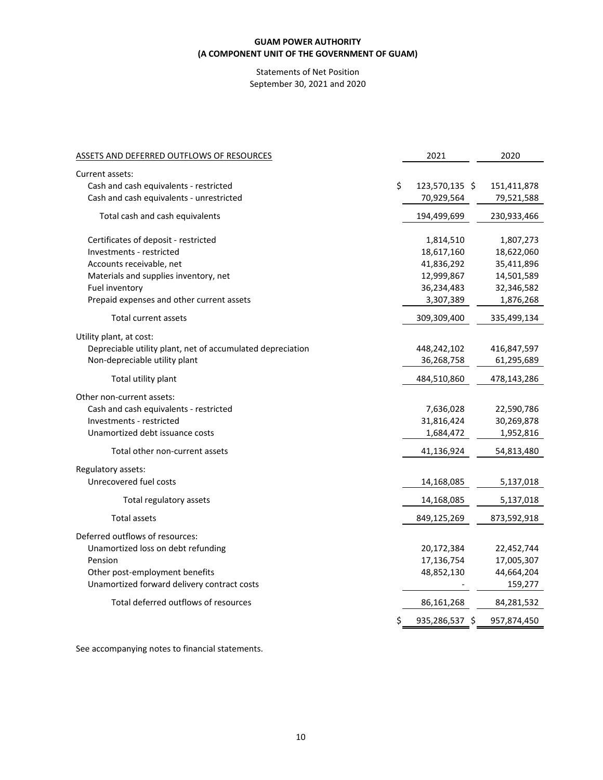# Statements of Net Position September 30, 2021 and 2020

| ASSETS AND DEFERRED OUTFLOWS OF RESOURCES                  | 2021                 | 2020        |
|------------------------------------------------------------|----------------------|-------------|
| Current assets:                                            |                      |             |
| Cash and cash equivalents - restricted                     | \$<br>123,570,135 \$ | 151,411,878 |
| Cash and cash equivalents - unrestricted                   | 70,929,564           | 79,521,588  |
| Total cash and cash equivalents                            | 194,499,699          | 230,933,466 |
| Certificates of deposit - restricted                       | 1,814,510            | 1,807,273   |
| Investments - restricted                                   | 18,617,160           | 18,622,060  |
| Accounts receivable, net                                   | 41,836,292           | 35,411,896  |
| Materials and supplies inventory, net                      | 12,999,867           | 14,501,589  |
| Fuel inventory                                             | 36,234,483           | 32,346,582  |
| Prepaid expenses and other current assets                  | 3,307,389            | 1,876,268   |
| Total current assets                                       | 309,309,400          | 335,499,134 |
| Utility plant, at cost:                                    |                      |             |
| Depreciable utility plant, net of accumulated depreciation | 448,242,102          | 416,847,597 |
| Non-depreciable utility plant                              | 36,268,758           | 61,295,689  |
| Total utility plant                                        | 484,510,860          | 478,143,286 |
| Other non-current assets:                                  |                      |             |
| Cash and cash equivalents - restricted                     | 7,636,028            | 22,590,786  |
| Investments - restricted                                   | 31,816,424           | 30,269,878  |
| Unamortized debt issuance costs                            | 1,684,472            | 1,952,816   |
| Total other non-current assets                             | 41,136,924           | 54,813,480  |
| Regulatory assets:                                         |                      |             |
| Unrecovered fuel costs                                     | 14,168,085           | 5,137,018   |
| Total regulatory assets                                    | 14,168,085           | 5,137,018   |
| <b>Total assets</b>                                        | 849,125,269          | 873,592,918 |
| Deferred outflows of resources:                            |                      |             |
| Unamortized loss on debt refunding                         | 20,172,384           | 22,452,744  |
| Pension                                                    | 17,136,754           | 17,005,307  |
| Other post-employment benefits                             | 48,852,130           | 44,664,204  |
| Unamortized forward delivery contract costs                |                      | 159,277     |
| Total deferred outflows of resources                       | 86,161,268           | 84,281,532  |
|                                                            | \$<br>935,286,537 \$ | 957,874,450 |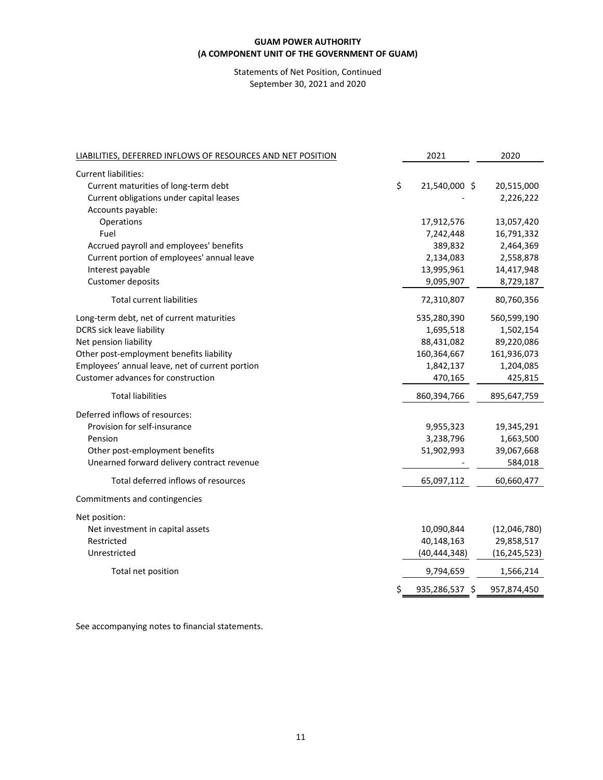# Statements of Net Position, Continued September 30, 2021 and 2020

| LIABILITIES, DEFERRED INFLOWS OF RESOURCES AND NET POSITION | 2021                 | 2020           |
|-------------------------------------------------------------|----------------------|----------------|
| <b>Current liabilities:</b>                                 |                      |                |
| \$<br>Current maturities of long-term debt                  | 21,540,000 \$        | 20,515,000     |
| Current obligations under capital leases                    |                      | 2,226,222      |
| Accounts payable:                                           |                      |                |
| Operations                                                  | 17,912,576           | 13,057,420     |
| Fuel                                                        | 7,242,448            | 16,791,332     |
| Accrued payroll and employees' benefits                     | 389,832              | 2,464,369      |
| Current portion of employees' annual leave                  | 2,134,083            | 2,558,878      |
| Interest payable                                            | 13,995,961           | 14,417,948     |
| Customer deposits                                           | 9,095,907            | 8,729,187      |
| <b>Total current liabilities</b>                            | 72,310,807           | 80,760,356     |
| Long-term debt, net of current maturities                   | 535,280,390          | 560,599,190    |
| DCRS sick leave liability                                   | 1,695,518            | 1,502,154      |
| Net pension liability                                       | 88,431,082           | 89,220,086     |
| Other post-employment benefits liability                    | 160,364,667          | 161,936,073    |
| Employees' annual leave, net of current portion             | 1,842,137            | 1,204,085      |
| Customer advances for construction                          | 470,165              | 425,815        |
| <b>Total liabilities</b>                                    | 860,394,766          | 895,647,759    |
| Deferred inflows of resources:                              |                      |                |
| Provision for self-insurance                                | 9,955,323            | 19,345,291     |
| Pension                                                     | 3,238,796            | 1,663,500      |
| Other post-employment benefits                              | 51,902,993           | 39,067,668     |
| Unearned forward delivery contract revenue                  |                      | 584,018        |
| Total deferred inflows of resources                         | 65,097,112           | 60,660,477     |
| Commitments and contingencies                               |                      |                |
| Net position:                                               |                      |                |
| Net investment in capital assets                            | 10,090,844           | (12,046,780)   |
| Restricted                                                  | 40,148,163           | 29,858,517     |
| Unrestricted                                                | (40, 444, 348)       | (16, 245, 523) |
| Total net position                                          | 9,794,659            | 1,566,214      |
|                                                             | \$<br>935,286,537 \$ | 957,874,450    |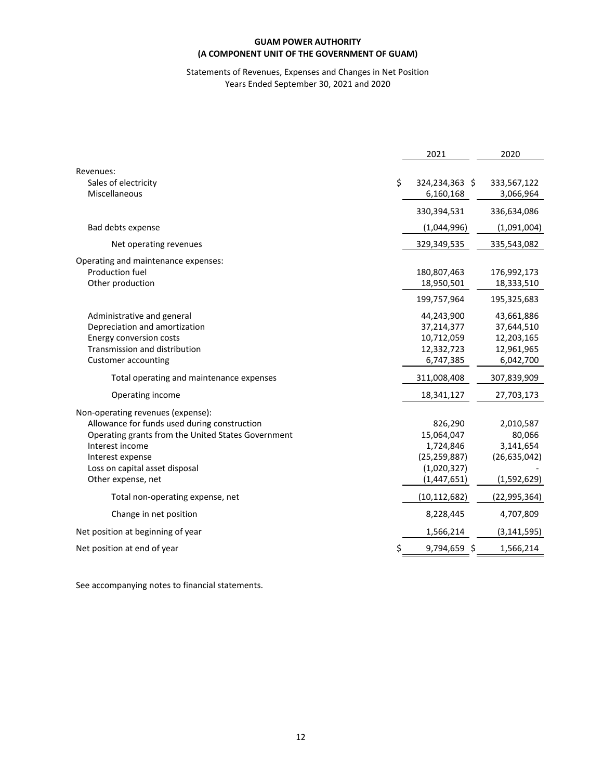# Statements of Revenues, Expenses and Changes in Net Position Years Ended September 30, 2021 and 2020

|                                                                                                                                                                                                   | 2021                                                                                 | 2020                                                              |
|---------------------------------------------------------------------------------------------------------------------------------------------------------------------------------------------------|--------------------------------------------------------------------------------------|-------------------------------------------------------------------|
| Revenues:                                                                                                                                                                                         |                                                                                      |                                                                   |
| \$<br>Sales of electricity<br>Miscellaneous                                                                                                                                                       | 324,234,363 \$<br>6,160,168                                                          | 333,567,122<br>3,066,964                                          |
|                                                                                                                                                                                                   | 330,394,531                                                                          | 336,634,086                                                       |
| Bad debts expense                                                                                                                                                                                 | (1,044,996)                                                                          | (1,091,004)                                                       |
| Net operating revenues                                                                                                                                                                            | 329,349,535                                                                          | 335,543,082                                                       |
| Operating and maintenance expenses:<br><b>Production fuel</b><br>Other production                                                                                                                 | 180,807,463<br>18,950,501                                                            | 176,992,173<br>18,333,510                                         |
|                                                                                                                                                                                                   | 199,757,964                                                                          | 195,325,683                                                       |
| Administrative and general<br>Depreciation and amortization<br>Energy conversion costs<br>Transmission and distribution<br><b>Customer accounting</b>                                             | 44,243,900<br>37,214,377<br>10,712,059<br>12,332,723<br>6,747,385                    | 43,661,886<br>37,644,510<br>12,203,165<br>12,961,965<br>6,042,700 |
| Total operating and maintenance expenses                                                                                                                                                          | 311,008,408                                                                          | 307,839,909                                                       |
| Operating income                                                                                                                                                                                  | 18,341,127                                                                           | 27,703,173                                                        |
| Non-operating revenues (expense):                                                                                                                                                                 |                                                                                      |                                                                   |
| Allowance for funds used during construction<br>Operating grants from the United States Government<br>Interest income<br>Interest expense<br>Loss on capital asset disposal<br>Other expense, net | 826,290<br>15,064,047<br>1,724,846<br>(25, 259, 887)<br>(1,020,327)<br>(1, 447, 651) | 2,010,587<br>80,066<br>3,141,654<br>(26, 635, 042)<br>(1,592,629) |
| Total non-operating expense, net                                                                                                                                                                  | (10, 112, 682)                                                                       | (22, 995, 364)                                                    |
| Change in net position                                                                                                                                                                            | 8,228,445                                                                            | 4,707,809                                                         |
| Net position at beginning of year                                                                                                                                                                 | 1,566,214                                                                            | (3, 141, 595)                                                     |
| \$<br>Net position at end of year                                                                                                                                                                 | 9,794,659 \$                                                                         | 1,566,214                                                         |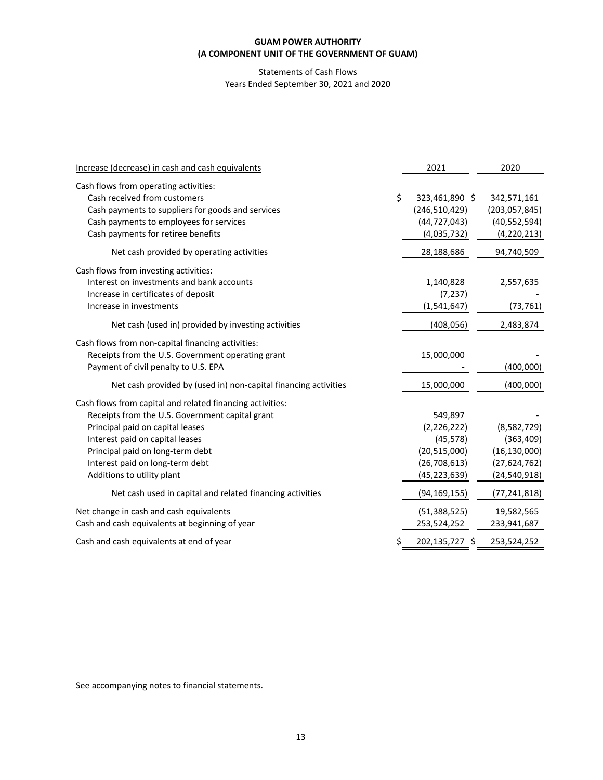# Statements of Cash Flows Years Ended September 30, 2021 and 2020

| Increase (decrease) in cash and cash equivalents                | 2021                 | 2020            |
|-----------------------------------------------------------------|----------------------|-----------------|
| Cash flows from operating activities:                           |                      |                 |
| Cash received from customers                                    | \$<br>323,461,890 \$ | 342,571,161     |
| Cash payments to suppliers for goods and services               | (246, 510, 429)      | (203, 057, 845) |
| Cash payments to employees for services                         | (44, 727, 043)       | (40, 552, 594)  |
| Cash payments for retiree benefits                              | (4,035,732)          | (4, 220, 213)   |
| Net cash provided by operating activities                       | 28,188,686           | 94,740,509      |
| Cash flows from investing activities:                           |                      |                 |
| Interest on investments and bank accounts                       | 1,140,828            | 2,557,635       |
| Increase in certificates of deposit                             | (7, 237)             |                 |
| Increase in investments                                         | (1, 541, 647)        | (73, 761)       |
| Net cash (used in) provided by investing activities             | (408, 056)           | 2,483,874       |
| Cash flows from non-capital financing activities:               |                      |                 |
| Receipts from the U.S. Government operating grant               | 15,000,000           |                 |
| Payment of civil penalty to U.S. EPA                            |                      | (400,000)       |
| Net cash provided by (used in) non-capital financing activities | 15,000,000           | (400,000)       |
| Cash flows from capital and related financing activities:       |                      |                 |
| Receipts from the U.S. Government capital grant                 | 549,897              |                 |
| Principal paid on capital leases                                | (2, 226, 222)        | (8,582,729)     |
| Interest paid on capital leases                                 | (45, 578)            | (363, 409)      |
| Principal paid on long-term debt                                | (20,515,000)         | (16, 130, 000)  |
| Interest paid on long-term debt                                 | (26,708,613)         | (27, 624, 762)  |
| Additions to utility plant                                      | (45, 223, 639)       | (24, 540, 918)  |
| Net cash used in capital and related financing activities       | (94, 169, 155)       | (77,241,818)    |
| Net change in cash and cash equivalents                         | (51, 388, 525)       | 19,582,565      |
| Cash and cash equivalents at beginning of year                  | 253,524,252          | 233,941,687     |
| Cash and cash equivalents at end of year                        | \$<br>202,135,727 \$ | 253,524,252     |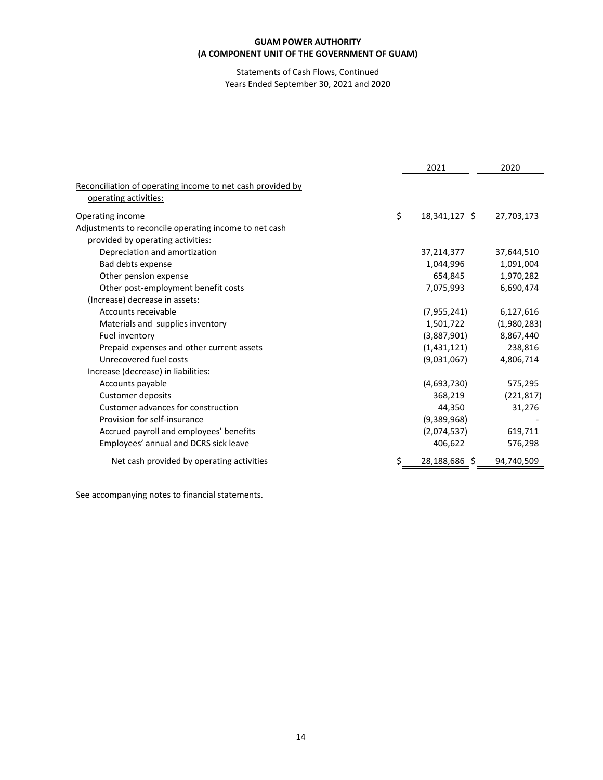Statements of Cash Flows, Continued Years Ended September 30, 2021 and 2020

|                                                            | 2021                | 2020        |
|------------------------------------------------------------|---------------------|-------------|
| Reconciliation of operating income to net cash provided by |                     |             |
| operating activities:                                      |                     |             |
| Operating income                                           | \$<br>18,341,127 \$ | 27,703,173  |
| Adjustments to reconcile operating income to net cash      |                     |             |
| provided by operating activities:                          |                     |             |
| Depreciation and amortization                              | 37,214,377          | 37,644,510  |
| Bad debts expense                                          | 1,044,996           | 1,091,004   |
| Other pension expense                                      | 654,845             | 1,970,282   |
| Other post-employment benefit costs                        | 7,075,993           | 6,690,474   |
| (Increase) decrease in assets:                             |                     |             |
| Accounts receivable                                        | (7, 955, 241)       | 6,127,616   |
| Materials and supplies inventory                           | 1,501,722           | (1,980,283) |
| Fuel inventory                                             | (3,887,901)         | 8,867,440   |
| Prepaid expenses and other current assets                  | (1,431,121)         | 238,816     |
| Unrecovered fuel costs                                     | (9,031,067)         | 4,806,714   |
| Increase (decrease) in liabilities:                        |                     |             |
| Accounts payable                                           | (4,693,730)         | 575,295     |
| <b>Customer deposits</b>                                   | 368,219             | (221, 817)  |
| Customer advances for construction                         | 44,350              | 31,276      |
| Provision for self-insurance                               | (9,389,968)         |             |
| Accrued payroll and employees' benefits                    | (2,074,537)         | 619,711     |
| Employees' annual and DCRS sick leave                      | 406,622             | 576,298     |
| Net cash provided by operating activities                  | 28,188,686 \$       | 94,740,509  |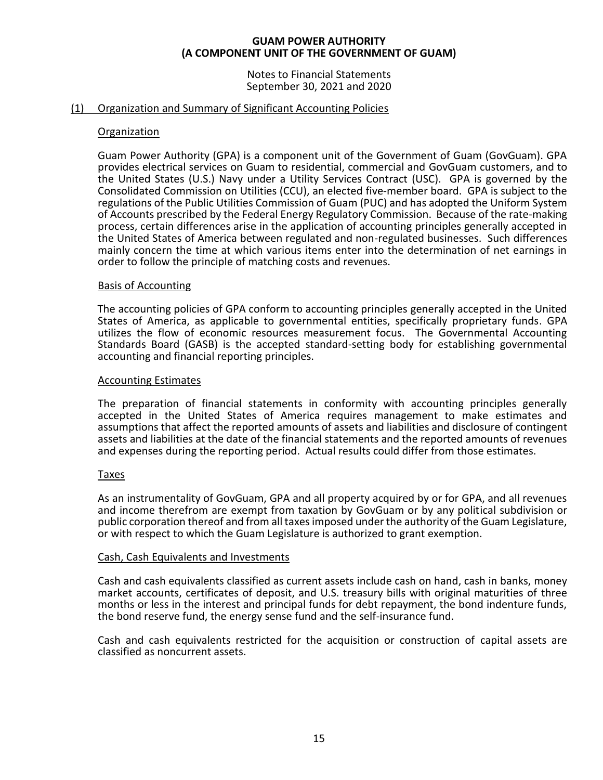Notes to Financial Statements September 30, 2021 and 2020

# (1) Organization and Summary of Significant Accounting Policies

# Organization

Guam Power Authority (GPA) is a component unit of the Government of Guam (GovGuam). GPA provides electrical services on Guam to residential, commercial and GovGuam customers, and to the United States (U.S.) Navy under a Utility Services Contract (USC). GPA is governed by the Consolidated Commission on Utilities (CCU), an elected five-member board. GPA is subject to the regulations of the Public Utilities Commission of Guam (PUC) and has adopted the Uniform System of Accounts prescribed by the Federal Energy Regulatory Commission. Because of the rate-making process, certain differences arise in the application of accounting principles generally accepted in the United States of America between regulated and non-regulated businesses. Such differences mainly concern the time at which various items enter into the determination of net earnings in order to follow the principle of matching costs and revenues.

# Basis of Accounting

The accounting policies of GPA conform to accounting principles generally accepted in the United States of America, as applicable to governmental entities, specifically proprietary funds. GPA utilizes the flow of economic resources measurement focus. The Governmental Accounting Standards Board (GASB) is the accepted standard-setting body for establishing governmental accounting and financial reporting principles.

# Accounting Estimates

The preparation of financial statements in conformity with accounting principles generally accepted in the United States of America requires management to make estimates and assumptions that affect the reported amounts of assets and liabilities and disclosure of contingent assets and liabilities at the date of the financial statements and the reported amounts of revenues and expenses during the reporting period. Actual results could differ from those estimates.

# Taxes

As an instrumentality of GovGuam, GPA and all property acquired by or for GPA, and all revenues and income therefrom are exempt from taxation by GovGuam or by any political subdivision or public corporation thereof and from all taxes imposed under the authority of the Guam Legislature, or with respect to which the Guam Legislature is authorized to grant exemption.

# Cash, Cash Equivalents and Investments

Cash and cash equivalents classified as current assets include cash on hand, cash in banks, money market accounts, certificates of deposit, and U.S. treasury bills with original maturities of three months or less in the interest and principal funds for debt repayment, the bond indenture funds, the bond reserve fund, the energy sense fund and the self-insurance fund.

Cash and cash equivalents restricted for the acquisition or construction of capital assets are classified as noncurrent assets.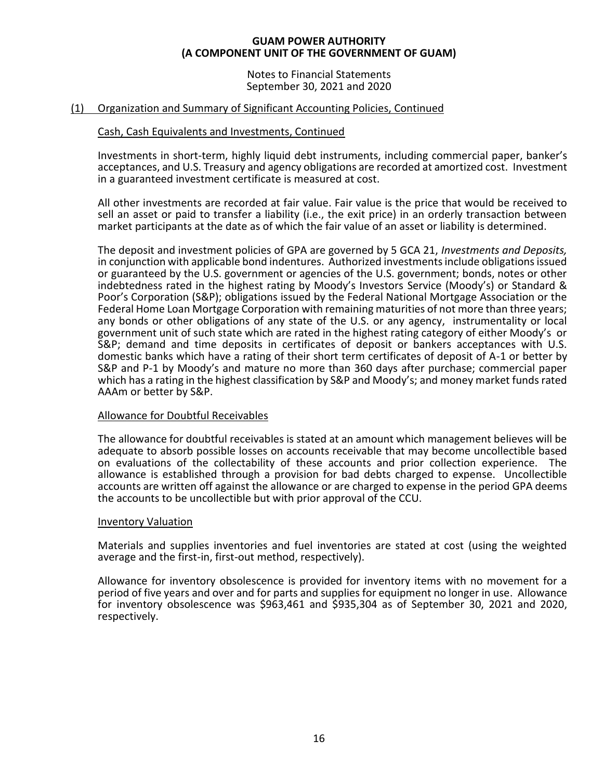Notes to Financial Statements September 30, 2021 and 2020

# (1) Organization and Summary of Significant Accounting Policies, Continued

# Cash, Cash Equivalents and Investments, Continued

Investments in short-term, highly liquid debt instruments, including commercial paper, banker's acceptances, and U.S. Treasury and agency obligations are recorded at amortized cost. Investment in a guaranteed investment certificate is measured at cost.

All other investments are recorded at fair value. Fair value is the price that would be received to sell an asset or paid to transfer a liability (i.e., the exit price) in an orderly transaction between market participants at the date as of which the fair value of an asset or liability is determined.

The deposit and investment policies of GPA are governed by 5 GCA 21, *Investments and Deposits,* in conjunction with applicable bond indentures. Authorized investments include obligations issued or guaranteed by the U.S. government or agencies of the U.S. government; bonds, notes or other indebtedness rated in the highest rating by Moody's Investors Service (Moody's) or Standard & Poor's Corporation (S&P); obligations issued by the Federal National Mortgage Association or the Federal Home Loan Mortgage Corporation with remaining maturities of not more than three years; any bonds or other obligations of any state of the U.S. or any agency, instrumentality or local government unit of such state which are rated in the highest rating category of either Moody's or S&P; demand and time deposits in certificates of deposit or bankers acceptances with U.S. domestic banks which have a rating of their short term certificates of deposit of A-1 or better by S&P and P-1 by Moody's and mature no more than 360 days after purchase; commercial paper which has a rating in the highest classification by S&P and Moody's; and money market funds rated AAAm or better by S&P.

# Allowance for Doubtful Receivables

The allowance for doubtful receivables is stated at an amount which management believes will be adequate to absorb possible losses on accounts receivable that may become uncollectible based on evaluations of the collectability of these accounts and prior collection experience. The allowance is established through a provision for bad debts charged to expense. Uncollectible accounts are written off against the allowance or are charged to expense in the period GPA deems the accounts to be uncollectible but with prior approval of the CCU.

# Inventory Valuation

Materials and supplies inventories and fuel inventories are stated at cost (using the weighted average and the first-in, first-out method, respectively).

Allowance for inventory obsolescence is provided for inventory items with no movement for a period of five years and over and for parts and supplies for equipment no longer in use. Allowance for inventory obsolescence was \$963,461 and \$935,304 as of September 30, 2021 and 2020, respectively.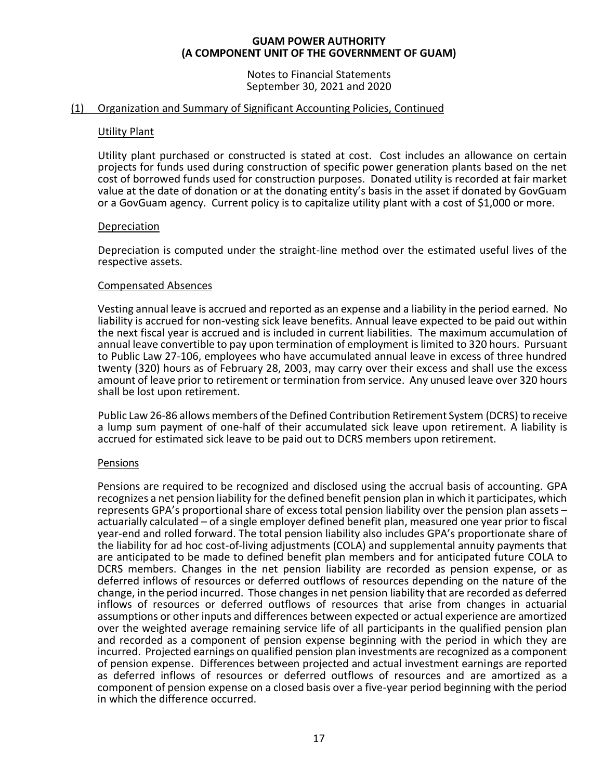Notes to Financial Statements September 30, 2021 and 2020

# (1) Organization and Summary of Significant Accounting Policies, Continued

# Utility Plant

Utility plant purchased or constructed is stated at cost. Cost includes an allowance on certain projects for funds used during construction of specific power generation plants based on the net cost of borrowed funds used for construction purposes. Donated utility is recorded at fair market value at the date of donation or at the donating entity's basis in the asset if donated by GovGuam or a GovGuam agency. Current policy is to capitalize utility plant with a cost of \$1,000 or more.

# Depreciation

Depreciation is computed under the straight-line method over the estimated useful lives of the respective assets.

# Compensated Absences

Vesting annual leave is accrued and reported as an expense and a liability in the period earned. No liability is accrued for non-vesting sick leave benefits. Annual leave expected to be paid out within the next fiscal year is accrued and is included in current liabilities. The maximum accumulation of annual leave convertible to pay upon termination of employment is limited to 320 hours. Pursuant to Public Law 27-106, employees who have accumulated annual leave in excess of three hundred twenty (320) hours as of February 28, 2003, may carry over their excess and shall use the excess amount of leave prior to retirement or termination from service. Any unused leave over 320 hours shall be lost upon retirement.

Public Law 26-86 allows members of the Defined Contribution Retirement System (DCRS) to receive a lump sum payment of one-half of their accumulated sick leave upon retirement. A liability is accrued for estimated sick leave to be paid out to DCRS members upon retirement.

# Pensions

Pensions are required to be recognized and disclosed using the accrual basis of accounting. GPA recognizes a net pension liability for the defined benefit pension plan in which it participates, which represents GPA's proportional share of excess total pension liability over the pension plan assets – actuarially calculated – of a single employer defined benefit plan, measured one year prior to fiscal year-end and rolled forward. The total pension liability also includes GPA's proportionate share of the liability for ad hoc cost-of-living adjustments (COLA) and supplemental annuity payments that are anticipated to be made to defined benefit plan members and for anticipated future COLA to DCRS members. Changes in the net pension liability are recorded as pension expense, or as deferred inflows of resources or deferred outflows of resources depending on the nature of the change, in the period incurred. Those changes in net pension liability that are recorded as deferred inflows of resources or deferred outflows of resources that arise from changes in actuarial assumptions or other inputs and differences between expected or actual experience are amortized over the weighted average remaining service life of all participants in the qualified pension plan and recorded as a component of pension expense beginning with the period in which they are incurred. Projected earnings on qualified pension plan investments are recognized as a component of pension expense. Differences between projected and actual investment earnings are reported as deferred inflows of resources or deferred outflows of resources and are amortized as a component of pension expense on a closed basis over a five-year period beginning with the period in which the difference occurred.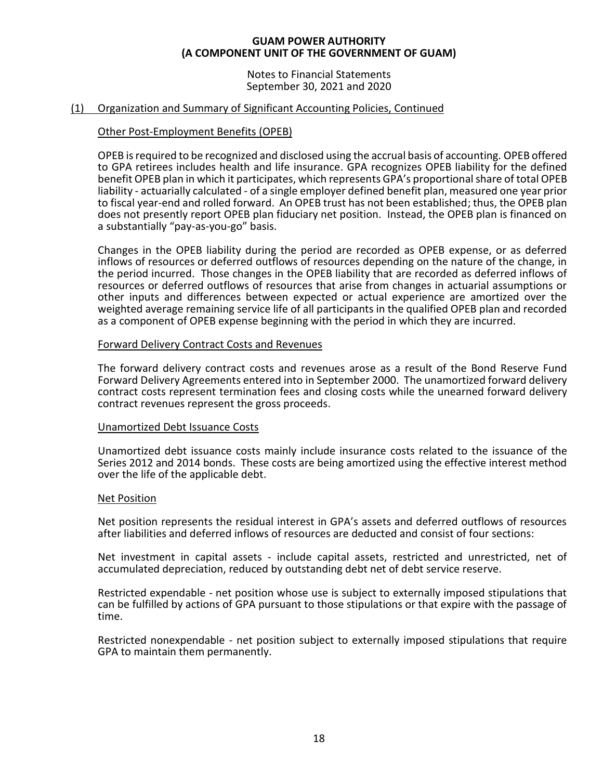Notes to Financial Statements September 30, 2021 and 2020

# (1) Organization and Summary of Significant Accounting Policies, Continued

# Other Post-Employment Benefits (OPEB)

OPEB is required to be recognized and disclosed using the accrual basis of accounting. OPEB offered to GPA retirees includes health and life insurance. GPA recognizes OPEB liability for the defined benefit OPEB plan in which it participates, which represents GPA's proportional share of total OPEB liability - actuarially calculated - of a single employer defined benefit plan, measured one year prior to fiscal year-end and rolled forward. An OPEB trust has not been established; thus, the OPEB plan does not presently report OPEB plan fiduciary net position. Instead, the OPEB plan is financed on a substantially "pay-as-you-go" basis.

Changes in the OPEB liability during the period are recorded as OPEB expense, or as deferred inflows of resources or deferred outflows of resources depending on the nature of the change, in the period incurred. Those changes in the OPEB liability that are recorded as deferred inflows of resources or deferred outflows of resources that arise from changes in actuarial assumptions or other inputs and differences between expected or actual experience are amortized over the weighted average remaining service life of all participants in the qualified OPEB plan and recorded as a component of OPEB expense beginning with the period in which they are incurred.

# Forward Delivery Contract Costs and Revenues

The forward delivery contract costs and revenues arose as a result of the Bond Reserve Fund Forward Delivery Agreements entered into in September 2000. The unamortized forward delivery contract costs represent termination fees and closing costs while the unearned forward delivery contract revenues represent the gross proceeds.

# Unamortized Debt Issuance Costs

Unamortized debt issuance costs mainly include insurance costs related to the issuance of the Series 2012 and 2014 bonds. These costs are being amortized using the effective interest method over the life of the applicable debt.

# Net Position

Net position represents the residual interest in GPA's assets and deferred outflows of resources after liabilities and deferred inflows of resources are deducted and consist of four sections:

Net investment in capital assets - include capital assets, restricted and unrestricted, net of accumulated depreciation, reduced by outstanding debt net of debt service reserve.

Restricted expendable - net position whose use is subject to externally imposed stipulations that can be fulfilled by actions of GPA pursuant to those stipulations or that expire with the passage of time.

Restricted nonexpendable - net position subject to externally imposed stipulations that require GPA to maintain them permanently.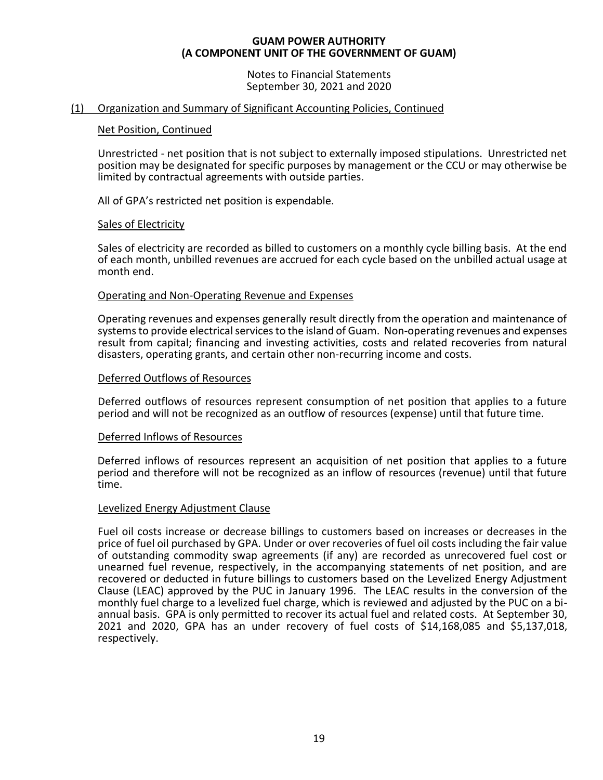Notes to Financial Statements September 30, 2021 and 2020

# (1) Organization and Summary of Significant Accounting Policies, Continued

# Net Position, Continued

Unrestricted - net position that is not subject to externally imposed stipulations. Unrestricted net position may be designated for specific purposes by management or the CCU or may otherwise be limited by contractual agreements with outside parties.

All of GPA's restricted net position is expendable.

# Sales of Electricity

Sales of electricity are recorded as billed to customers on a monthly cycle billing basis. At the end of each month, unbilled revenues are accrued for each cycle based on the unbilled actual usage at month end.

# Operating and Non-Operating Revenue and Expenses

Operating revenues and expenses generally result directly from the operation and maintenance of systems to provide electrical services to the island of Guam. Non-operating revenues and expenses result from capital; financing and investing activities, costs and related recoveries from natural disasters, operating grants, and certain other non-recurring income and costs.

# Deferred Outflows of Resources

Deferred outflows of resources represent consumption of net position that applies to a future period and will not be recognized as an outflow of resources (expense) until that future time.

# Deferred Inflows of Resources

Deferred inflows of resources represent an acquisition of net position that applies to a future period and therefore will not be recognized as an inflow of resources (revenue) until that future time.

# Levelized Energy Adjustment Clause

Fuel oil costs increase or decrease billings to customers based on increases or decreases in the price of fuel oil purchased by GPA. Under or over recoveries of fuel oil costs including the fair value of outstanding commodity swap agreements (if any) are recorded as unrecovered fuel cost or unearned fuel revenue, respectively, in the accompanying statements of net position, and are recovered or deducted in future billings to customers based on the Levelized Energy Adjustment Clause (LEAC) approved by the PUC in January 1996. The LEAC results in the conversion of the monthly fuel charge to a levelized fuel charge, which is reviewed and adjusted by the PUC on a biannual basis. GPA is only permitted to recover its actual fuel and related costs. At September 30, 2021 and 2020, GPA has an under recovery of fuel costs of \$14,168,085 and \$5,137,018, respectively.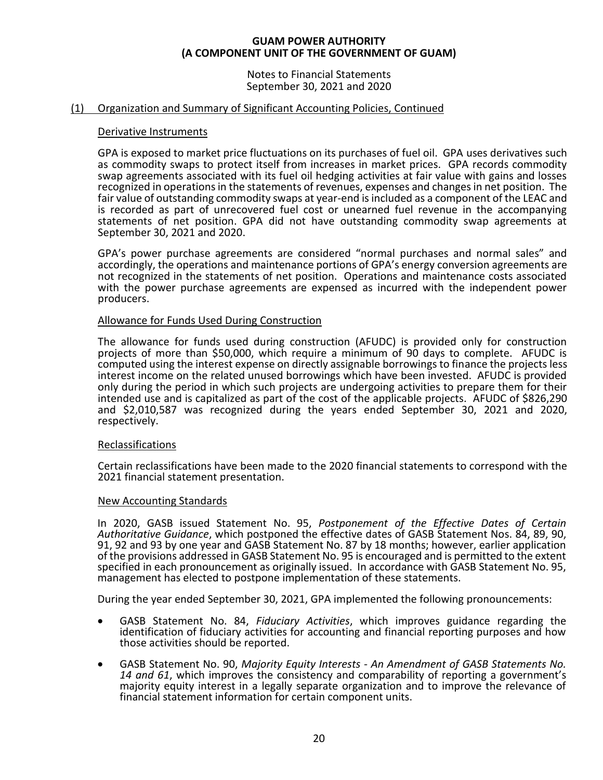Notes to Financial Statements September 30, 2021 and 2020

# (1) Organization and Summary of Significant Accounting Policies, Continued

# Derivative Instruments

GPA is exposed to market price fluctuations on its purchases of fuel oil. GPA uses derivatives such as commodity swaps to protect itself from increases in market prices. GPA records commodity swap agreements associated with its fuel oil hedging activities at fair value with gains and losses recognized in operations in the statements of revenues, expenses and changes in net position. The fair value of outstanding commodity swaps at year-end is included as a component of the LEAC and is recorded as part of unrecovered fuel cost or unearned fuel revenue in the accompanying statements of net position. GPA did not have outstanding commodity swap agreements at September 30, 2021 and 2020.

GPA's power purchase agreements are considered "normal purchases and normal sales" and accordingly, the operations and maintenance portions of GPA's energy conversion agreements are not recognized in the statements of net position. Operations and maintenance costs associated with the power purchase agreements are expensed as incurred with the independent power producers.

# Allowance for Funds Used During Construction

The allowance for funds used during construction (AFUDC) is provided only for construction projects of more than \$50,000, which require a minimum of 90 days to complete. AFUDC is computed using the interest expense on directly assignable borrowings to finance the projects less interest income on the related unused borrowings which have been invested. AFUDC is provided only during the period in which such projects are undergoing activities to prepare them for their intended use and is capitalized as part of the cost of the applicable projects. AFUDC of \$826,290 and \$2,010,587 was recognized during the years ended September 30, 2021 and 2020, respectively.

# Reclassifications

Certain reclassifications have been made to the 2020 financial statements to correspond with the 2021 financial statement presentation.

# New Accounting Standards

In 2020, GASB issued Statement No. 95, *Postponement of the Effective Dates of Certain Authoritative Guidance*, which postponed the effective dates of GASB Statement Nos. 84, 89, 90, 91, 92 and 93 by one year and GASB Statement No. 87 by 18 months; however, earlier application of the provisions addressed in GASB Statement No. 95 is encouraged and is permitted to the extent specified in each pronouncement as originally issued. In accordance with GASB Statement No. 95, management has elected to postpone implementation of these statements.

During the year ended September 30, 2021, GPA implemented the following pronouncements:

- GASB Statement No. 84, *Fiduciary Activities*, which improves guidance regarding the identification of fiduciary activities for accounting and financial reporting purposes and how those activities should be reported.
- GASB Statement No. 90, *Majority Equity Interests - An Amendment of GASB Statements No. 14 and 61*, which improves the consistency and comparability of reporting a government's majority equity interest in a legally separate organization and to improve the relevance of financial statement information for certain component units.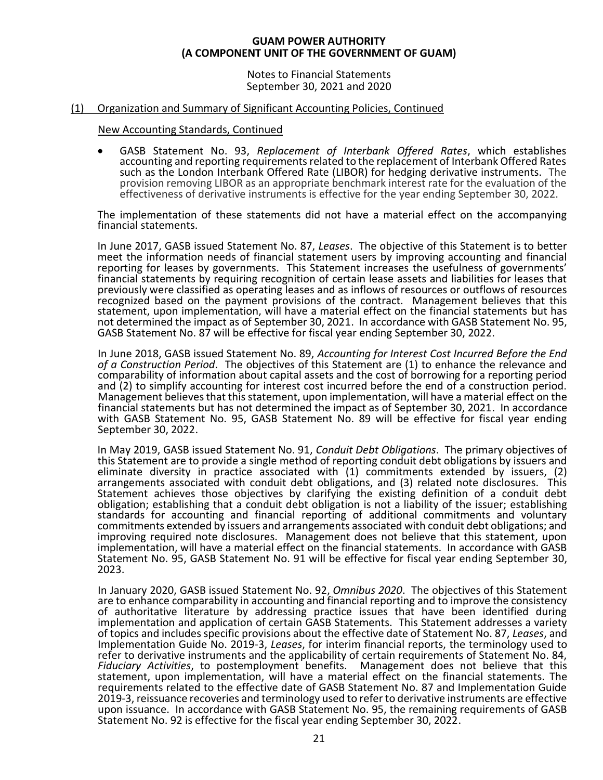Notes to Financial Statements September 30, 2021 and 2020

# (1) Organization and Summary of Significant Accounting Policies, Continued

# New Accounting Standards, Continued

• GASB Statement No. 93, *Replacement of Interbank Offered Rates*, which establishes accounting and reporting requirements related to the replacement of Interbank Offered Rates such as the London Interbank Offered Rate (LIBOR) for hedging derivative instruments. The provision removing LIBOR as an appropriate benchmark interest rate for the evaluation of the effectiveness of derivative instruments is effective for the year ending September 30, 2022.

The implementation of these statements did not have a material effect on the accompanying financial statements.

In June 2017, GASB issued Statement No. 87, *Leases*. The objective of this Statement is to better meet the information needs of financial statement users by improving accounting and financial reporting for leases by governments. This Statement increases the usefulness of governments' financial statements by requiring recognition of certain lease assets and liabilities for leases that previously were classified as operating leases and as inflows of resources or outflows of resources recognized based on the payment provisions of the contract. Management believes that this statement, upon implementation, will have a material effect on the financial statements but has not determined the impact as of September 30, 2021. In accordance with GASB Statement No. 95, GASB Statement No. 87 will be effective for fiscal year ending September 30, 2022.

In June 2018, GASB issued Statement No. 89, *Accounting for Interest Cost Incurred Before the End of a Construction Period*. The objectives of this Statement are (1) to enhance the relevance and comparability of information about capital assets and the cost of borrowing for a reporting period and (2) to simplify accounting for interest cost incurred before the end of a construction period. Management believesthat this statement, upon implementation, will have a material effect on the financial statements but has not determined the impact as of September 30, 2021. In accordance with GASB Statement No. 95, GASB Statement No. 89 will be effective for fiscal year ending September 30, 2022.

In May 2019, GASB issued Statement No. 91, *Conduit Debt Obligations*. The primary objectives of this Statement are to provide a single method of reporting conduit debt obligations by issuers and eliminate diversity in practice associated with (1) commitments extended by issuers, (2) arrangements associated with conduit debt obligations, and (3) related note disclosures. This Statement achieves those objectives by clarifying the existing definition of a conduit debt obligation; establishing that a conduit debt obligation is not a liability of the issuer; establishing standards for accounting and financial reporting of additional commitments and voluntary commitments extended by issuers and arrangements associated with conduit debt obligations; and improving required note disclosures. Management does not believe that this statement, upon implementation, will have a material effect on the financial statements. In accordance with GASB Statement No. 95, GASB Statement No. 91 will be effective for fiscal year ending September 30, 2023.

In January 2020, GASB issued Statement No. 92, *Omnibus 2020*. The objectives of this Statement are to enhance comparability in accounting and financial reporting and to improve the consistency of authoritative literature by addressing practice issues that have been identified during implementation and application of certain GASB Statements. This Statement addresses a variety of topics and includes specific provisions about the effective date of Statement No. 87, *Leases*, and Implementation Guide No. 2019-3, *Leases*, for interim financial reports, the terminology used to refer to derivative instruments and the applicability of certain requirements of Statement No. 84, *Fiduciary Activities*, to postemployment benefits. Management does not believe that this statement, upon implementation, will have a material effect on the financial statements. The requirements related to the effective date of GASB Statement No. 87 and Implementation Guide 2019-3, reissuance recoveries and terminology used to refer to derivative instruments are effective upon issuance. In accordance with GASB Statement No. 95, the remaining requirements of GASB Statement No. 92 is effective for the fiscal year ending September 30, 2022.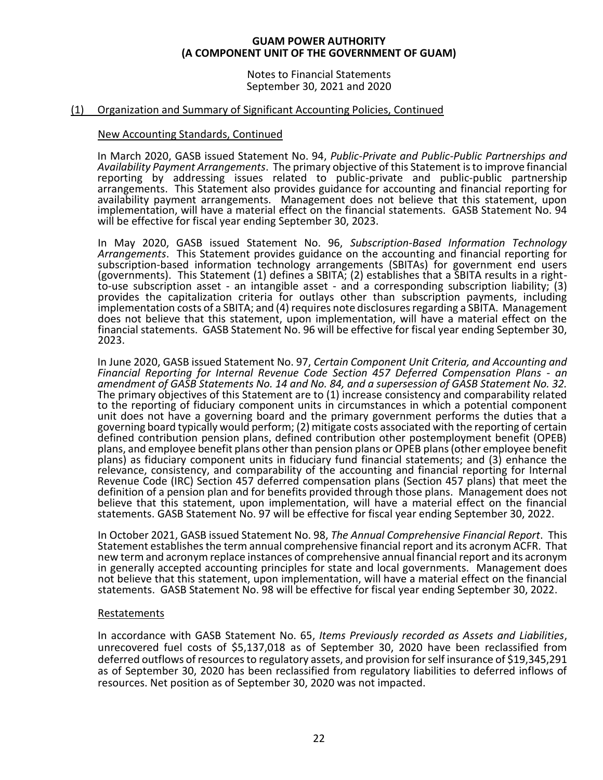Notes to Financial Statements September 30, 2021 and 2020

# (1) Organization and Summary of Significant Accounting Policies, Continued

# New Accounting Standards, Continued

In March 2020, GASB issued Statement No. 94, *Public-Private and Public-Public Partnerships and Availability Payment Arrangements*. The primary objective of this Statement is to improve financial reporting by addressing issues related to public-private and public-public partnership arrangements. This Statement also provides guidance for accounting and financial reporting for availability payment arrangements. Management does not believe that this statement, upon implementation, will have a material effect on the financial statements. GASB Statement No. 94 will be effective for fiscal year ending September 30, 2023.

In May 2020, GASB issued Statement No. 96, *Subscription-Based Information Technology Arrangements*. This Statement provides guidance on the accounting and financial reporting for subscription-based information technology arrangements (SBITAs) for government end users (governments). This Statement (1) defines a SBITA; (2) establishes that a SBITA results in a rightto-use subscription asset - an intangible asset - and a corresponding subscription liability; (3) provides the capitalization criteria for outlays other than subscription payments, including implementation costs of a SBITA; and (4) requires note disclosures regarding a SBITA. Management does not believe that this statement, upon implementation, will have a material effect on the financial statements. GASB Statement No. 96 will be effective for fiscal year ending September 30, 2023.

In June 2020, GASB issued Statement No. 97, *Certain Component Unit Criteria, and Accounting and Financial Reporting for Internal Revenue Code Section 457 Deferred Compensation Plans - an amendment of GASB Statements No. 14 and No. 84, and a supersession of GASB Statement No. 32.* The primary objectives of this Statement are to (1) increase consistency and comparability related to the reporting of fiduciary component units in circumstances in which a potential component unit does not have a governing board and the primary government performs the duties that a governing board typically would perform; (2) mitigate costs associated with the reporting of certain defined contribution pension plans, defined contribution other postemployment benefit (OPEB) plans, and employee benefit plans other than pension plans or OPEB plans (other employee benefit plans) as fiduciary component units in fiduciary fund financial statements; and (3) enhance the relevance, consistency, and comparability of the accounting and financial reporting for Internal Revenue Code (IRC) Section 457 deferred compensation plans (Section 457 plans) that meet the definition of a pension plan and for benefits provided through those plans. Management does not believe that this statement, upon implementation, will have a material effect on the financial statements. GASB Statement No. 97 will be effective for fiscal year ending September 30, 2022.

In October 2021, GASB issued Statement No. 98, *The Annual Comprehensive Financial Report*. This Statement establishes the term annual comprehensive financial report and its acronym ACFR. That new term and acronym replace instances of comprehensive annual financial report and its acronym in generally accepted accounting principles for state and local governments. Management does not believe that this statement, upon implementation, will have a material effect on the financial statements. GASB Statement No. 98 will be effective for fiscal year ending September 30, 2022.

# Restatements

In accordance with GASB Statement No. 65, *Items Previously recorded as Assets and Liabilities*, unrecovered fuel costs of \$5,137,018 as of September 30, 2020 have been reclassified from deferred outflows of resources to regulatory assets, and provision for self insurance of \$19,345,291 as of September 30, 2020 has been reclassified from regulatory liabilities to deferred inflows of resources. Net position as of September 30, 2020 was not impacted.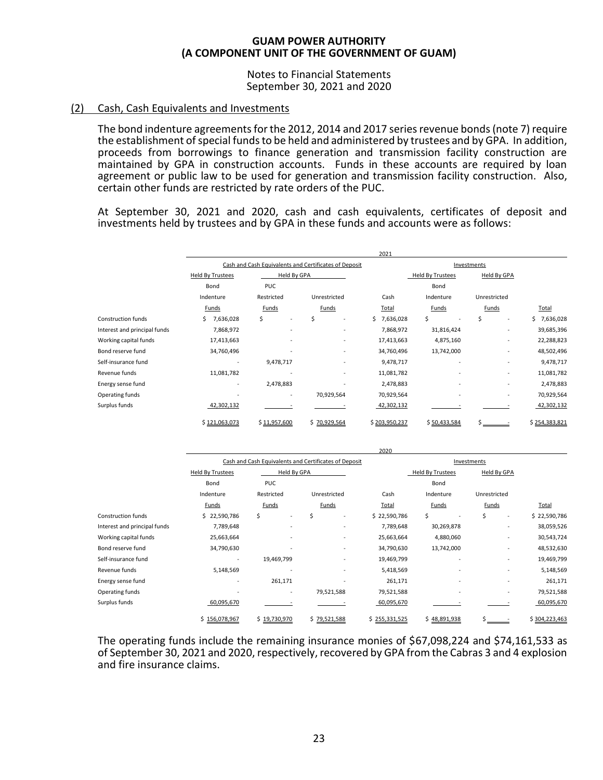Notes to Financial Statements September 30, 2021 and 2020

# (2) Cash, Cash Equivalents and Investments

The bond indenture agreements for the 2012, 2014 and 2017 series revenue bonds (note 7) require the establishment of special funds to be held and administered by trustees and by GPA. In addition, proceeds from borrowings to finance generation and transmission facility construction are maintained by GPA in construction accounts. Funds in these accounts are required by loan agreement or public law to be used for generation and transmission facility construction. Also, certain other funds are restricted by rate orders of the PUC.

At September 30, 2021 and 2020, cash and cash equivalents, certificates of deposit and investments held by trustees and by GPA in these funds and accounts were as follows:

|                              |                          |                                                       |                          | 2021          |                          |                              |                 |
|------------------------------|--------------------------|-------------------------------------------------------|--------------------------|---------------|--------------------------|------------------------------|-----------------|
|                              |                          | Cash and Cash Equivalents and Certificates of Deposit |                          |               |                          | Investments                  |                 |
|                              | <b>Held By Trustees</b>  | Held By GPA                                           |                          |               | Held By Trustees         | <b>Held By GPA</b>           |                 |
|                              | Bond                     | <b>PUC</b>                                            |                          |               | Bond                     |                              |                 |
|                              | Indenture                | Restricted                                            | Unrestricted             | Cash          | Indenture                | Unrestricted                 |                 |
|                              | Funds                    | Funds                                                 | Funds                    | Total         | <b>Funds</b>             | <b>Funds</b>                 | Total           |
| <b>Construction funds</b>    | 7,636,028                | \$                                                    | \$                       | \$7,636,028   | \$                       | \$<br>٠                      | Ś.<br>7,636,028 |
| Interest and principal funds | 7,868,972                |                                                       |                          | 7,868,972     | 31,816,424               | $\qquad \qquad \blacksquare$ | 39,685,396      |
| Working capital funds        | 17,413,663               |                                                       | $\overline{\phantom{a}}$ | 17,413,663    | 4,875,160                | $\qquad \qquad \blacksquare$ | 22,288,823      |
| Bond reserve fund            | 34,760,496               |                                                       | $\overline{\phantom{a}}$ | 34,760,496    | 13,742,000               | $\qquad \qquad \blacksquare$ | 48,502,496      |
| Self-insurance fund          | $\overline{\phantom{a}}$ | 9,478,717                                             |                          | 9,478,717     | $\overline{\phantom{a}}$ | ٠                            | 9,478,717       |
| Revenue funds                | 11,081,782               |                                                       | $\overline{\phantom{a}}$ | 11,081,782    |                          | ٠                            | 11,081,782      |
| Energy sense fund            | $\overline{\phantom{a}}$ | 2,478,883                                             |                          | 2,478,883     | $\overline{\phantom{a}}$ | ٠                            | 2,478,883       |
| Operating funds              | ٠                        | $\overline{\phantom{a}}$                              | 70,929,564               | 70,929,564    |                          | ٠                            | 70,929,564      |
| Surplus funds                | 42,302,132               |                                                       |                          | 42,302,132    |                          |                              | 42,302,132      |
|                              | \$121,063,073            | \$11,957,600                                          | \$70,929,564             | \$203,950,237 | \$50,433,584             |                              | \$254,383,821   |

|                              |                          |                          |                                                       | 2020          |                         |                              |               |
|------------------------------|--------------------------|--------------------------|-------------------------------------------------------|---------------|-------------------------|------------------------------|---------------|
|                              |                          |                          | Cash and Cash Equivalents and Certificates of Deposit |               |                         | Investments                  |               |
|                              | <b>Held By Trustees</b>  | Held By GPA              |                                                       |               | <b>Held By Trustees</b> | Held By GPA                  |               |
|                              | Bond                     | <b>PUC</b>               |                                                       |               | Bond                    |                              |               |
|                              | Indenture                | Restricted               | Unrestricted                                          | Cash          | Indenture               | Unrestricted                 |               |
|                              | Funds                    | Funds                    | Funds                                                 | Total         | Funds                   | Funds                        | Total         |
| <b>Construction funds</b>    | \$22,590,786             | Ś                        | \$<br>٠                                               | \$22,590,786  | \$                      | Ś<br>٠                       | \$22,590,786  |
| Interest and principal funds | 7,789,648                |                          | ٠                                                     | 7,789,648     | 30,269,878              | ٠                            | 38,059,526    |
| Working capital funds        | 25,663,664               |                          | ٠                                                     | 25,663,664    | 4,880,060               | -                            | 30,543,724    |
| Bond reserve fund            | 34,790,630               |                          | ٠                                                     | 34,790,630    | 13,742,000              | ٠                            | 48,532,630    |
| Self-insurance fund          | $\overline{\phantom{a}}$ | 19,469,799               | ٠                                                     | 19,469,799    | ٠                       | ٠                            | 19,469,799    |
| Revenue funds                | 5,148,569                |                          |                                                       | 5,418,569     | ٠                       |                              | 5,148,569     |
| Energy sense fund            | $\overline{\phantom{a}}$ | 261,171                  | ٠                                                     | 261,171       | ٠                       | ٠                            | 261,171       |
| Operating funds              | $\overline{\phantom{a}}$ | $\overline{\phantom{a}}$ | 79,521,588                                            | 79,521,588    | ٠                       | $\qquad \qquad \blacksquare$ | 79,521,588    |
| Surplus funds                | 60,095,670               |                          |                                                       | 60,095,670    |                         |                              | 60,095,670    |
|                              | \$156.078.967            | \$19.730.970             | \$79.521.588                                          | \$255,331,525 | \$48,891,938            |                              | \$304,223,463 |

The operating funds include the remaining insurance monies of \$67,098,224 and \$74,161,533 as of September 30, 2021 and 2020, respectively, recovered by GPA from the Cabras 3 and 4 explosion and fire insurance claims.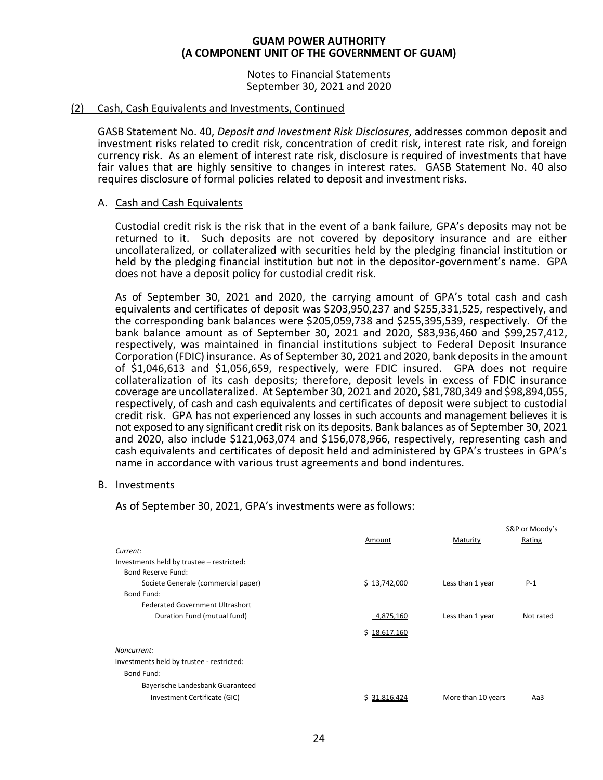Notes to Financial Statements September 30, 2021 and 2020

# (2) Cash, Cash Equivalents and Investments, Continued

GASB Statement No. 40, *Deposit and Investment Risk Disclosures*, addresses common deposit and investment risks related to credit risk, concentration of credit risk, interest rate risk, and foreign currency risk. As an element of interest rate risk, disclosure is required of investments that have fair values that are highly sensitive to changes in interest rates. GASB Statement No. 40 also requires disclosure of formal policies related to deposit and investment risks.

# A. Cash and Cash Equivalents

Custodial credit risk is the risk that in the event of a bank failure, GPA's deposits may not be returned to it. Such deposits are not covered by depository insurance and are either uncollateralized, or collateralized with securities held by the pledging financial institution or held by the pledging financial institution but not in the depositor-government's name. GPA does not have a deposit policy for custodial credit risk.

As of September 30, 2021 and 2020, the carrying amount of GPA's total cash and cash equivalents and certificates of deposit was \$203,950,237 and \$255,331,525, respectively, and the corresponding bank balances were \$205,059,738 and \$255,395,539, respectively. Of the bank balance amount as of September 30, 2021 and 2020, \$83,936,460 and \$99,257,412, respectively, was maintained in financial institutions subject to Federal Deposit Insurance Corporation (FDIC) insurance. As of September 30, 2021 and 2020, bank deposits in the amount of \$1,046,613 and \$1,056,659, respectively, were FDIC insured. GPA does not require collateralization of its cash deposits; therefore, deposit levels in excess of FDIC insurance coverage are uncollateralized. At September 30, 2021 and 2020, \$81,780,349 and \$98,894,055, respectively, of cash and cash equivalents and certificates of deposit were subject to custodial credit risk. GPA has not experienced any losses in such accounts and management believes it is not exposed to any significant credit risk on its deposits. Bank balances as of September 30, 2021 and 2020, also include \$121,063,074 and \$156,078,966, respectively, representing cash and cash equivalents and certificates of deposit held and administered by GPA's trustees in GPA's name in accordance with various trust agreements and bond indentures.

# B. Investments

As of September 30, 2021, GPA's investments were as follows:

|                                           | Amount       | Maturity           | S&P or Moody's<br>Rating |
|-------------------------------------------|--------------|--------------------|--------------------------|
| Current:                                  |              |                    |                          |
| Investments held by trustee - restricted: |              |                    |                          |
| Bond Reserve Fund:                        |              |                    |                          |
| Societe Generale (commercial paper)       | \$13,742,000 | Less than 1 year   | $P-1$                    |
| Bond Fund:                                |              |                    |                          |
| <b>Federated Government Ultrashort</b>    |              |                    |                          |
| Duration Fund (mutual fund)               | 4,875,160    | Less than 1 year   | Not rated                |
|                                           | \$18,617,160 |                    |                          |
| Noncurrent:                               |              |                    |                          |
| Investments held by trustee - restricted: |              |                    |                          |
| Bond Fund:                                |              |                    |                          |
| Bayerische Landesbank Guaranteed          |              |                    |                          |
| Investment Certificate (GIC)              | \$31.816.424 | More than 10 years | Aa3                      |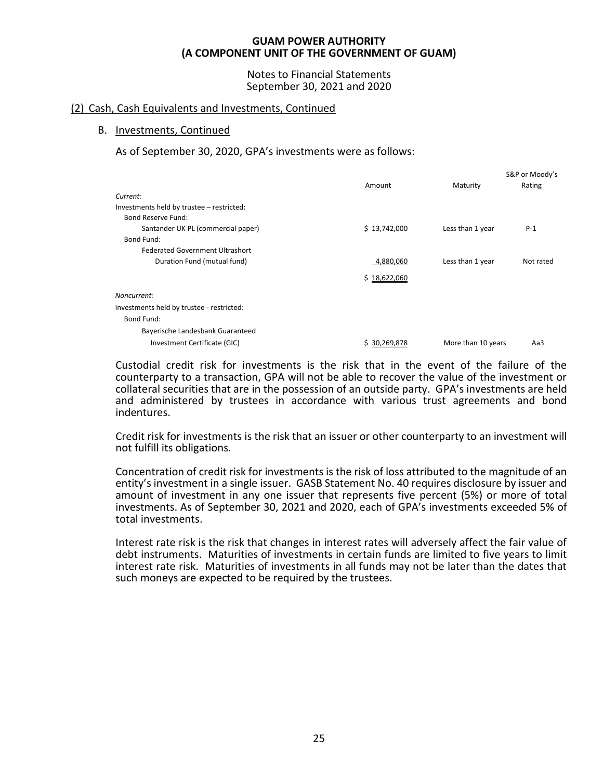Notes to Financial Statements September 30, 2021 and 2020

# (2) Cash, Cash Equivalents and Investments, Continued

# B. Investments, Continued

As of September 30, 2020, GPA's investments were as follows:

|                                           |                 |                    | S&P or Moody's |
|-------------------------------------------|-----------------|--------------------|----------------|
|                                           | Amount          | Maturity           | Rating         |
| Current:                                  |                 |                    |                |
| Investments held by trustee - restricted: |                 |                    |                |
| Bond Reserve Fund:                        |                 |                    |                |
| Santander UK PL (commercial paper)        | \$13,742,000    | Less than 1 year   | $P-1$          |
| Bond Fund:                                |                 |                    |                |
| <b>Federated Government Ultrashort</b>    |                 |                    |                |
| Duration Fund (mutual fund)               | 4,880,060       | Less than 1 year   | Not rated      |
|                                           | \$18,622,060    |                    |                |
| Noncurrent:                               |                 |                    |                |
| Investments held by trustee - restricted: |                 |                    |                |
| Bond Fund:                                |                 |                    |                |
| Bayerische Landesbank Guaranteed          |                 |                    |                |
| Investment Certificate (GIC)              | 30,269,878<br>s | More than 10 years | Aa3            |

Custodial credit risk for investments is the risk that in the event of the failure of the counterparty to a transaction, GPA will not be able to recover the value of the investment or collateral securities that are in the possession of an outside party. GPA's investments are held and administered by trustees in accordance with various trust agreements and bond indentures.

Credit risk for investments is the risk that an issuer or other counterparty to an investment will not fulfill its obligations.

Concentration of credit risk for investments is the risk of loss attributed to the magnitude of an entity's investment in a single issuer. GASB Statement No. 40 requires disclosure by issuer and amount of investment in any one issuer that represents five percent (5%) or more of total investments. As of September 30, 2021 and 2020, each of GPA's investments exceeded 5% of total investments.

Interest rate risk is the risk that changes in interest rates will adversely affect the fair value of debt instruments. Maturities of investments in certain funds are limited to five years to limit interest rate risk. Maturities of investments in all funds may not be later than the dates that such moneys are expected to be required by the trustees.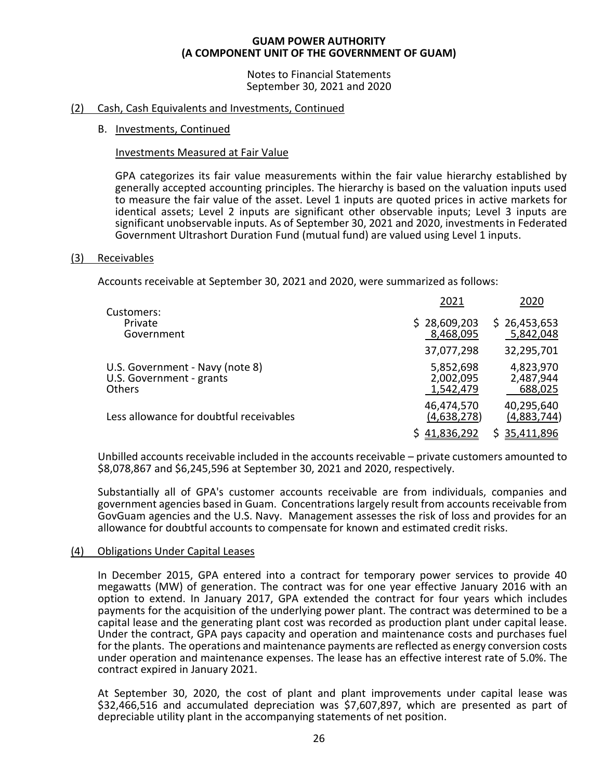Notes to Financial Statements September 30, 2021 and 2020

# (2) Cash, Cash Equivalents and Investments, Continued

# B. Investments, Continued

# Investments Measured at Fair Value

GPA categorizes its fair value measurements within the fair value hierarchy established by generally accepted accounting principles. The hierarchy is based on the valuation inputs used to measure the fair value of the asset. Level 1 inputs are quoted prices in active markets for identical assets; Level 2 inputs are significant other observable inputs; Level 3 inputs are significant unobservable inputs. As of September 30, 2021 and 2020, investments in Federated Government Ultrashort Duration Fund (mutual fund) are valued using Level 1 inputs.

# (3) Receivables

Accounts receivable at September 30, 2021 and 2020, were summarized as follows:

| Customers:<br>\$28,609,203<br>Private<br>8,468,095<br>Government<br>37,077,298<br>U.S. Government - Navy (note 8)<br>5,852,698<br>U.S. Government - grants<br>2,002,095<br><b>Others</b><br>1,542,479<br>46,474,570<br>Less allowance for doubtful receivables<br>(4,638,278) | 2020                              |
|-------------------------------------------------------------------------------------------------------------------------------------------------------------------------------------------------------------------------------------------------------------------------------|-----------------------------------|
|                                                                                                                                                                                                                                                                               | \$26,453,653<br>5,842,048         |
|                                                                                                                                                                                                                                                                               | 32,295,701                        |
|                                                                                                                                                                                                                                                                               | 4,823,970<br>2,487,944<br>688,025 |
|                                                                                                                                                                                                                                                                               | 40,295,640<br>(4,883,744)         |
| 41,836,292                                                                                                                                                                                                                                                                    | 35,411,896                        |

Unbilled accounts receivable included in the accounts receivable – private customers amounted to \$8,078,867 and \$6,245,596 at September 30, 2021 and 2020, respectively.

Substantially all of GPA's customer accounts receivable are from individuals, companies and government agencies based in Guam. Concentrations largely result from accounts receivable from GovGuam agencies and the U.S. Navy. Management assesses the risk of loss and provides for an allowance for doubtful accounts to compensate for known and estimated credit risks.

# (4) Obligations Under Capital Leases

In December 2015, GPA entered into a contract for temporary power services to provide 40 megawatts (MW) of generation. The contract was for one year effective January 2016 with an option to extend. In January 2017, GPA extended the contract for four years which includes payments for the acquisition of the underlying power plant. The contract was determined to be a capital lease and the generating plant cost was recorded as production plant under capital lease. Under the contract, GPA pays capacity and operation and maintenance costs and purchases fuel for the plants. The operations and maintenance payments are reflected as energy conversion costs under operation and maintenance expenses. The lease has an effective interest rate of 5.0%. The contract expired in January 2021.

At September 30, 2020, the cost of plant and plant improvements under capital lease was \$32,466,516 and accumulated depreciation was \$7,607,897, which are presented as part of depreciable utility plant in the accompanying statements of net position.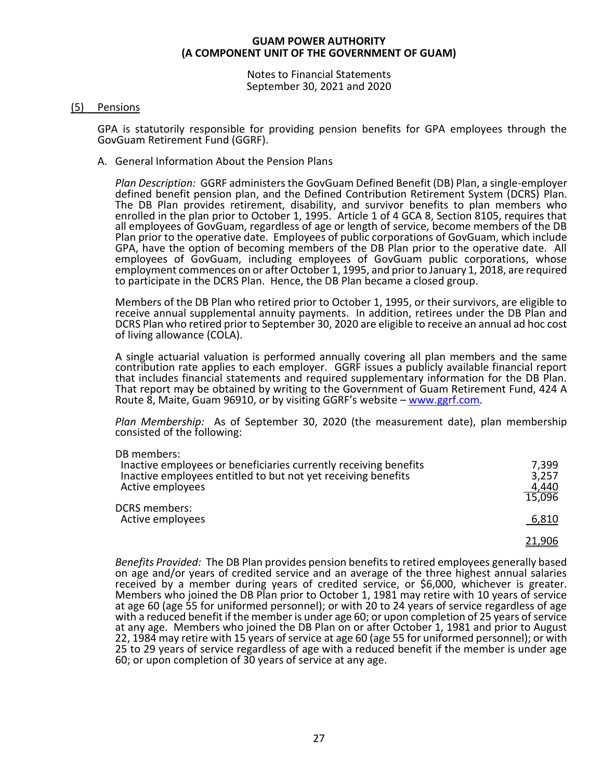Notes to Financial Statements September 30, 2021 and 2020

# (5) Pensions

GPA is statutorily responsible for providing pension benefits for GPA employees through the GovGuam Retirement Fund (GGRF).

A. General Information About the Pension Plans

*Plan Description:* GGRF administers the GovGuam Defined Benefit (DB) Plan, a single-employer defined benefit pension plan, and the Defined Contribution Retirement System (DCRS) Plan. The DB Plan provides retirement, disability, and survivor benefits to plan members who enrolled in the plan prior to October 1, 1995. Article 1 of 4 GCA 8, Section 8105, requires that all employees of GovGuam, regardless of age or length of service, become members of the DB Plan prior to the operative date. Employees of public corporations of GovGuam, which include GPA, have the option of becoming members of the DB Plan prior to the operative date. All employees of GovGuam, including employees of GovGuam public corporations, whose employment commences on or after October 1, 1995, and prior to January 1, 2018, are required to participate in the DCRS Plan. Hence, the DB Plan became a closed group.

Members of the DB Plan who retired prior to October 1, 1995, or their survivors, are eligible to receive annual supplemental annuity payments. In addition, retirees under the DB Plan and DCRS Plan who retired prior to September 30, 2020 are eligible to receive an annual ad hoc cost of living allowance (COLA).

A single actuarial valuation is performed annually covering all plan members and the same contribution rate applies to each employer. GGRF issues a publicly available financial report that includes financial statements and required supplementary information for the DB Plan. That report may be obtained by writing to the Government of Guam Retirement Fund, 424 A Route 8, Maite, Guam 96910, or by visiting GGRF's website – [www.ggrf.com.](http://www.ggrf.com/)

*Plan Membership:* As of September 30, 2020 (the measurement date), plan membership consisted of the following:

| DB members:<br>Inactive employees or beneficiaries currently receiving benefits<br>Inactive employees entitled to but not yet receiving benefits<br>Active employees<br><b>DCRS</b> members:<br>Active employees | 7,399<br>3,257<br>4,440<br>15,096 |
|------------------------------------------------------------------------------------------------------------------------------------------------------------------------------------------------------------------|-----------------------------------|
|                                                                                                                                                                                                                  | 6,810                             |
|                                                                                                                                                                                                                  | <u>21,906</u>                     |

*Benefits Provided:* The DB Plan provides pension benefits to retired employees generally based on age and/or years of credited service and an average of the three highest annual salaries received by a member during years of credited service, or \$6,000, whichever is greater. Members who joined the DB Plan prior to October 1, 1981 may retire with 10 years of service at age 60 (age 55 for uniformed personnel); or with 20 to 24 years of service regardless of age with a reduced benefit if the member is under age 60; or upon completion of 25 years of service at any age.Members who joined the DB Plan on or after October 1, 1981 and prior to August 22, 1984 may retire with 15 years of service at age 60 (age 55 for uniformed personnel); or with 25 to 29 years of service regardless of age with a reduced benefit if the member is under age 60; or upon completion of 30 years of service at any age.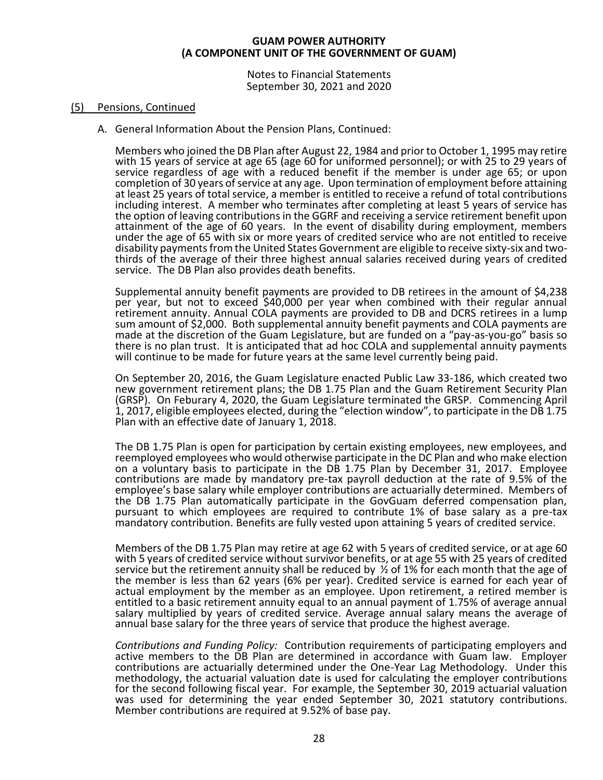Notes to Financial Statements September 30, 2021 and 2020

# (5) Pensions, Continued

A. General Information About the Pension Plans, Continued:

Members who joined the DB Plan after August 22, 1984 and prior to October 1, 1995 may retire with 15 years of service at age 65 (age 60 for uniformed personnel); or with 25 to 29 years of service regardless of age with a reduced benefit if the member is under age 65; or upon completion of 30 years of service at any age. Upon termination of employment before attaining at least 25 years of total service, a member is entitled to receive a refund of total contributions including interest. A member who terminates after completing at least 5 years of service has the option of leaving contributions in the GGRF and receiving a service retirement benefit upon attainment of the age of 60 years. In the event of disability during employment, members under the age of 65 with six or more years of credited service who are not entitled to receive disability payments from the United States Government are eligible to receive sixty-six and twothirds of the average of their three highest annual salaries received during years of credited service. The DB Plan also provides death benefits.

Supplemental annuity benefit payments are provided to DB retirees in the amount of \$4,238 per year, but not to exceed \$40,000 per year when combined with their regular annual retirement annuity. Annual COLA payments are provided to DB and DCRS retirees in a lump sum amount of \$2,000. Both supplemental annuity benefit payments and COLA payments are made at the discretion of the Guam Legislature, but are funded on a "pay-as-you-go" basis so there is no plan trust. It is anticipated that ad hoc COLA and supplemental annuity payments will continue to be made for future years at the same level currently being paid.

On September 20, 2016, the Guam Legislature enacted Public Law 33-186, which created two new government retirement plans; the DB 1.75 Plan and the Guam Retirement Security Plan (GRSP). On Feburary 4, 2020, the Guam Legislature terminated the GRSP. Commencing April 1, 2017, eligible employees elected, during the "election window", to participate in the DB 1.75 Plan with an effective date of January 1, 2018.

The DB 1.75 Plan is open for participation by certain existing employees, new employees, and reemployed employees who would otherwise participate in the DC Plan and who make election on a voluntary basis to participate in the DB 1.75 Plan by December 31, 2017. Employee contributions are made by mandatory pre-tax payroll deduction at the rate of 9.5% of the employee's base salary while employer contributions are actuarially determined. Members of the DB 1.75 Plan automatically participate in the GovGuam deferred compensation plan, pursuant to which employees are required to contribute 1% of base salary as a pre-tax mandatory contribution. Benefits are fully vested upon attaining 5 years of credited service.

Members of the DB 1.75 Plan may retire at age 62 with 5 years of credited service, or at age 60 with 5 years of credited service without survivor benefits, or at age 55 with 25 years of credited service but the retirement annuity shall be reduced by  $\frac{1}{2}$  of 1% for each month that the age of the member is less than 62 years (6% per year). Credited service is earned for each year of actual employment by the member as an employee. Upon retirement, a retired member is entitled to a basic retirement annuity equal to an annual payment of 1.75% of average annual salary multiplied by years of credited service. Average annual salary means the average of annual base salary for the three years of service that produce the highest average.

*Contributions and Funding Policy:* Contribution requirements of participating employers and active members to the DB Plan are determined in accordance with Guam law. Employer contributions are actuarially determined under the One-Year Lag Methodology. Under this methodology, the actuarial valuation date is used for calculating the employer contributions for the second following fiscal year. For example, the September 30, 2019 actuarial valuation was used for determining the year ended September 30, 2021 statutory contributions. Member contributions are required at 9.52% of base pay.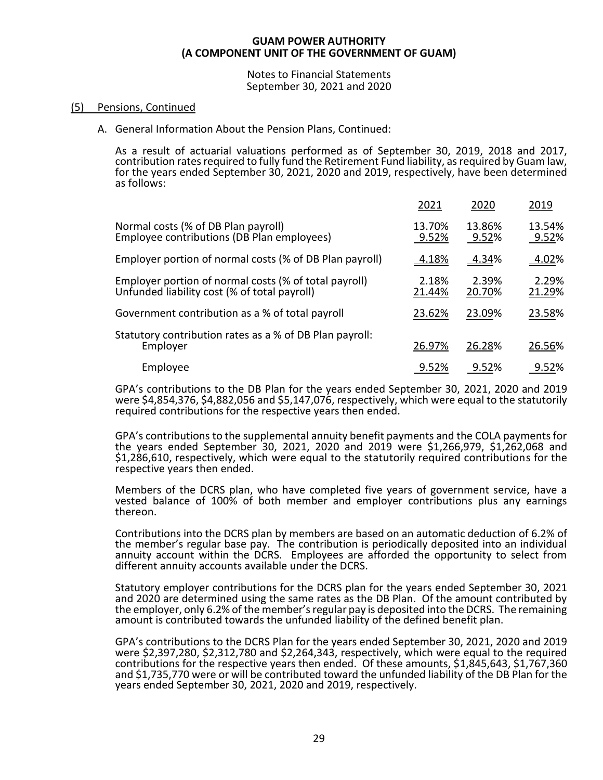Notes to Financial Statements September 30, 2021 and 2020

# (5) Pensions, Continued

A. General Information About the Pension Plans, Continued:

As a result of actuarial valuations performed as of September 30, 2019, 2018 and 2017, contribution rates required to fully fund the Retirement Fund liability, as required by Guam law, for the years ended September 30, 2021, 2020 and 2019, respectively, have been determined as follows:

|                                                                                                       | 2021            | 2020            | 2019            |
|-------------------------------------------------------------------------------------------------------|-----------------|-----------------|-----------------|
| Normal costs (% of DB Plan payroll)<br>Employee contributions (DB Plan employees)                     | 13.70%<br>9.52% | 13.86%<br>9.52% | 13.54%<br>9.52% |
| Employer portion of normal costs (% of DB Plan payroll)                                               | <u>4.18%</u>    | <u>4.34</u> %   | 4.02%           |
| Employer portion of normal costs (% of total payroll)<br>Unfunded liability cost (% of total payroll) | 2.18%<br>21.44% | 2.39%<br>20.70% | 2.29%<br>21.29% |
| Government contribution as a % of total payroll                                                       | 23.62%          | 23.09%          | 23.58%          |
| Statutory contribution rates as a % of DB Plan payroll:<br>Employer                                   | 26.97%          | 26.28%          | 26.56%          |
| Employee                                                                                              | 9.52%           | <u>9.52%</u>    | 9.52%           |

GPA's contributions to the DB Plan for the years ended September 30, 2021, 2020 and 2019 were \$4,854,376, \$4,882,056 and \$5,147,076, respectively, which were equal to the statutorily required contributions for the respective years then ended.

GPA's contributions to the supplemental annuity benefit payments and the COLA payments for the years ended September 30, 2021, 2020 and 2019 were \$1,266,979, \$1,262,068 and \$1,286,610, respectively, which were equal to the statutorily required contributions for the respective years then ended.

Members of the DCRS plan, who have completed five years of government service, have a vested balance of 100% of both member and employer contributions plus any earnings thereon.

Contributions into the DCRS plan by members are based on an automatic deduction of 6.2% of the member's regular base pay. The contribution is periodically deposited into an individual annuity account within the DCRS. Employees are afforded the opportunity to select from different annuity accounts available under the DCRS.

Statutory employer contributions for the DCRS plan for the years ended September 30, 2021 and 2020 are determined using the same rates as the DB Plan. Of the amount contributed by the employer, only 6.2% of the member's regular pay is deposited into the DCRS. The remaining amount is contributed towards the unfunded liability of the defined benefit plan.

GPA's contributions to the DCRS Plan for the years ended September 30, 2021, 2020 and 2019 were \$2,397,280, \$2,312,780 and \$2,264,343, respectively, which were equal to the required contributions for the respective years then ended. Of these amounts, \$1,845,643, \$1,767,360 and \$1,735,770 were or will be contributed toward the unfunded liability of the DB Plan for the years ended September 30, 2021, 2020 and 2019, respectively.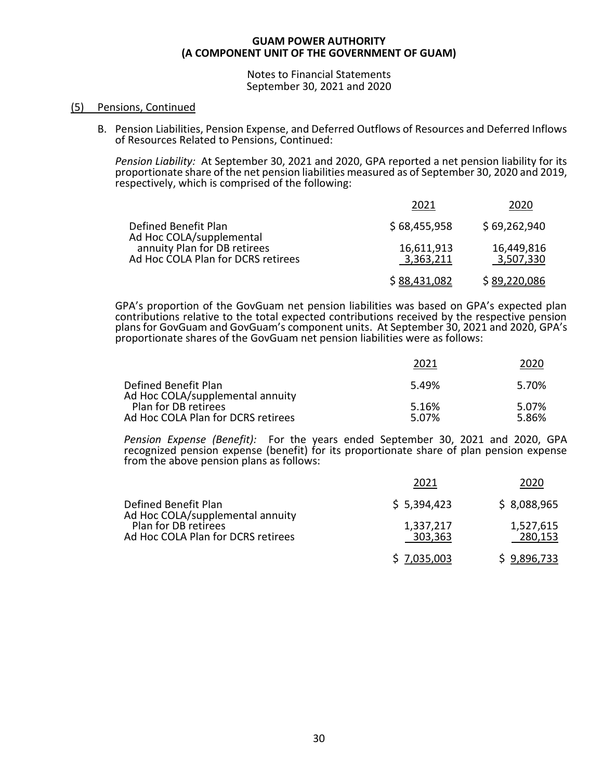Notes to Financial Statements September 30, 2021 and 2020

# (5) Pensions, Continued

B. Pension Liabilities, Pension Expense, and Deferred Outflows of Resources and Deferred Inflows of Resources Related to Pensions, Continued:

*Pension Liability:* At September 30, 2021 and 2020, GPA reported a net pension liability for its proportionate share of the net pension liabilities measured as of September 30, 2020 and 2019, respectively, which is comprised of the following:

|                                                                    | 2021                    | 2020                    |
|--------------------------------------------------------------------|-------------------------|-------------------------|
| Defined Benefit Plan<br>Ad Hoc COLA/supplemental                   | \$68,455,958            | \$69,262,940            |
| annuity Plan for DB retirees<br>Ad Hoc COLA Plan for DCRS retirees | 16,611,913<br>3,363,211 | 16,449,816<br>3,507,330 |
|                                                                    | \$88,431,082            | \$89,220,086            |

GPA's proportion of the GovGuam net pension liabilities was based on GPA's expected plan contributions relative to the total expected contributions received by the respective pension plans for GovGuam and GovGuam's component units. At September 30, 2021 and 2020, GPA's proportionate shares of the GovGuam net pension liabilities were as follows:

|                                                            | 2021           | 2020           |
|------------------------------------------------------------|----------------|----------------|
| Defined Benefit Plan<br>Ad Hoc COLA/supplemental annuity   | 5.49%          | 5.70%          |
| Plan for DB retirees<br>Ad Hoc COLA Plan for DCRS retirees | 5.16%<br>5.07% | 5.07%<br>5.86% |

*Pension Expense (Benefit):* For the years ended September 30, 2021 and 2020, GPA recognized pension expense (benefit) for its proportionate share of plan pension expense from the above pension plans as follows:

|                                                            | 2021                 | 2020                 |
|------------------------------------------------------------|----------------------|----------------------|
| Defined Benefit Plan<br>Ad Hoc COLA/supplemental annuity   | \$5,394,423          | \$8,088,965          |
| Plan for DB retirees<br>Ad Hoc COLA Plan for DCRS retirees | 1,337,217<br>303,363 | 1,527,615<br>280,153 |
|                                                            | \$7,035,003          | \$9,896,733          |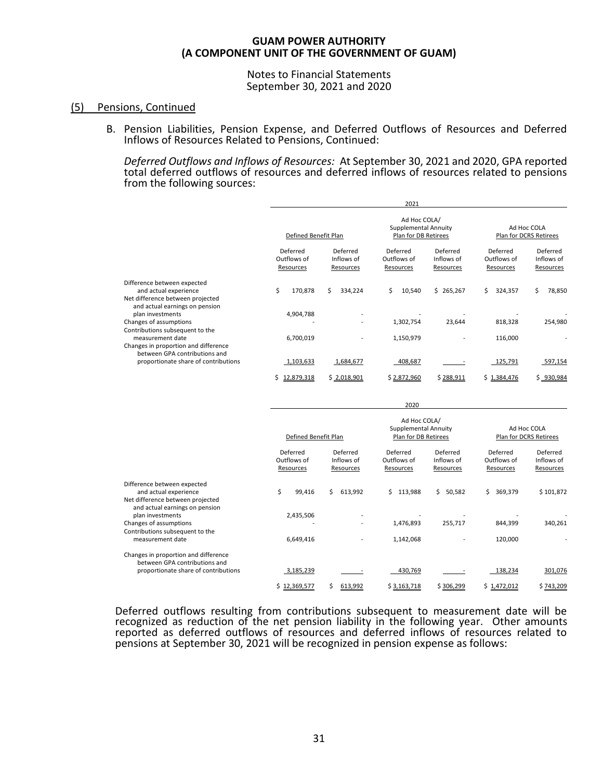Notes to Financial Statements September 30, 2021 and 2020

# (5) Pensions, Continued

B. Pension Liabilities, Pension Expense, and Deferred Outflows of Resources and Deferred Inflows of Resources Related to Pensions, Continued:

*Deferred Outflows and Inflows of Resources:* At September 30, 2021 and 2020, GPA reported total deferred outflows of resources and deferred inflows of resources related to pensions from the following sources:

|                                                                                                                            |                                      |                                     | 2021                                                         |                                     |                                      |                                       |
|----------------------------------------------------------------------------------------------------------------------------|--------------------------------------|-------------------------------------|--------------------------------------------------------------|-------------------------------------|--------------------------------------|---------------------------------------|
|                                                                                                                            | Defined Benefit Plan                 |                                     | Ad Hoc COLA/<br>Supplemental Annuity<br>Plan for DB Retirees |                                     |                                      | Ad Hoc COLA<br>Plan for DCRS Retirees |
|                                                                                                                            | Deferred<br>Outflows of<br>Resources | Deferred<br>Inflows of<br>Resources | Deferred<br>Outflows of<br>Resources                         | Deferred<br>Inflows of<br>Resources | Deferred<br>Outflows of<br>Resources | Deferred<br>Inflows of<br>Resources   |
| Difference between expected<br>and actual experience<br>Net difference between projected<br>and actual earnings on pension | Ś.<br>170,878                        | Ś.<br>334,224                       | Ś.<br>10,540                                                 | \$265,267                           | 324,357<br>Ś.                        | 78,850<br>Ś                           |
| plan investments<br>Changes of assumptions<br>Contributions subsequent to the                                              | 4,904,788                            | $\overline{\phantom{0}}$            | 1,302,754                                                    | 23,644                              | 818,328                              | 254,980                               |
| measurement date<br>Changes in proportion and difference<br>between GPA contributions and                                  | 6,700,019                            | $\overline{\phantom{a}}$            | 1,150,979                                                    |                                     | 116,000                              |                                       |
| proportionate share of contributions                                                                                       | 1,103,633                            | 1,684,677                           | 408,687                                                      |                                     | 125,791                              | 597,154                               |
|                                                                                                                            | 12,879,318                           | \$2,018,901                         | \$2,872,960                                                  | \$288,911                           | \$1,384,476                          | \$930,984                             |

|                                                                                                                            |                                      |                                     | 2020                                                                |                                     |                                       |                                     |
|----------------------------------------------------------------------------------------------------------------------------|--------------------------------------|-------------------------------------|---------------------------------------------------------------------|-------------------------------------|---------------------------------------|-------------------------------------|
|                                                                                                                            | Defined Benefit Plan                 |                                     | Ad Hoc COLA/<br><b>Supplemental Annuity</b><br>Plan for DB Retirees |                                     | Ad Hoc COLA<br>Plan for DCRS Retirees |                                     |
|                                                                                                                            | Deferred<br>Outflows of<br>Resources | Deferred<br>Inflows of<br>Resources | Deferred<br>Outflows of<br>Resources                                | Deferred<br>Inflows of<br>Resources | Deferred<br>Outflows of<br>Resources  | Deferred<br>Inflows of<br>Resources |
| Difference between expected<br>and actual experience<br>Net difference between projected<br>and actual earnings on pension | \$<br>99,416                         | 613,992<br>Ś.                       | 113,988<br>Ś.                                                       | Ś.<br>50,582                        | Ś.<br>369,379                         | \$101,872                           |
| plan investments                                                                                                           | 2,435,506                            |                                     |                                                                     |                                     |                                       |                                     |
| Changes of assumptions<br>Contributions subsequent to the                                                                  |                                      |                                     | 1,476,893                                                           | 255,717                             | 844,399                               | 340,261                             |
| measurement date                                                                                                           | 6,649,416                            |                                     | 1,142,068                                                           |                                     | 120,000                               |                                     |
| Changes in proportion and difference<br>between GPA contributions and                                                      |                                      |                                     |                                                                     |                                     |                                       |                                     |
| proportionate share of contributions                                                                                       | 3,185,239                            |                                     | 430,769                                                             |                                     | 138,234                               | 301,076                             |
|                                                                                                                            | \$12,369,577                         | 613,992                             | \$3,163,718                                                         | \$306,299                           | \$1,472,012                           | \$743,209                           |

Deferred outflows resulting from contributions subsequent to measurement date will be recognized as reduction of the net pension liability in the following year. Other amounts reported as deferred outflows of resources and deferred inflows of resources related to pensions at September 30, 2021 will be recognized in pension expense as follows: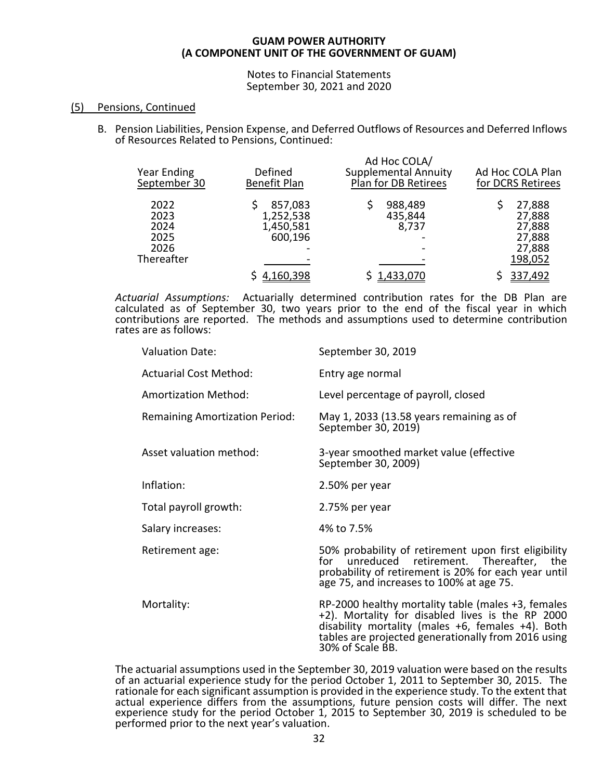Notes to Financial Statements September 30, 2021 and 2020

# (5) Pensions, Continued

B. Pension Liabilities, Pension Expense, and Deferred Outflows of Resources and Deferred Inflows of Resources Related to Pensions, Continued:

| <b>Year Ending</b><br>September 30                 | Defined<br><b>Benefit Plan</b>               | Ad Hoc COLA/<br><b>Supplemental Annuity</b><br>Plan for DB Retirees | Ad Hoc COLA Plan<br>for DCRS Retirees                     |
|----------------------------------------------------|----------------------------------------------|---------------------------------------------------------------------|-----------------------------------------------------------|
| 2022<br>2023<br>2024<br>2025<br>2026<br>Thereafter | 857,083<br>1,252,538<br>1,450,581<br>600,196 | 988,489<br>435,844<br>8,737                                         | 27,888<br>27,888<br>27,888<br>27,888<br>27,888<br>198,052 |
|                                                    | <u>4,160,398</u>                             | <u>1,433,070</u>                                                    | 337,492                                                   |

*Actuarial Assumptions:* Actuarially determined contribution rates for the DB Plan are calculated as of September 30, two years prior to the end of the fiscal year in which contributions are reported. The methods and assumptions used to determine contribution rates are as follows:

| <b>Valuation Date:</b>                | September 30, 2019                                                                                                                                                                                                                                |
|---------------------------------------|---------------------------------------------------------------------------------------------------------------------------------------------------------------------------------------------------------------------------------------------------|
| <b>Actuarial Cost Method:</b>         | Entry age normal                                                                                                                                                                                                                                  |
| <b>Amortization Method:</b>           | Level percentage of payroll, closed                                                                                                                                                                                                               |
| <b>Remaining Amortization Period:</b> | May 1, 2033 (13.58 years remaining as of<br>September 30, 2019)                                                                                                                                                                                   |
| Asset valuation method:               | 3-year smoothed market value (effective<br>September 30, 2009)                                                                                                                                                                                    |
| Inflation:                            | 2.50% per year                                                                                                                                                                                                                                    |
| Total payroll growth:                 | 2.75% per year                                                                                                                                                                                                                                    |
| Salary increases:                     | 4% to 7.5%                                                                                                                                                                                                                                        |
| Retirement age:                       | 50% probability of retirement upon first eligibility<br>for unreduced retirement. Thereafter, the<br>probability of retirement is 20% for each year until<br>age 75, and increases to 100% at age 75.                                             |
| Mortality:                            | $RP-2000$ healthy mortality table (males $+3$ , females<br>+2). Mortality for disabled lives is the RP 2000<br>disability mortality (males $+6$ , females $+4$ ). Both<br>tables are projected generationally from 2016 using<br>30% of Scale BB. |

The actuarial assumptions used in the September 30, 2019 valuation were based on the results of an actuarial experience study for the period October 1, 2011 to September 30, 2015. The rationale for each significant assumption is provided in the experience study. To the extent that actual experience differs from the assumptions, future pension costs will differ. The next experience study for the period October 1, 2015 to September 30, 2019 is scheduled to be performed prior to the next year's valuation.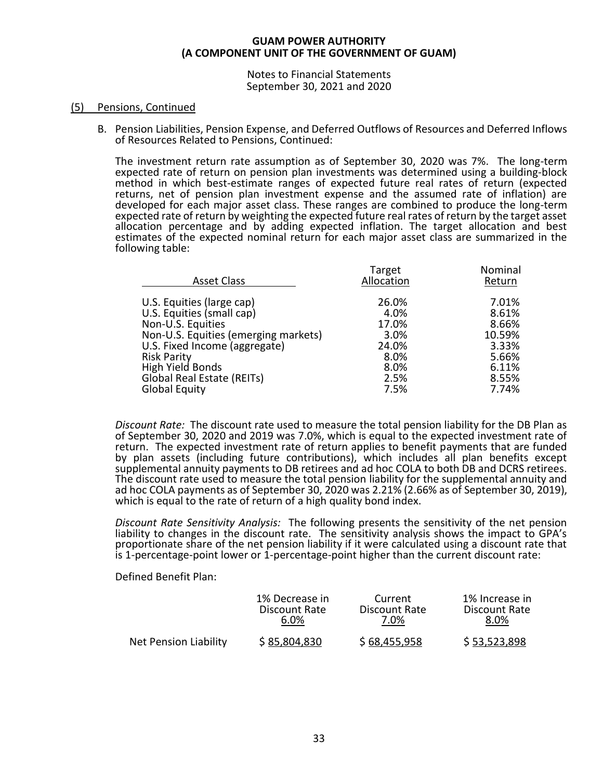Notes to Financial Statements September 30, 2021 and 2020

# (5) Pensions, Continued

B. Pension Liabilities, Pension Expense, and Deferred Outflows of Resources and Deferred Inflows of Resources Related to Pensions, Continued:

The investment return rate assumption as of September 30, 2020 was 7%. The long-term expected rate of return on pension plan investments was determined using a building-block method in which best-estimate ranges of expected future real rates of return (expected returns, net of pension plan investment expense and the assumed rate of inflation) are developed for each major asset class. These ranges are combined to produce the long-term expected rate of return by weighting the expected future real rates of return by the target asset allocation percentage and by adding expected inflation. The target allocation and best estimates of the expected nominal return for each major asset class are summarized in the following table:

| Return |
|--------|
|        |
| 7.01%  |
| 8.61%  |
| 8.66%  |
| 10.59% |
| 3.33%  |
| 5.66%  |
| 6.11%  |
| 8.55%  |
| 7.74%  |
|        |

*Discount Rate:* The discount rate used to measure the total pension liability for the DB Plan as of September 30, 2020 and 2019 was 7.0%, which is equal to the expected investment rate of return. The expected investment rate of return applies to benefit payments that are funded by plan assets (including future contributions), which includes all plan benefits except supplemental annuity payments to DB retirees and ad hoc COLA to both DB and DCRS retirees. The discount rate used to measure the total pension liability for the supplemental annuity and ad hoc COLA payments as of September 30, 2020 was 2.21% (2.66% as of September 30, 2019), which is equal to the rate of return of a high quality bond index.

*Discount Rate Sensitivity Analysis:* The following presents the sensitivity of the net pension liability to changes in the discount rate. The sensitivity analysis shows the impact to GPA's proportionate share of the net pension liability if it were calculated using a discount rate that is 1-percentage-point lower or 1-percentage-point higher than the current discount rate:

Defined Benefit Plan:

|                       | 1% Decrease in | Current       | 1% Increase in |
|-----------------------|----------------|---------------|----------------|
|                       | Discount Rate  | Discount Rate | Discount Rate  |
|                       | 6.0%           | 7.0%          | 8.0%           |
| Net Pension Liability | \$85,804,830   | \$68,455,958  | \$53,523,898   |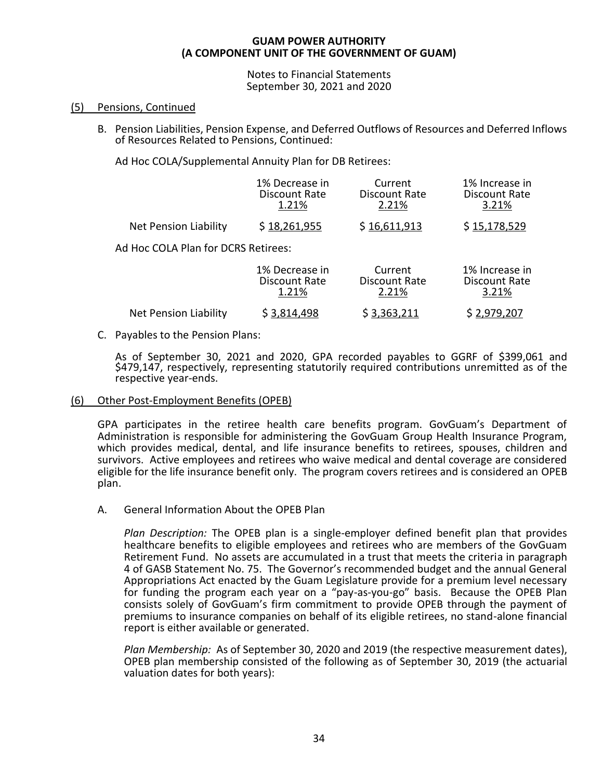Notes to Financial Statements September 30, 2021 and 2020

# (5) Pensions, Continued

B. Pension Liabilities, Pension Expense, and Deferred Outflows of Resources and Deferred Inflows of Resources Related to Pensions, Continued:

Ad Hoc COLA/Supplemental Annuity Plan for DB Retirees:

|                                     | 1% Decrease in | Current       | 1% Increase in |
|-------------------------------------|----------------|---------------|----------------|
|                                     | Discount Rate  | Discount Rate | Discount Rate  |
|                                     | 1.21%          | 2.21%         | 3.21%          |
| <b>Net Pension Liability</b>        | \$18,261,955   | \$16,611,913  | \$15,178,529   |
| Ad Hoc COLA Plan for DCRS Retirees: |                |               |                |
|                                     | 1% Decrease in | Current       | 1% Increase in |
|                                     | Discount Rate  | Discount Rate | Discount Rate  |
|                                     | 1 21%          | ን ን1%         | 3 21%          |

| <b>Net Pension Liability</b> | \$3,814,498 | \$3,363,211 | \$2,979,207 |
|------------------------------|-------------|-------------|-------------|
|------------------------------|-------------|-------------|-------------|

C. Payables to the Pension Plans:

As of September 30, 2021 and 2020, GPA recorded payables to GGRF of \$399,061 and \$479,147, respectively, representing statutorily required contributions unremitted as of the respective year-ends.

# (6) Other Post-Employment Benefits (OPEB)

GPA participates in the retiree health care benefits program. GovGuam's Department of Administration is responsible for administering the GovGuam Group Health Insurance Program, which provides medical, dental, and life insurance benefits to retirees, spouses, children and survivors. Active employees and retirees who waive medical and dental coverage are considered eligible for the life insurance benefit only. The program covers retirees and is considered an OPEB plan.

A. General Information About the OPEB Plan

*Plan Description:* The OPEB plan is a single-employer defined benefit plan that provides healthcare benefits to eligible employees and retirees who are members of the GovGuam Retirement Fund. No assets are accumulated in a trust that meets the criteria in paragraph 4 of GASB Statement No. 75. The Governor's recommended budget and the annual General Appropriations Act enacted by the Guam Legislature provide for a premium level necessary for funding the program each year on a "pay-as-you-go" basis. Because the OPEB Plan consists solely of GovGuam's firm commitment to provide OPEB through the payment of premiums to insurance companies on behalf of its eligible retirees, no stand-alone financial report is either available or generated.

*Plan Membership:* As of September 30, 2020 and 2019 (the respective measurement dates), OPEB plan membership consisted of the following as of September 30, 2019 (the actuarial valuation dates for both years):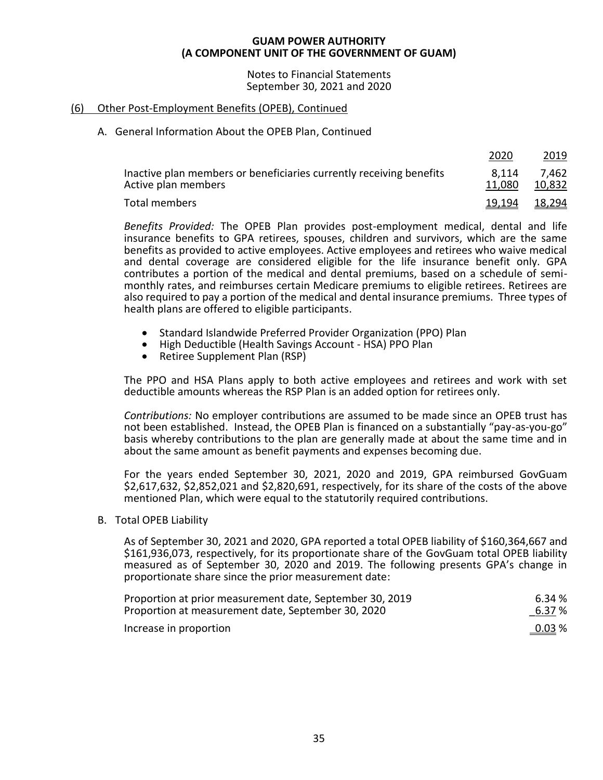Notes to Financial Statements September 30, 2021 and 2020

# (6) Other Post-Employment Benefits (OPEB), Continued

# A. General Information About the OPEB Plan, Continued

|                                                                                            | 2020                 | 2019            |
|--------------------------------------------------------------------------------------------|----------------------|-----------------|
| Inactive plan members or beneficiaries currently receiving benefits<br>Active plan members | 8.114<br>11,080      | 7,462<br>10,832 |
| Total members                                                                              | <u>19,194 18,294</u> |                 |

*Benefits Provided:* The OPEB Plan provides post-employment medical, dental and life insurance benefits to GPA retirees, spouses, children and survivors, which are the same benefits as provided to active employees. Active employees and retirees who waive medical and dental coverage are considered eligible for the life insurance benefit only. GPA contributes a portion of the medical and dental premiums, based on a schedule of semimonthly rates, and reimburses certain Medicare premiums to eligible retirees. Retirees are also required to pay a portion of the medical and dental insurance premiums. Three types of health plans are offered to eligible participants.

- Standard Islandwide Preferred Provider Organization (PPO) Plan
- High Deductible (Health Savings Account HSA) PPO Plan
- Retiree Supplement Plan (RSP)

The PPO and HSA Plans apply to both active employees and retirees and work with set deductible amounts whereas the RSP Plan is an added option for retirees only.

*Contributions:* No employer contributions are assumed to be made since an OPEB trust has not been established. Instead, the OPEB Plan is financed on a substantially "pay-as-you-go" basis whereby contributions to the plan are generally made at about the same time and in about the same amount as benefit payments and expenses becoming due.

For the years ended September 30, 2021, 2020 and 2019, GPA reimbursed GovGuam \$2,617,632, \$2,852,021 and \$2,820,691, respectively, for its share of the costs of the above mentioned Plan, which were equal to the statutorily required contributions.

# B. Total OPEB Liability

As of September 30, 2021 and 2020, GPA reported a total OPEB liability of \$160,364,667 and \$161,936,073, respectively, for its proportionate share of the GovGuam total OPEB liability measured as of September 30, 2020 and 2019. The following presents GPA's change in proportionate share since the prior measurement date:

| Proportion at prior measurement date, September 30, 2019 | 6.34 % |
|----------------------------------------------------------|--------|
| Proportion at measurement date, September 30, 2020       | 6.37 % |
| Increase in proportion                                   | 0.03%  |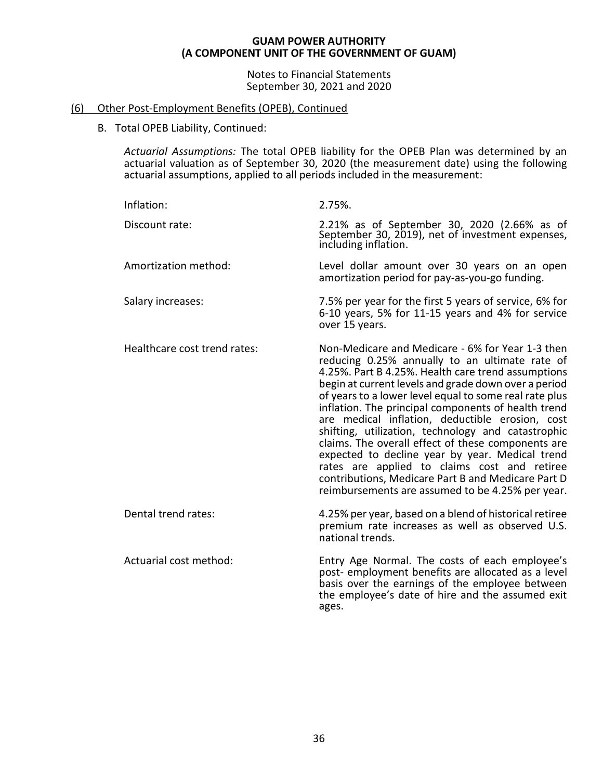Notes to Financial Statements September 30, 2021 and 2020

# (6) Other Post-Employment Benefits (OPEB), Continued

B. Total OPEB Liability, Continued:

*Actuarial Assumptions:* The total OPEB liability for the OPEB Plan was determined by an actuarial valuation as of September 30, 2020 (the measurement date) using the following actuarial assumptions, applied to all periods included in the measurement:

| Inflation:                   | 2.75%.                                                                                                                                                                                                                                                                                                                                                                                                                                                                                                                                                                                                                                                                                                        |
|------------------------------|---------------------------------------------------------------------------------------------------------------------------------------------------------------------------------------------------------------------------------------------------------------------------------------------------------------------------------------------------------------------------------------------------------------------------------------------------------------------------------------------------------------------------------------------------------------------------------------------------------------------------------------------------------------------------------------------------------------|
| Discount rate:               | 2.21% as of September 30, 2020 (2.66% as of September 30, 2019), net of investment expenses,<br>including inflation.                                                                                                                                                                                                                                                                                                                                                                                                                                                                                                                                                                                          |
| Amortization method:         | Level dollar amount over 30 years on an open<br>amortization period for pay-as-you-go funding.                                                                                                                                                                                                                                                                                                                                                                                                                                                                                                                                                                                                                |
| Salary increases:            | 7.5% per year for the first 5 years of service, 6% for<br>6-10 years, 5% for 11-15 years and 4% for service<br>over 15 years.                                                                                                                                                                                                                                                                                                                                                                                                                                                                                                                                                                                 |
| Healthcare cost trend rates: | Non-Medicare and Medicare - 6% for Year 1-3 then<br>reducing 0.25% annually to an ultimate rate of<br>4.25%. Part B 4.25%. Health care trend assumptions<br>begin at current levels and grade down over a period<br>of years to a lower level equal to some real rate plus<br>inflation. The principal components of health trend<br>are medical inflation, deductible erosion, cost<br>shifting, utilization, technology and catastrophic<br>claims. The overall effect of these components are<br>expected to decline year by year. Medical trend<br>rates are applied to claims cost and retiree<br>contributions, Medicare Part B and Medicare Part D<br>reimbursements are assumed to be 4.25% per year. |
| Dental trend rates:          | 4.25% per year, based on a blend of historical retiree<br>premium rate increases as well as observed U.S.<br>national trends.                                                                                                                                                                                                                                                                                                                                                                                                                                                                                                                                                                                 |
| Actuarial cost method:       | Entry Age Normal. The costs of each employee's<br>post- employment benefits are allocated as a level<br>basis over the earnings of the employee between<br>the employee's date of hire and the assumed exit<br>ages.                                                                                                                                                                                                                                                                                                                                                                                                                                                                                          |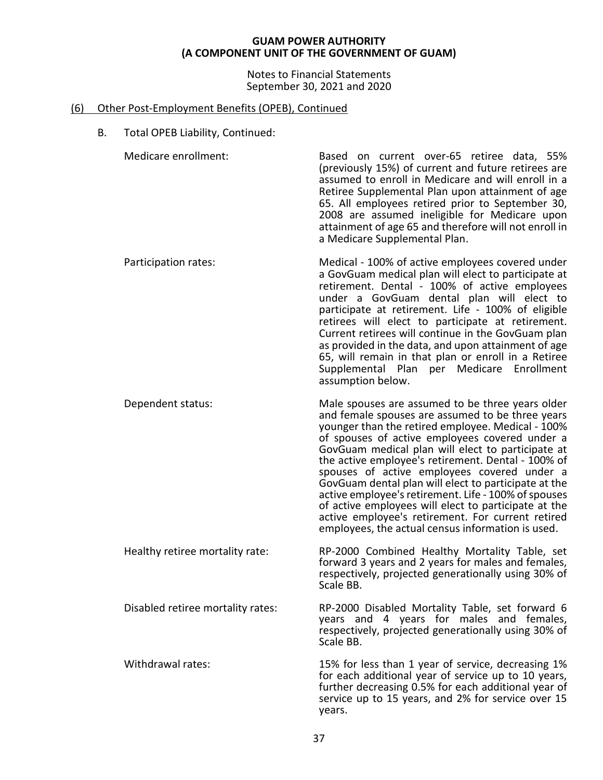Notes to Financial Statements September 30, 2021 and 2020

# (6) Other Post-Employment Benefits (OPEB), Continued

B. Total OPEB Liability, Continued:

| Medicare enrollment:              | Based on current over-65 retiree data, 55%<br>(previously 15%) of current and future retirees are<br>assumed to enroll in Medicare and will enroll in a<br>Retiree Supplemental Plan upon attainment of age<br>65. All employees retired prior to September 30,<br>2008 are assumed ineligible for Medicare upon<br>attainment of age 65 and therefore will not enroll in<br>a Medicare Supplemental Plan.                                                                                                                                                                                                                                              |
|-----------------------------------|---------------------------------------------------------------------------------------------------------------------------------------------------------------------------------------------------------------------------------------------------------------------------------------------------------------------------------------------------------------------------------------------------------------------------------------------------------------------------------------------------------------------------------------------------------------------------------------------------------------------------------------------------------|
| Participation rates:              | Medical - 100% of active employees covered under<br>a GovGuam medical plan will elect to participate at<br>retirement. Dental - 100% of active employees<br>under a GovGuam dental plan will elect to<br>participate at retirement. Life - 100% of eligible<br>retirees will elect to participate at retirement.<br>Current retirees will continue in the GovGuam plan<br>as provided in the data, and upon attainment of age<br>65, will remain in that plan or enroll in a Retiree<br>Supplemental Plan per Medicare<br>Enrollment<br>assumption below.                                                                                               |
| Dependent status:                 | Male spouses are assumed to be three years older<br>and female spouses are assumed to be three years<br>younger than the retired employee. Medical - 100%<br>of spouses of active employees covered under a<br>GovGuam medical plan will elect to participate at<br>the active employee's retirement. Dental - 100% of<br>spouses of active employees covered under a<br>GovGuam dental plan will elect to participate at the<br>active employee's retirement. Life - 100% of spouses<br>of active employees will elect to participate at the<br>active employee's retirement. For current retired<br>employees, the actual census information is used. |
| Healthy retiree mortality rate:   | RP-2000 Combined Healthy Mortality Table, set<br>forward 3 years and 2 years for males and females,<br>respectively, projected generationally using 30% of<br>Scale BB.                                                                                                                                                                                                                                                                                                                                                                                                                                                                                 |
| Disabled retiree mortality rates: | RP-2000 Disabled Mortality Table, set forward 6<br>years and 4 years for males and females,<br>respectively, projected generationally using 30% of<br>Scale BB.                                                                                                                                                                                                                                                                                                                                                                                                                                                                                         |
| Withdrawal rates:                 | 15% for less than 1 year of service, decreasing 1%<br>for each additional year of service up to 10 years,<br>further decreasing 0.5% for each additional year of<br>service up to 15 years, and 2% for service over 15<br>years.                                                                                                                                                                                                                                                                                                                                                                                                                        |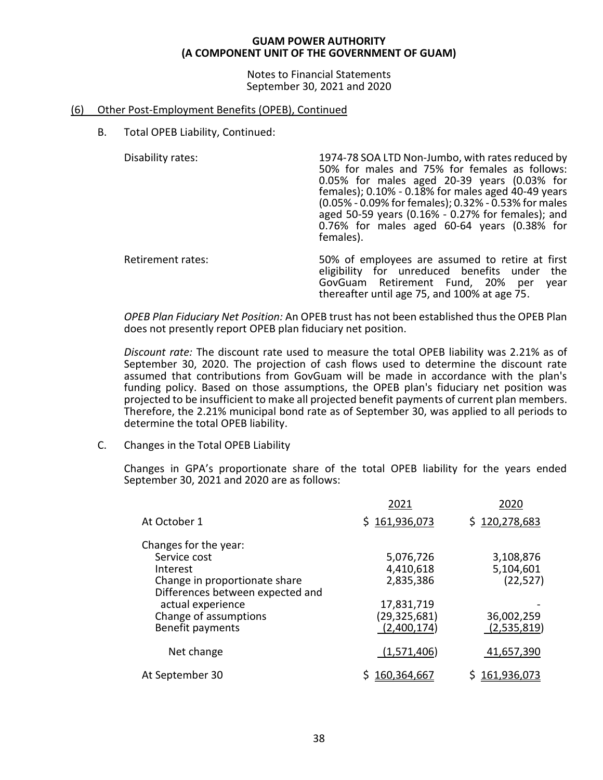Notes to Financial Statements September 30, 2021 and 2020

# (6) Other Post-Employment Benefits (OPEB), Continued

B. Total OPEB Liability, Continued:

Disability rates: 1974-78 SOA LTD Non-Jumbo, with rates reduced by 50% for males and 75% for females as follows: 0.05% for males aged 20-39 years (0.03% for females);  $0.10\%$  -  $0.18\%$  for males aged 40-49 years (0.05% - 0.09% for females); 0.32% - 0.53% for males aged 50-59 years (0.16% - 0.27% for females); and 0.76% for males aged 60-64 years (0.38% for females).

Retirement rates: 50% of employees are assumed to retire at first eligibility for unreduced benefits under the GovGuam Retirement Fund, 20% per year thereafter until age 75, and 100% at age 75.

*OPEB Plan Fiduciary Net Position:* An OPEB trust has not been established thus the OPEB Plan does not presently report OPEB plan fiduciary net position.

*Discount rate:* The discount rate used to measure the total OPEB liability was 2.21% as of September 30, 2020. The projection of cash flows used to determine the discount rate assumed that contributions from GovGuam will be made in accordance with the plan's funding policy. Based on those assumptions, the OPEB plan's fiduciary net position was projected to be insufficient to make all projected benefit payments of current plan members. Therefore, the 2.21% municipal bond rate as of September 30, was applied to all periods to determine the total OPEB liability.

C. Changes in the Total OPEB Liability

Changes in GPA's proportionate share of the total OPEB liability for the years ended September 30, 2021 and 2020 are as follows:

|                                  | 2021           | 2020          |
|----------------------------------|----------------|---------------|
| At October 1                     | \$161,936,073  | \$120,278,683 |
| Changes for the year:            |                |               |
| Service cost                     | 5,076,726      | 3,108,876     |
| Interest                         | 4,410,618      | 5,104,601     |
| Change in proportionate share    | 2,835,386      | (22, 527)     |
| Differences between expected and |                |               |
| actual experience                | 17,831,719     |               |
| Change of assumptions            | (29, 325, 681) | 36,002,259    |
| Benefit payments                 | (2,400,174)    | (2,535,819)   |
| Net change                       | (1,571,406)    | 41,657,390    |
| At September 30                  | 160,364,667    | 161,936,073   |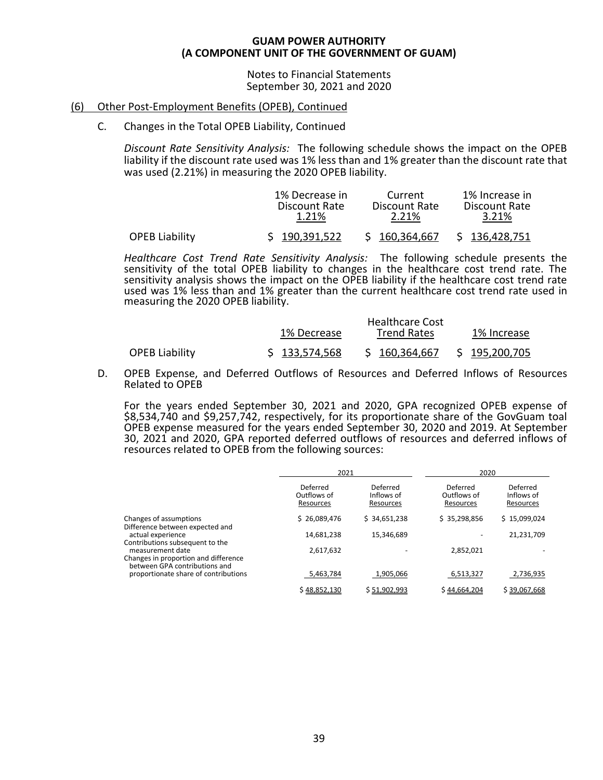Notes to Financial Statements September 30, 2021 and 2020

# (6) Other Post-Employment Benefits (OPEB), Continued

# C. Changes in the Total OPEB Liability, Continued

*Discount Rate Sensitivity Analysis:* The following schedule shows the impact on the OPEB liability if the discount rate used was 1% less than and 1% greater than the discount rate that was used (2.21%) in measuring the 2020 OPEB liability.

|                       | 1% Decrease in         | Current                | 1% Increase in         |
|-----------------------|------------------------|------------------------|------------------------|
|                       | Discount Rate<br>1.21% | Discount Rate<br>2.21% | Discount Rate<br>3.21% |
| <b>OPEB Liability</b> | \$190,391,522          | \$160,364,667          | \$136,428,751          |

*Healthcare Cost Trend Rate Sensitivity Analysis:* The following schedule presents the sensitivity of the total OPEB liability to changes in the healthcare cost trend rate. The sensitivity analysis shows the impact on the OPEB liability if the healthcare cost trend rate used was 1% less than and 1% greater than the current healthcare cost trend rate used in measuring the 2020 OPEB liability.

 $\mathbf{H}$  Healthcare Cost  $\mathbf{C}$ 

|                       | 1% Decrease   | -Healthcare Cost<br><b>Trend Rates</b> | 1% Increase           |
|-----------------------|---------------|----------------------------------------|-----------------------|
| <b>OPEB Liability</b> | \$133,574,568 | \$160,364,667                          | \$195 <u>,200,705</u> |

D. OPEB Expense, and Deferred Outflows of Resources and Deferred Inflows of Resources Related to OPEB

For the years ended September 30, 2021 and 2020, GPA recognized OPEB expense of \$8,534,740 and \$9,257,742, respectively, for its proportionate share of the GovGuam toal OPEB expense measured for the years ended September 30, 2020 and 2019. At September 30, 2021 and 2020, GPA reported deferred outflows of resources and deferred inflows of resources related to OPEB from the following sources:

|                                                                                           | 2021                                 |                                     | 2020                                 |                                     |
|-------------------------------------------------------------------------------------------|--------------------------------------|-------------------------------------|--------------------------------------|-------------------------------------|
|                                                                                           | Deferred<br>Outflows of<br>Resources | Deferred<br>Inflows of<br>Resources | Deferred<br>Outflows of<br>Resources | Deferred<br>Inflows of<br>Resources |
| Changes of assumptions<br>Difference between expected and                                 | \$26,089,476                         | \$34,651,238                        | \$35,298,856                         | \$15,099,024                        |
| actual experience<br>Contributions subsequent to the                                      | 14,681,238                           | 15,346,689                          |                                      | 21,231,709                          |
| measurement date<br>Changes in proportion and difference<br>between GPA contributions and | 2,617,632                            |                                     | 2,852,021                            |                                     |
| proportionate share of contributions                                                      | 5,463,784                            | 1,905,066                           | 6,513,327                            | 2,736,935                           |
|                                                                                           | \$48,852,130                         | \$51,902,993                        | \$44,664,204                         | \$39,067,668                        |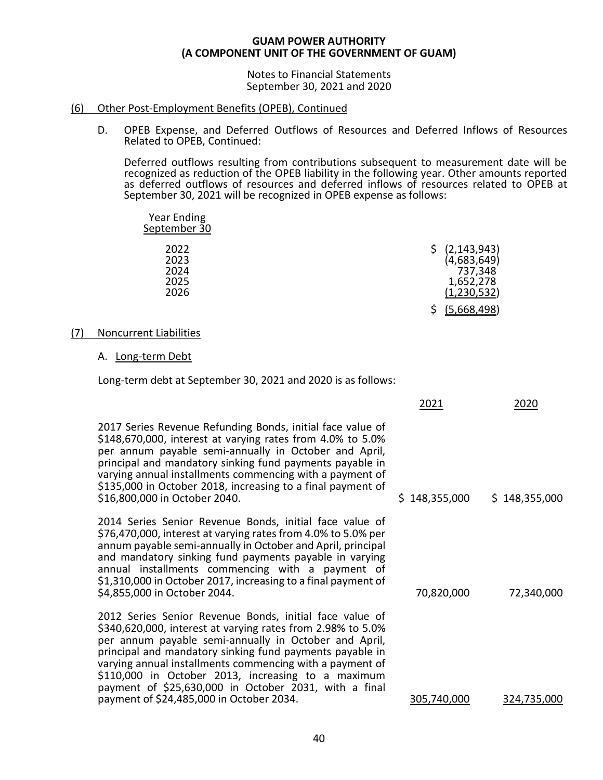Notes to Financial Statements September 30, 2021 and 2020

# (6) Other Post-Employment Benefits (OPEB), Continued

D. OPEB Expense, and Deferred Outflows of Resources and Deferred Inflows of Resources Related to OPEB, Continued:

Deferred outflows resulting from contributions subsequent to measurement date will be recognized as reduction of the OPEB liability in the following year. Other amounts reported as deferred outflows of resources and deferred inflows of resources related to OPEB at September 30, 2021 will be recognized in OPEB expense as follows:

| <b>Year Ending</b><br>September 30   |                                                                       |
|--------------------------------------|-----------------------------------------------------------------------|
| 2022<br>2023<br>2024<br>2025<br>2026 | (2, 143, 943)<br>(4,683,649)<br>737,348<br>1,652,278<br>(1, 230, 532) |
|                                      | (5,668,498)                                                           |

# (7) Noncurrent Liabilities

# A. Long-term Debt

Long-term debt at September 30, 2021 and 2020 is as follows:

|                                                                                                                                                                                                                                                                                                                                                                                                                                                                    | 2021          | 2020          |
|--------------------------------------------------------------------------------------------------------------------------------------------------------------------------------------------------------------------------------------------------------------------------------------------------------------------------------------------------------------------------------------------------------------------------------------------------------------------|---------------|---------------|
| 2017 Series Revenue Refunding Bonds, initial face value of<br>\$148,670,000, interest at varying rates from 4.0% to 5.0%<br>per annum payable semi-annually in October and April,<br>principal and mandatory sinking fund payments payable in<br>varying annual installments commencing with a payment of<br>\$135,000 in October 2018, increasing to a final payment of<br>\$16,800,000 in October 2040.                                                          | \$148,355,000 | \$148,355,000 |
| 2014 Series Senior Revenue Bonds, initial face value of<br>\$76,470,000, interest at varying rates from 4.0% to 5.0% per<br>annum payable semi-annually in October and April, principal<br>and mandatory sinking fund payments payable in varying<br>annual installments commencing with a payment of<br>\$1,310,000 in October 2017, increasing to a final payment of<br>\$4,855,000 in October 2044.                                                             | 70,820,000    | 72,340,000    |
| 2012 Series Senior Revenue Bonds, initial face value of<br>\$340,620,000, interest at varying rates from 2.98% to 5.0%<br>per annum payable semi-annually in October and April,<br>principal and mandatory sinking fund payments payable in<br>varying annual installments commencing with a payment of<br>\$110,000 in October 2013, increasing to a maximum<br>payment of \$25,630,000 in October 2031, with a final<br>payment of \$24,485,000 in October 2034. | 305,740,000   | 324,735,000   |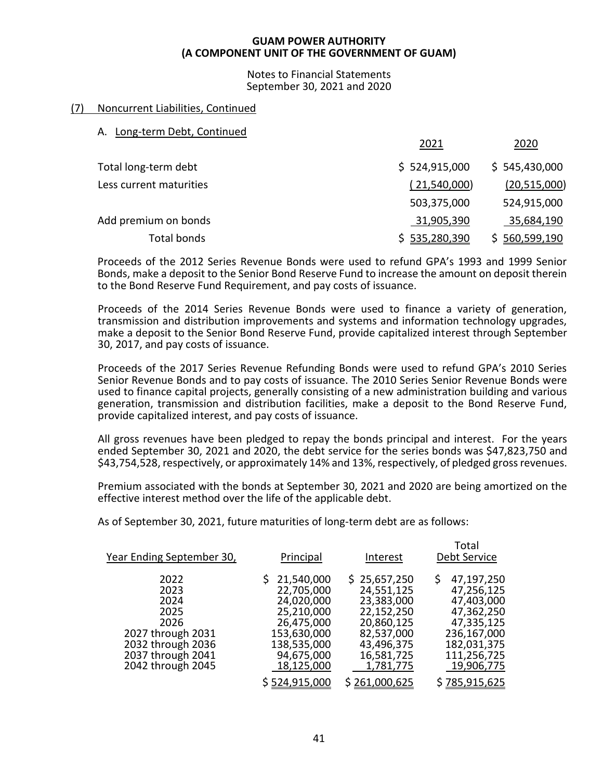Notes to Financial Statements September 30, 2021 and 2020

# (7) Noncurrent Liabilities, Continued

# A. Long-term Debt, Continued

|                         | 2021           | 2020          |
|-------------------------|----------------|---------------|
| Total long-term debt    | \$524,915,000  | \$545,430,000 |
| Less current maturities | (21,540,000)   | (20,515,000)  |
|                         | 503,375,000    | 524,915,000   |
| Add premium on bonds    | 31,905,390     | 35,684,190    |
| Total bonds             | \$ 535,280,390 | \$560,599,190 |

Proceeds of the 2012 Series Revenue Bonds were used to refund GPA's 1993 and 1999 Senior Bonds, make a deposit to the Senior Bond Reserve Fund to increase the amount on deposit therein to the Bond Reserve Fund Requirement, and pay costs of issuance.

Proceeds of the 2014 Series Revenue Bonds were used to finance a variety of generation, transmission and distribution improvements and systems and information technology upgrades, make a deposit to the Senior Bond Reserve Fund, provide capitalized interest through September 30, 2017, and pay costs of issuance.

Proceeds of the 2017 Series Revenue Refunding Bonds were used to refund GPA's 2010 Series Senior Revenue Bonds and to pay costs of issuance. The 2010 Series Senior Revenue Bonds were used to finance capital projects, generally consisting of a new administration building and various generation, transmission and distribution facilities, make a deposit to the Bond Reserve Fund, provide capitalized interest, and pay costs of issuance.

All gross revenues have been pledged to repay the bonds principal and interest. For the years ended September 30, 2021 and 2020, the debt service for the series bonds was \$47,823,750 and \$43,754,528, respectively, or approximately 14% and 13%, respectively, of pledged gross revenues.

Premium associated with the bonds at September 30, 2021 and 2020 are being amortized on the effective interest method over the life of the applicable debt.

As of September 30, 2021, future maturities of long-term debt are as follows:

| Year Ending September 30,                                                                                                | Principal                                                                                                                      | Interest                                                                                                                    | Total<br>Debt Service                                                                                                               |
|--------------------------------------------------------------------------------------------------------------------------|--------------------------------------------------------------------------------------------------------------------------------|-----------------------------------------------------------------------------------------------------------------------------|-------------------------------------------------------------------------------------------------------------------------------------|
| 2022<br>2023<br>2024<br>2025<br>2026<br>2027 through 2031<br>2032 through 2036<br>2037 through 2041<br>2042 through 2045 | \$21,540,000<br>22,705,000<br>24,020,000<br>25,210,000<br>26,475,000<br>153,630,000<br>138,535,000<br>94,675,000<br>18,125,000 | \$25,657,250<br>24,551,125<br>23,383,000<br>22,152,250<br>20,860,125<br>82,537,000<br>43,496,375<br>16,581,725<br>1,781,775 | \$<br>47,197,250<br>47,256,125<br>47,403,000<br>47,362,250<br>47,335,125<br>236,167,000<br>182,031,375<br>111,256,725<br>19,906,775 |
|                                                                                                                          | \$524,915,000                                                                                                                  | \$261,000,625                                                                                                               | \$785,915,625                                                                                                                       |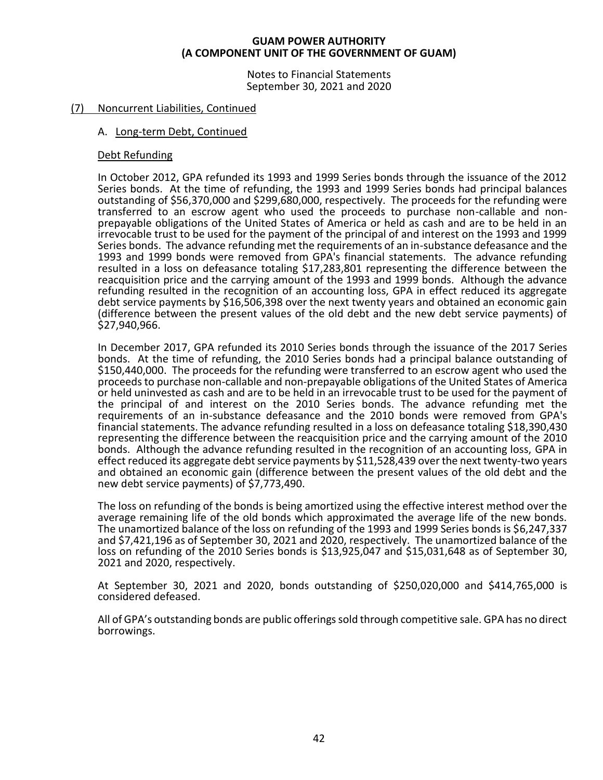Notes to Financial Statements September 30, 2021 and 2020

# (7) Noncurrent Liabilities, Continued

# A. Long-term Debt, Continued

# Debt Refunding

In October 2012, GPA refunded its 1993 and 1999 Series bonds through the issuance of the 2012 Series bonds. At the time of refunding, the 1993 and 1999 Series bonds had principal balances outstanding of \$56,370,000 and \$299,680,000, respectively. The proceeds for the refunding were transferred to an escrow agent who used the proceeds to purchase non-callable and nonprepayable obligations of the United States of America or held as cash and are to be held in an irrevocable trust to be used for the payment of the principal of and interest on the 1993 and 1999 Series bonds. The advance refunding met the requirements of an in-substance defeasance and the 1993 and 1999 bonds were removed from GPA's financial statements. The advance refunding resulted in a loss on defeasance totaling \$17,283,801 representing the difference between the reacquisition price and the carrying amount of the 1993 and 1999 bonds. Although the advance refunding resulted in the recognition of an accounting loss, GPA in effect reduced its aggregate debt service payments by \$16,506,398 over the next twenty years and obtained an economic gain (difference between the present values of the old debt and the new debt service payments) of \$27,940,966.

In December 2017, GPA refunded its 2010 Series bonds through the issuance of the 2017 Series bonds. At the time of refunding, the 2010 Series bonds had a principal balance outstanding of \$150,440,000. The proceeds for the refunding were transferred to an escrow agent who used the proceeds to purchase non-callable and non-prepayable obligations of the United States of America or held uninvested as cash and are to be held in an irrevocable trust to be used for the payment of the principal of and interest on the 2010 Series bonds. The advance refunding met the requirements of an in-substance defeasance and the 2010 bonds were removed from GPA's financial statements. The advance refunding resulted in a loss on defeasance totaling \$18,390,430 representing the difference between the reacquisition price and the carrying amount of the 2010 bonds. Although the advance refunding resulted in the recognition of an accounting loss, GPA in effect reduced its aggregate debt service payments by \$11,528,439 over the next twenty-two years and obtained an economic gain (difference between the present values of the old debt and the new debt service payments) of \$7,773,490.

The loss on refunding of the bonds is being amortized using the effective interest method over the average remaining life of the old bonds which approximated the average life of the new bonds. The unamortized balance of the loss on refunding of the 1993 and 1999 Series bonds is \$6,247,337 and \$7,421,196 as of September 30, 2021 and 2020, respectively. The unamortized balance of the loss on refunding of the 2010 Series bonds is \$13,925,047 and \$15,031,648 as of September 30, 2021 and 2020, respectively.

At September 30, 2021 and 2020, bonds outstanding of \$250,020,000 and \$414,765,000 is considered defeased.

All of GPA's outstanding bonds are public offerings sold through competitive sale. GPA has no direct borrowings.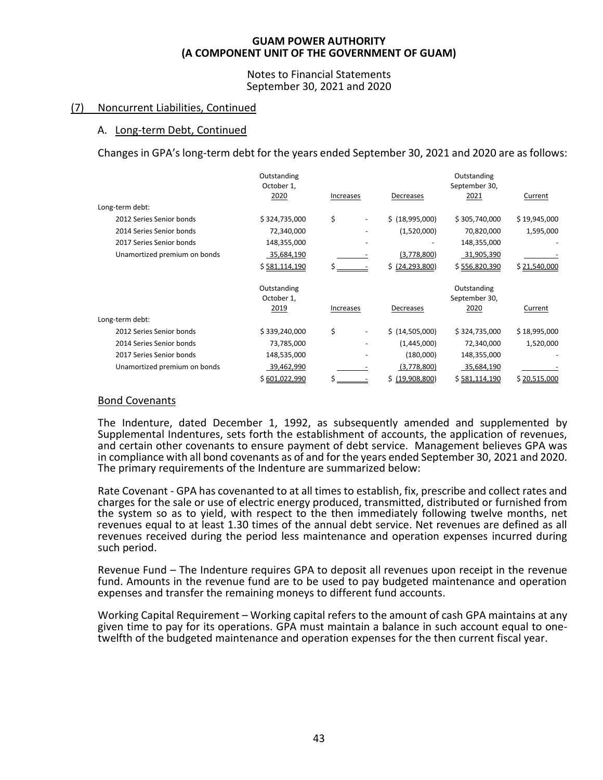# Notes to Financial Statements September 30, 2021 and 2020

# (7) Noncurrent Liabilities, Continued

# A. Long-term Debt, Continued

Changes in GPA's long-term debt for the years ended September 30, 2021 and 2020 are as follows:

|                              | Outstanding    |           |                    | Outstanding   |              |
|------------------------------|----------------|-----------|--------------------|---------------|--------------|
|                              | October 1,     |           |                    | September 30, |              |
|                              | 2020           | Increases | Decreases          | 2021          | Current      |
| Long-term debt:              |                |           |                    |               |              |
| 2012 Series Senior bonds     | \$324,735,000  | \$        | \$ (18,995,000)    | \$305,740,000 | \$19,945,000 |
| 2014 Series Senior bonds     | 72,340,000     |           | (1,520,000)        | 70,820,000    | 1,595,000    |
| 2017 Series Senior bonds     | 148,355,000    |           |                    | 148,355,000   |              |
| Unamortized premium on bonds | 35,684,190     |           | (3,778,800)        | 31,905,390    |              |
|                              | \$ 581,114,190 | Ś         | \$ (24, 293, 800)  | \$556,820,390 | \$21,540,000 |
|                              | Outstanding    |           |                    | Outstanding   |              |
|                              | October 1,     |           |                    | September 30, |              |
|                              | 2019           | Increases | Decreases          | 2020          | Current      |
| Long-term debt:              |                |           |                    |               |              |
| 2012 Series Senior bonds     | \$339,240,000  | \$        | \$(14,505,000)     | \$324,735,000 | \$18,995,000 |
| 2014 Series Senior bonds     | 73,785,000     |           | (1,445,000)        | 72,340,000    | 1,520,000    |
| 2017 Series Senior bonds     | 148,535,000    |           | (180,000)          | 148,355,000   |              |
| Unamortized premium on bonds | 39,462,990     |           | (3,778,800)        | 35,684,190    |              |
|                              | \$601,022,990  |           | Ś.<br>(19,908,800) | \$581,114,190 | \$20,515,000 |

# Bond Covenants

The Indenture, dated December 1, 1992, as subsequently amended and supplemented by Supplemental Indentures, sets forth the establishment of accounts, the application of revenues, and certain other covenants to ensure payment of debt service. Management believes GPA was in compliance with all bond covenants as of and for the years ended September 30, 2021 and 2020. The primary requirements of the Indenture are summarized below:

Rate Covenant - GPA has covenanted to at all times to establish, fix, prescribe and collect rates and charges for the sale or use of electric energy produced, transmitted, distributed or furnished from the system so as to yield, with respect to the then immediately following twelve months, net revenues equal to at least 1.30 times of the annual debt service. Net revenues are defined as all revenues received during the period less maintenance and operation expenses incurred during such period.

Revenue Fund – The Indenture requires GPA to deposit all revenues upon receipt in the revenue fund. Amounts in the revenue fund are to be used to pay budgeted maintenance and operation expenses and transfer the remaining moneys to different fund accounts.

Working Capital Requirement – Working capital refers to the amount of cash GPA maintains at any given time to pay for its operations. GPA must maintain a balance in such account equal to onetwelfth of the budgeted maintenance and operation expenses for the then current fiscal year.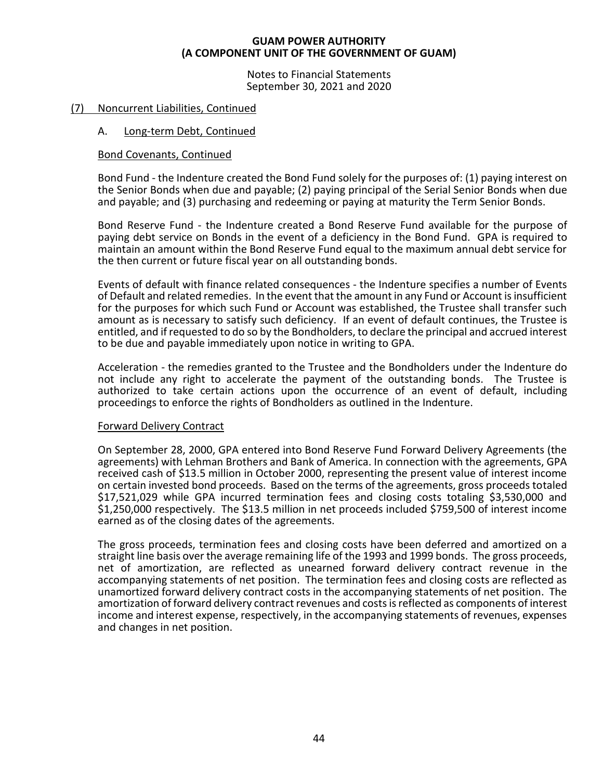Notes to Financial Statements September 30, 2021 and 2020

# (7) Noncurrent Liabilities, Continued

# A. Long-term Debt, Continued

# Bond Covenants, Continued

Bond Fund - the Indenture created the Bond Fund solely for the purposes of: (1) paying interest on the Senior Bonds when due and payable; (2) paying principal of the Serial Senior Bonds when due and payable; and (3) purchasing and redeeming or paying at maturity the Term Senior Bonds.

Bond Reserve Fund - the Indenture created a Bond Reserve Fund available for the purpose of paying debt service on Bonds in the event of a deficiency in the Bond Fund. GPA is required to maintain an amount within the Bond Reserve Fund equal to the maximum annual debt service for the then current or future fiscal year on all outstanding bonds.

Events of default with finance related consequences - the Indenture specifies a number of Events of Default and related remedies. In the event that the amount in any Fund or Account is insufficient for the purposes for which such Fund or Account was established, the Trustee shall transfer such amount as is necessary to satisfy such deficiency. If an event of default continues, the Trustee is entitled, and if requested to do so by the Bondholders, to declare the principal and accrued interest to be due and payable immediately upon notice in writing to GPA.

Acceleration - the remedies granted to the Trustee and the Bondholders under the Indenture do not include any right to accelerate the payment of the outstanding bonds. The Trustee is authorized to take certain actions upon the occurrence of an event of default, including proceedings to enforce the rights of Bondholders as outlined in the Indenture.

# Forward Delivery Contract

On September 28, 2000, GPA entered into Bond Reserve Fund Forward Delivery Agreements (the agreements) with Lehman Brothers and Bank of America. In connection with the agreements, GPA received cash of \$13.5 million in October 2000, representing the present value of interest income on certain invested bond proceeds. Based on the terms of the agreements, gross proceeds totaled \$17,521,029 while GPA incurred termination fees and closing costs totaling \$3,530,000 and \$1,250,000 respectively. The \$13.5 million in net proceeds included \$759,500 of interest income earned as of the closing dates of the agreements.

The gross proceeds, termination fees and closing costs have been deferred and amortized on a straight line basis over the average remaining life of the 1993 and 1999 bonds. The gross proceeds, net of amortization, are reflected as unearned forward delivery contract revenue in the accompanying statements of net position. The termination fees and closing costs are reflected as unamortized forward delivery contract costs in the accompanying statements of net position. The amortization of forward delivery contract revenues and costs is reflected as components of interest income and interest expense, respectively, in the accompanying statements of revenues, expenses and changes in net position.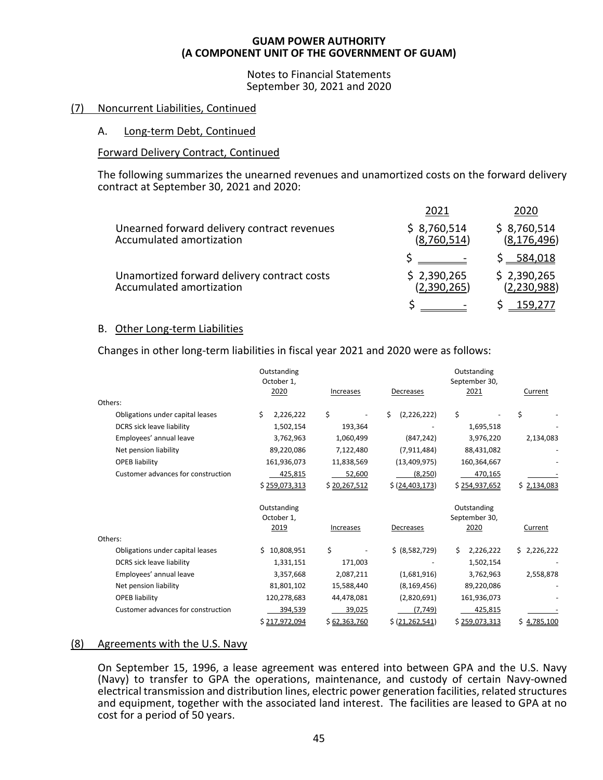Notes to Financial Statements September 30, 2021 and 2020

# (7) Noncurrent Liabilities, Continued

# A. Long-term Debt, Continued

# Forward Delivery Contract, Continued

The following summarizes the unearned revenues and unamortized costs on the forward delivery contract at September 30, 2021 and 2020:

|                                                                         | 2021                       | 2020                         |
|-------------------------------------------------------------------------|----------------------------|------------------------------|
| Unearned forward delivery contract revenues<br>Accumulated amortization | \$8,760,514<br>(8,760,514) | \$8,760,514<br>(8, 176, 496) |
|                                                                         |                            | \$584,018                    |
| Unamortized forward delivery contract costs<br>Accumulated amortization | \$2,390,265<br>(2,390,265) | \$2,390,265<br>(2, 230, 988) |
|                                                                         |                            |                              |

# B. Other Long-term Liabilities

Changes in other long-term liabilities in fiscal year 2021 and 2020 were as follows:

|                                    | Outstanding<br>October 1, |              |                    | Outstanding<br>September 30, |             |
|------------------------------------|---------------------------|--------------|--------------------|------------------------------|-------------|
|                                    | 2020                      | Increases    | Decreases          | 2021                         | Current     |
| Others:                            |                           |              |                    |                              |             |
| Obligations under capital leases   | \$<br>2,226,222           | \$           | (2, 226, 222)<br>Ś | \$                           | \$          |
| DCRS sick leave liability          | 1,502,154                 | 193,364      |                    | 1,695,518                    |             |
| Employees' annual leave            | 3,762,963                 | 1,060,499    | (847, 242)         | 3,976,220                    | 2,134,083   |
| Net pension liability              | 89,220,086                | 7,122,480    | (7, 911, 484)      | 88,431,082                   |             |
| <b>OPEB liability</b>              | 161,936,073               | 11,838,569   | (13,409,975)       | 160,364,667                  |             |
| Customer advances for construction | 425,815                   | 52,600       | (8, 250)           | 470,165                      |             |
|                                    | \$259,073,313             | \$20,267,512 | \$ (24, 403, 173)  | \$254,937,652                | \$2,134,083 |
|                                    | Outstanding               |              |                    | Outstanding                  |             |
|                                    | October 1,                |              |                    | September 30,                |             |
|                                    | 2019                      | Increases    | Decreases          | 2020                         | Current     |
| Others:                            |                           |              |                    |                              |             |
| Obligations under capital leases   | \$10,808,951              | \$           | \$ (8,582,729)     | 2,226,222<br>Ś.              | \$2,226,222 |
| DCRS sick leave liability          | 1,331,151                 | 171,003      |                    | 1,502,154                    |             |
| Employees' annual leave            | 3,357,668                 | 2,087,211    | (1,681,916)        | 3,762,963                    | 2,558,878   |
| Net pension liability              | 81,801,102                | 15,588,440   | (8, 169, 456)      | 89,220,086                   |             |
| <b>OPEB liability</b>              | 120,278,683               | 44,478,081   | (2,820,691)        | 161,936,073                  |             |
| Customer advances for construction | 394,539                   | 39,025       | (7, 749)           | 425,815                      |             |
|                                    | \$217,972,094             | \$62,363,760 | \$ (21, 262, 541)  | \$259,073,313                | \$4,785,100 |

# (8) Agreements with the U.S. Navy

On September 15, 1996, a lease agreement was entered into between GPA and the U.S. Navy (Navy) to transfer to GPA the operations, maintenance, and custody of certain Navy-owned electrical transmission and distribution lines, electric power generation facilities, related structures and equipment, together with the associated land interest. The facilities are leased to GPA at no cost for a period of 50 years.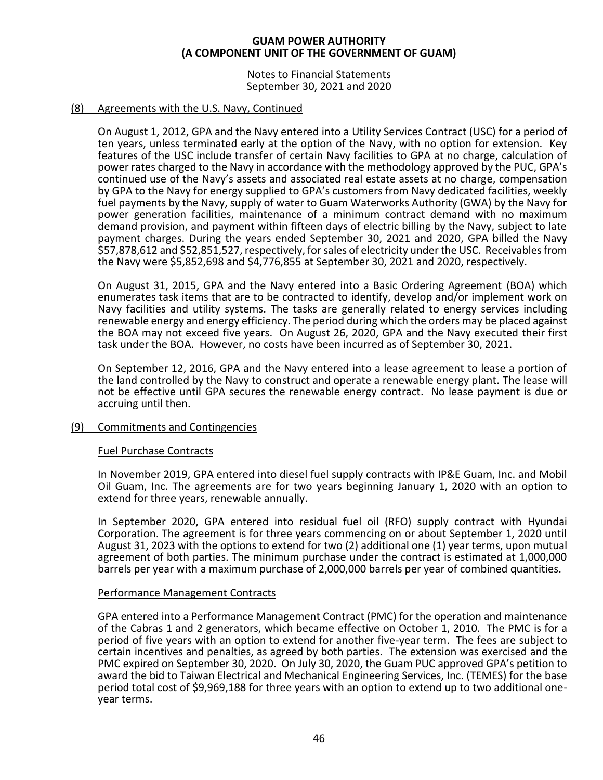Notes to Financial Statements September 30, 2021 and 2020

# (8) Agreements with the U.S. Navy, Continued

On August 1, 2012, GPA and the Navy entered into a Utility Services Contract (USC) for a period of ten years, unless terminated early at the option of the Navy, with no option for extension. Key features of the USC include transfer of certain Navy facilities to GPA at no charge, calculation of power rates charged to the Navy in accordance with the methodology approved by the PUC, GPA's continued use of the Navy's assets and associated real estate assets at no charge, compensation by GPA to the Navy for energy supplied to GPA's customers from Navy dedicated facilities, weekly fuel payments by the Navy, supply of water to Guam Waterworks Authority (GWA) by the Navy for power generation facilities, maintenance of a minimum contract demand with no maximum demand provision, and payment within fifteen days of electric billing by the Navy, subject to late payment charges. During the years ended September 30, 2021 and 2020, GPA billed the Navy \$57,878,612 and \$52,851,527, respectively, for sales of electricity under the USC. Receivables from the Navy were \$5,852,698 and \$4,776,855 at September 30, 2021 and 2020, respectively.

On August 31, 2015, GPA and the Navy entered into a Basic Ordering Agreement (BOA) which enumerates task items that are to be contracted to identify, develop and/or implement work on Navy facilities and utility systems. The tasks are generally related to energy services including renewable energy and energy efficiency. The period during which the orders may be placed against the BOA may not exceed five years. On August 26, 2020, GPA and the Navy executed their first task under the BOA. However, no costs have been incurred as of September 30, 2021.

On September 12, 2016, GPA and the Navy entered into a lease agreement to lease a portion of the land controlled by the Navy to construct and operate a renewable energy plant. The lease will not be effective until GPA secures the renewable energy contract. No lease payment is due or accruing until then.

# (9) Commitments and Contingencies

# Fuel Purchase Contracts

In November 2019, GPA entered into diesel fuel supply contracts with IP&E Guam, Inc. and Mobil Oil Guam, Inc. The agreements are for two years beginning January 1, 2020 with an option to extend for three years, renewable annually.

In September 2020, GPA entered into residual fuel oil (RFO) supply contract with Hyundai Corporation. The agreement is for three years commencing on or about September 1, 2020 until August 31, 2023 with the options to extend for two (2) additional one (1) year terms, upon mutual agreement of both parties. The minimum purchase under the contract is estimated at 1,000,000 barrels per year with a maximum purchase of 2,000,000 barrels per year of combined quantities.

# Performance Management Contracts

GPA entered into a Performance Management Contract (PMC) for the operation and maintenance of the Cabras 1 and 2 generators, which became effective on October 1, 2010. The PMC is for a period of five years with an option to extend for another five-year term. The fees are subject to certain incentives and penalties, as agreed by both parties. The extension was exercised and the PMC expired on September 30, 2020. On July 30, 2020, the Guam PUC approved GPA's petition to award the bid to Taiwan Electrical and Mechanical Engineering Services, Inc. (TEMES) for the base period total cost of \$9,969,188 for three years with an option to extend up to two additional oneyear terms.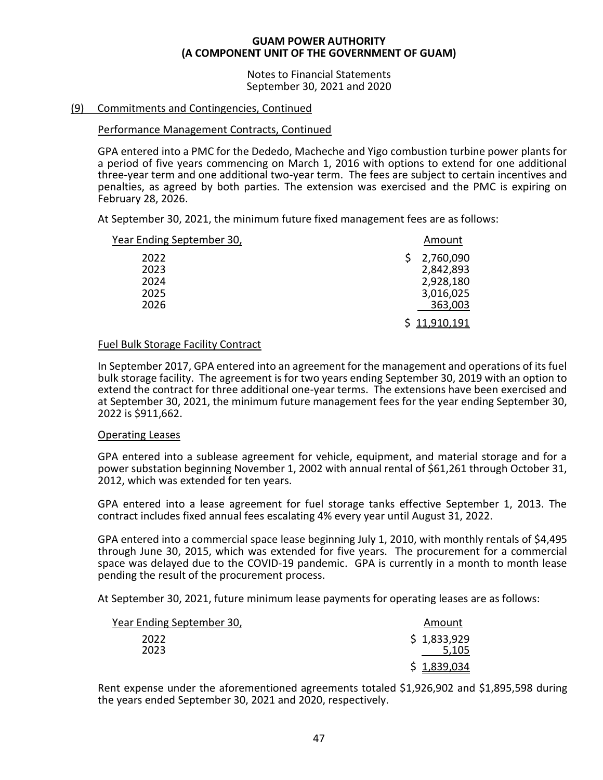Notes to Financial Statements September 30, 2021 and 2020

# (9) Commitments and Contingencies, Continued

# Performance Management Contracts, Continued

GPA entered into a PMC for the Dededo, Macheche and Yigo combustion turbine power plants for a period of five years commencing on March 1, 2016 with options to extend for one additional three-year term and one additional two-year term. The fees are subject to certain incentives and penalties, as agreed by both parties. The extension was exercised and the PMC is expiring on February 28, 2026.

At September 30, 2021, the minimum future fixed management fees are as follows:

| Year Ending September 30, | Amount                 |
|---------------------------|------------------------|
| 2022<br>2023              | 2,760,090<br>2,842,893 |
| 2024                      | 2,928,180              |
| 2025                      | 3,016,025              |
| 2026                      | 363,003                |
|                           | \$11,910,191           |

# Fuel Bulk Storage Facility Contract

In September 2017, GPA entered into an agreement for the management and operations of its fuel bulk storage facility. The agreement is for two years ending September 30, 2019 with an option to extend the contract for three additional one-year terms. The extensions have been exercised and at September 30, 2021, the minimum future management fees for the year ending September 30, 2022 is \$911,662.

# Operating Leases

GPA entered into a sublease agreement for vehicle, equipment, and material storage and for a power substation beginning November 1, 2002 with annual rental of \$61,261 through October 31, 2012, which was extended for ten years.

GPA entered into a lease agreement for fuel storage tanks effective September 1, 2013. The contract includes fixed annual fees escalating 4% every year until August 31, 2022.

GPA entered into a commercial space lease beginning July 1, 2010, with monthly rentals of \$4,495 through June 30, 2015, which was extended for five years. The procurement for a commercial space was delayed due to the COVID-19 pandemic. GPA is currently in a month to month lease pending the result of the procurement process.

At September 30, 2021, future minimum lease payments for operating leases are as follows:

| Year Ending September 30, | Amount               |
|---------------------------|----------------------|
| 2022<br>2023              | \$1,833,929<br>5,105 |
|                           | \$1,839,034          |

Rent expense under the aforementioned agreements totaled \$1,926,902 and \$1,895,598 during the years ended September 30, 2021 and 2020, respectively.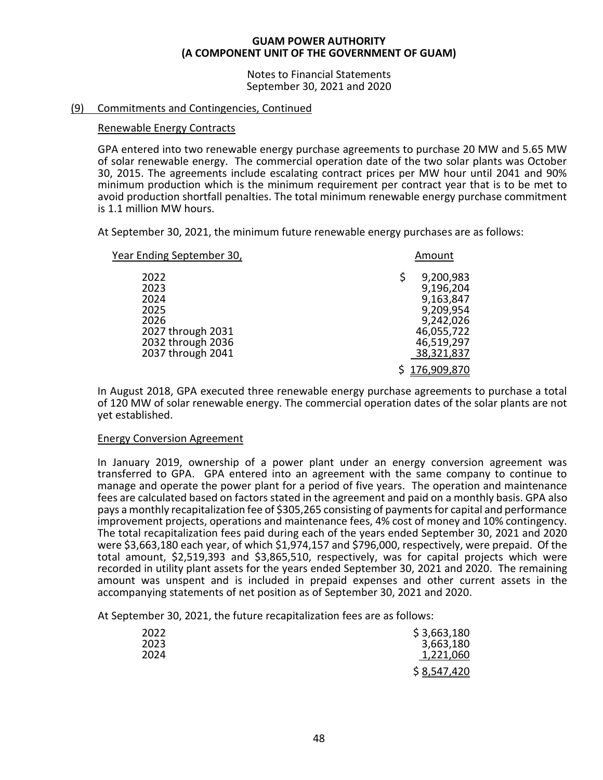Notes to Financial Statements September 30, 2021 and 2020

# (9) Commitments and Contingencies, Continued

# Renewable Energy Contracts

GPA entered into two renewable energy purchase agreements to purchase 20 MW and 5.65 MW of solar renewable energy. The commercial operation date of the two solar plants was October 30, 2015. The agreements include escalating contract prices per MW hour until 2041 and 90% minimum production which is the minimum requirement per contract year that is to be met to avoid production shortfall penalties. The total minimum renewable energy purchase commitment is 1.1 million MW hours.

At September 30, 2021, the minimum future renewable energy purchases are as follows:

| Year Ending September 30,                                                                           | Amount                                                                                                                 |
|-----------------------------------------------------------------------------------------------------|------------------------------------------------------------------------------------------------------------------------|
| 2022<br>2023<br>2024<br>2025<br>2026<br>2027 through 2031<br>2032 through 2036<br>2037 through 2041 | 9,200,983<br>9,196,204<br>9,163,847<br>9,209,954<br>9,242,026<br>46,055,722<br>46,519,297<br>38,321,837<br>176,909,870 |
|                                                                                                     |                                                                                                                        |

In August 2018, GPA executed three renewable energy purchase agreements to purchase a total of 120 MW of solar renewable energy. The commercial operation dates of the solar plants are not yet established.

# Energy Conversion Agreement

In January 2019, ownership of a power plant under an energy conversion agreement was transferred to GPA. GPA entered into an agreement with the same company to continue to manage and operate the power plant for a period of five years. The operation and maintenance fees are calculated based on factors stated in the agreement and paid on a monthly basis. GPA also pays a monthly recapitalization fee of \$305,265 consisting of payments for capital and performance improvement projects, operations and maintenance fees, 4% cost of money and 10% contingency. The total recapitalization fees paid during each of the years ended September 30, 2021 and 2020 were \$3,663,180 each year, of which \$1,974,157 and \$796,000, respectively, were prepaid. Of the total amount, \$2,519,393 and \$3,865,510, respectively, was for capital projects which were recorded in utility plant assets for the years ended September 30, 2021 and 2020. The remaining amount was unspent and is included in prepaid expenses and other current assets in the accompanying statements of net position as of September 30, 2021 and 2020.

At September 30, 2021, the future recapitalization fees are as follows:

| 2022 | \$3,663,180 |
|------|-------------|
| 2023 | 3,663,180   |
| 2024 | 1,221,060   |
|      | \$8,547,420 |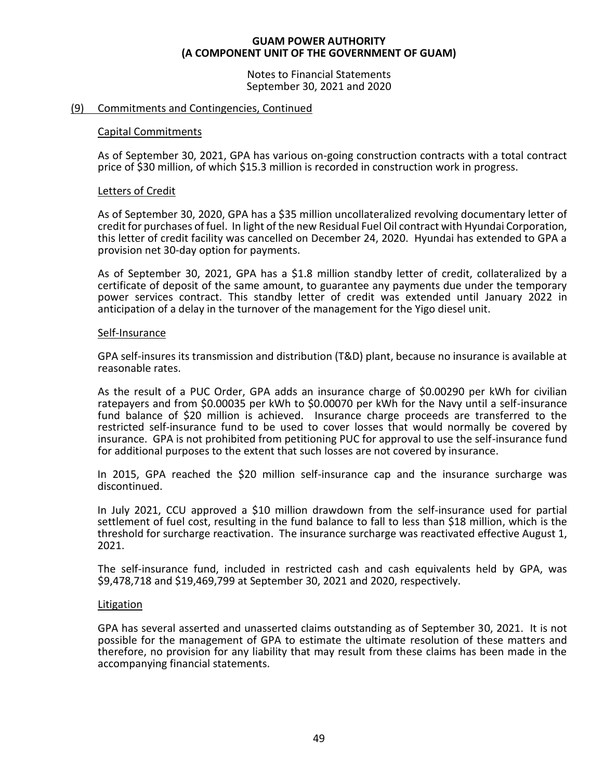Notes to Financial Statements September 30, 2021 and 2020

# (9) Commitments and Contingencies, Continued

# Capital Commitments

As of September 30, 2021, GPA has various on-going construction contracts with a total contract price of \$30 million, of which \$15.3 million is recorded in construction work in progress.

# Letters of Credit

As of September 30, 2020, GPA has a \$35 million uncollateralized revolving documentary letter of credit for purchases of fuel. In light of the new Residual Fuel Oil contract with Hyundai Corporation, this letter of credit facility was cancelled on December 24, 2020. Hyundai has extended to GPA a provision net 30-day option for payments.

As of September 30, 2021, GPA has a \$1.8 million standby letter of credit, collateralized by a certificate of deposit of the same amount, to guarantee any payments due under the temporary power services contract. This standby letter of credit was extended until January 2022 in anticipation of a delay in the turnover of the management for the Yigo diesel unit.

# Self-Insurance

GPA self-insures its transmission and distribution (T&D) plant, because no insurance is available at reasonable rates.

As the result of a PUC Order, GPA adds an insurance charge of \$0.00290 per kWh for civilian ratepayers and from \$0.00035 per kWh to \$0.00070 per kWh for the Navy until a self-insurance fund balance of \$20 million is achieved. Insurance charge proceeds are transferred to the restricted self-insurance fund to be used to cover losses that would normally be covered by insurance. GPA is not prohibited from petitioning PUC for approval to use the self-insurance fund for additional purposes to the extent that such losses are not covered by insurance.

In 2015, GPA reached the \$20 million self-insurance cap and the insurance surcharge was discontinued.

In July 2021, CCU approved a \$10 million drawdown from the self-insurance used for partial settlement of fuel cost, resulting in the fund balance to fall to less than \$18 million, which is the threshold for surcharge reactivation. The insurance surcharge was reactivated effective August 1, 2021.

The self-insurance fund, included in restricted cash and cash equivalents held by GPA, was \$9,478,718 and \$19,469,799 at September 30, 2021 and 2020, respectively.

# Litigation

GPA has several asserted and unasserted claims outstanding as of September 30, 2021. It is not possible for the management of GPA to estimate the ultimate resolution of these matters and therefore, no provision for any liability that may result from these claims has been made in the accompanying financial statements.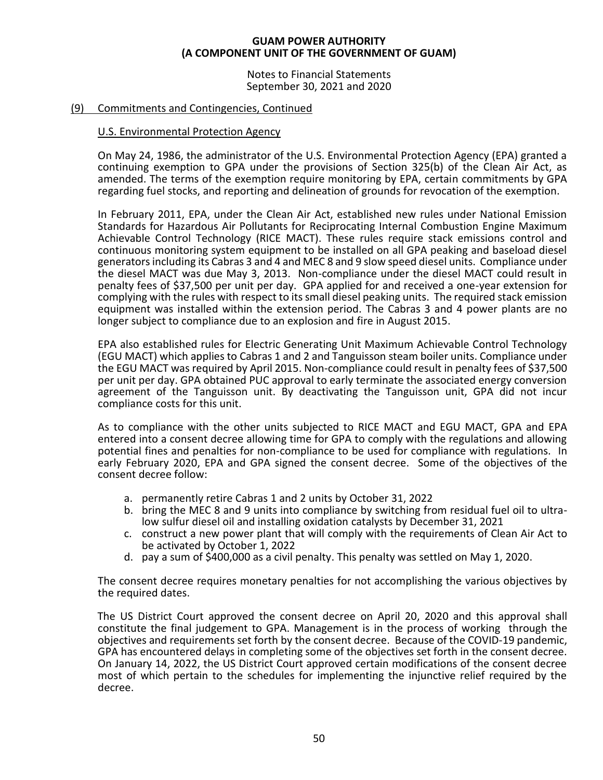Notes to Financial Statements September 30, 2021 and 2020

# (9) Commitments and Contingencies, Continued

# U.S. Environmental Protection Agency

On May 24, 1986, the administrator of the U.S. Environmental Protection Agency (EPA) granted a continuing exemption to GPA under the provisions of Section 325(b) of the Clean Air Act, as amended. The terms of the exemption require monitoring by EPA, certain commitments by GPA regarding fuel stocks, and reporting and delineation of grounds for revocation of the exemption.

In February 2011, EPA, under the Clean Air Act, established new rules under National Emission Standards for Hazardous Air Pollutants for Reciprocating Internal Combustion Engine Maximum Achievable Control Technology (RICE MACT). These rules require stack emissions control and continuous monitoring system equipment to be installed on all GPA peaking and baseload diesel generators including its Cabras 3 and 4 and MEC 8 and 9 slow speed diesel units. Compliance under the diesel MACT was due May 3, 2013. Non-compliance under the diesel MACT could result in penalty fees of \$37,500 per unit per day. GPA applied for and received a one-year extension for complying with the rules with respect to its small diesel peaking units. The required stack emission equipment was installed within the extension period. The Cabras 3 and 4 power plants are no longer subject to compliance due to an explosion and fire in August 2015.

EPA also established rules for Electric Generating Unit Maximum Achievable Control Technology (EGU MACT) which applies to Cabras 1 and 2 and Tanguisson steam boiler units. Compliance under the EGU MACT was required by April 2015. Non-compliance could result in penalty fees of \$37,500 per unit per day. GPA obtained PUC approval to early terminate the associated energy conversion agreement of the Tanguisson unit. By deactivating the Tanguisson unit, GPA did not incur compliance costs for this unit.

As to compliance with the other units subjected to RICE MACT and EGU MACT, GPA and EPA entered into a consent decree allowing time for GPA to comply with the regulations and allowing potential fines and penalties for non-compliance to be used for compliance with regulations. In early February 2020, EPA and GPA signed the consent decree. Some of the objectives of the consent decree follow:

- a. permanently retire Cabras 1 and 2 units by October 31, 2022
- b. bring the MEC 8 and 9 units into compliance by switching from residual fuel oil to ultralow sulfur diesel oil and installing oxidation catalysts by December 31, 2021
- c. construct a new power plant that will comply with the requirements of Clean Air Act to be activated by October 1, 2022
- d. pay a sum of \$400,000 as a civil penalty. This penalty was settled on May 1, 2020.

The consent decree requires monetary penalties for not accomplishing the various objectives by the required dates.

The US District Court approved the consent decree on April 20, 2020 and this approval shall constitute the final judgement to GPA. Management is in the process of working through the objectives and requirements set forth by the consent decree. Because of the COVID-19 pandemic, GPA has encountered delays in completing some of the objectives set forth in the consent decree. On January 14, 2022, the US District Court approved certain modifications of the consent decree most of which pertain to the schedules for implementing the injunctive relief required by the decree.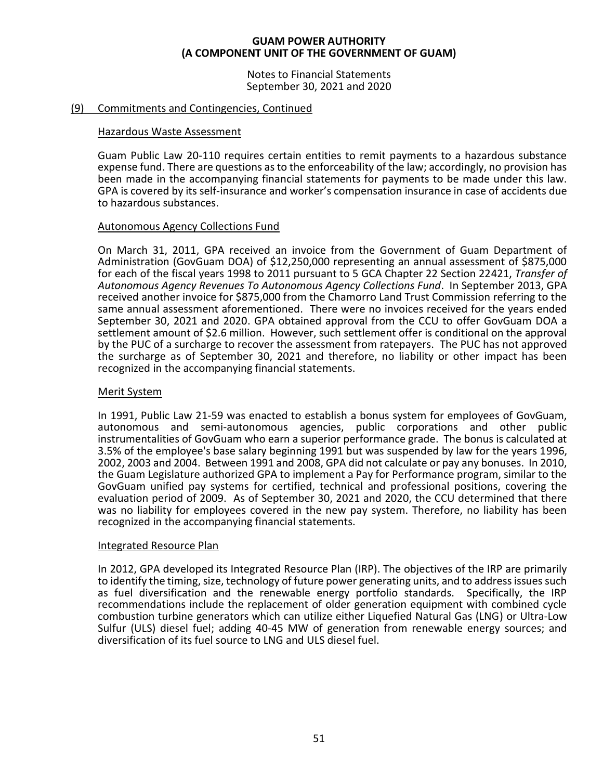Notes to Financial Statements September 30, 2021 and 2020

# (9) Commitments and Contingencies, Continued

# Hazardous Waste Assessment

Guam Public Law 20-110 requires certain entities to remit payments to a hazardous substance expense fund. There are questions as to the enforceability of the law; accordingly, no provision has been made in the accompanying financial statements for payments to be made under this law. GPA is covered by its self-insurance and worker's compensation insurance in case of accidents due to hazardous substances.

# Autonomous Agency Collections Fund

On March 31, 2011, GPA received an invoice from the Government of Guam Department of Administration (GovGuam DOA) of \$12,250,000 representing an annual assessment of \$875,000 for each of the fiscal years 1998 to 2011 pursuant to 5 GCA Chapter 22 Section 22421, *Transfer of Autonomous Agency Revenues To Autonomous Agency Collections Fund*. In September 2013, GPA received another invoice for \$875,000 from the Chamorro Land Trust Commission referring to the same annual assessment aforementioned. There were no invoices received for the years ended September 30, 2021 and 2020. GPA obtained approval from the CCU to offer GovGuam DOA a settlement amount of \$2.6 million. However, such settlement offer is conditional on the approval by the PUC of a surcharge to recover the assessment from ratepayers. The PUC has not approved the surcharge as of September 30, 2021 and therefore, no liability or other impact has been recognized in the accompanying financial statements.

# Merit System

In 1991, Public Law 21-59 was enacted to establish a bonus system for employees of GovGuam, autonomous and semi-autonomous agencies, public corporations and other public instrumentalities of GovGuam who earn a superior performance grade. The bonus is calculated at 3.5% of the employee's base salary beginning 1991 but was suspended by law for the years 1996, 2002, 2003 and 2004. Between 1991 and 2008, GPA did not calculate or pay any bonuses. In 2010, the Guam Legislature authorized GPA to implement a Pay for Performance program, similar to the GovGuam unified pay systems for certified, technical and professional positions, covering the evaluation period of 2009. As of September 30, 2021 and 2020, the CCU determined that there was no liability for employees covered in the new pay system. Therefore, no liability has been recognized in the accompanying financial statements.

# Integrated Resource Plan

In 2012, GPA developed its Integrated Resource Plan (IRP). The objectives of the IRP are primarily to identify the timing, size, technology of future power generating units, and to address issues such as fuel diversification and the renewable energy portfolio standards. Specifically, the IRP recommendations include the replacement of older generation equipment with combined cycle combustion turbine generators which can utilize either Liquefied Natural Gas (LNG) or Ultra-Low Sulfur (ULS) diesel fuel; adding 40-45 MW of generation from renewable energy sources; and diversification of its fuel source to LNG and ULS diesel fuel.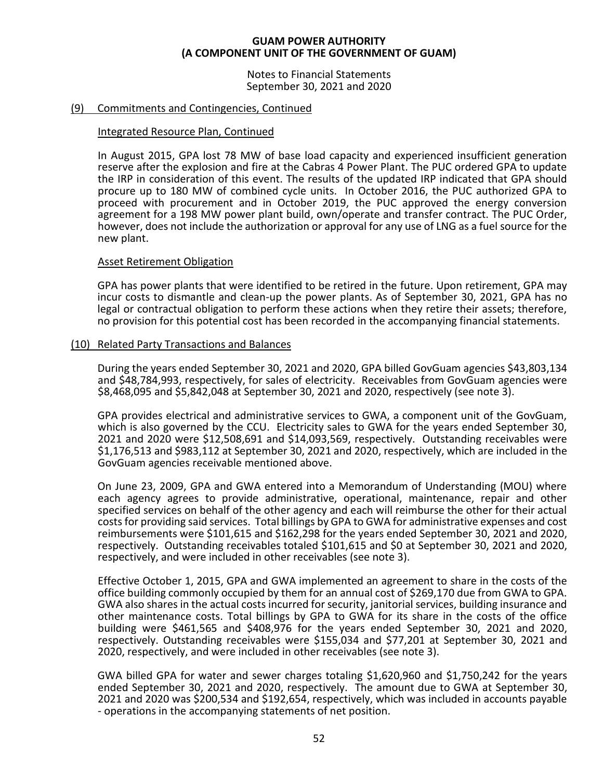Notes to Financial Statements September 30, 2021 and 2020

# (9) Commitments and Contingencies, Continued

# Integrated Resource Plan, Continued

In August 2015, GPA lost 78 MW of base load capacity and experienced insufficient generation reserve after the explosion and fire at the Cabras 4 Power Plant. The PUC ordered GPA to update the IRP in consideration of this event. The results of the updated IRP indicated that GPA should procure up to 180 MW of combined cycle units. In October 2016, the PUC authorized GPA to proceed with procurement and in October 2019, the PUC approved the energy conversion agreement for a 198 MW power plant build, own/operate and transfer contract. The PUC Order, however, does not include the authorization or approval for any use of LNG as a fuel source for the new plant.

# Asset Retirement Obligation

GPA has power plants that were identified to be retired in the future. Upon retirement, GPA may incur costs to dismantle and clean-up the power plants. As of September 30, 2021, GPA has no legal or contractual obligation to perform these actions when they retire their assets; therefore, no provision for this potential cost has been recorded in the accompanying financial statements.

# (10) Related Party Transactions and Balances

During the years ended September 30, 2021 and 2020, GPA billed GovGuam agencies \$43,803,134 and \$48,784,993, respectively, for sales of electricity. Receivables from GovGuam agencies were \$8,468,095 and \$5,842,048 at September 30, 2021 and 2020, respectively (see note 3).

GPA provides electrical and administrative services to GWA, a component unit of the GovGuam, which is also governed by the CCU. Electricity sales to GWA for the years ended September 30, 2021 and 2020 were \$12,508,691 and \$14,093,569, respectively. Outstanding receivables were \$1,176,513 and \$983,112 at September 30, 2021 and 2020, respectively, which are included in the GovGuam agencies receivable mentioned above.

On June 23, 2009, GPA and GWA entered into a Memorandum of Understanding (MOU) where each agency agrees to provide administrative, operational, maintenance, repair and other specified services on behalf of the other agency and each will reimburse the other for their actual costs for providing said services. Total billings by GPA to GWA for administrative expenses and cost reimbursements were \$101,615 and \$162,298 for the years ended September 30, 2021 and 2020, respectively. Outstanding receivables totaled \$101,615 and \$0 at September 30, 2021 and 2020, respectively, and were included in other receivables (see note 3).

Effective October 1, 2015, GPA and GWA implemented an agreement to share in the costs of the office building commonly occupied by them for an annual cost of \$269,170 due from GWA to GPA. GWA also shares in the actual costs incurred for security, janitorial services, building insurance and other maintenance costs. Total billings by GPA to GWA for its share in the costs of the office building were \$461,565 and \$408,976 for the years ended September 30, 2021 and 2020, respectively. Outstanding receivables were \$155,034 and \$77,201 at September 30, 2021 and 2020, respectively, and were included in other receivables (see note 3).

GWA billed GPA for water and sewer charges totaling \$1,620,960 and \$1,750,242 for the years ended September 30, 2021 and 2020, respectively. The amount due to GWA at September 30, 2021 and 2020 was \$200,534 and \$192,654, respectively, which was included in accounts payable - operations in the accompanying statements of net position.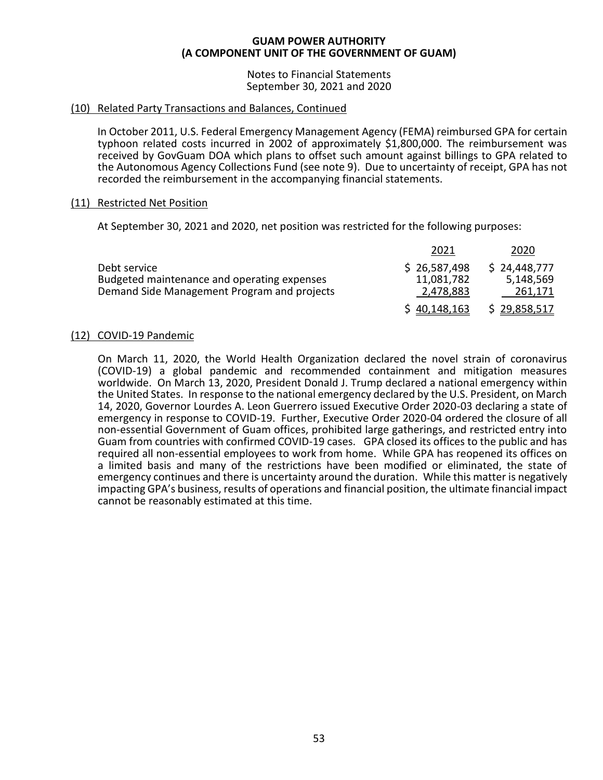Notes to Financial Statements September 30, 2021 and 2020

# (10) Related Party Transactions and Balances, Continued

In October 2011, U.S. Federal Emergency Management Agency (FEMA) reimbursed GPA for certain typhoon related costs incurred in 2002 of approximately \$1,800,000. The reimbursement was received by GovGuam DOA which plans to offset such amount against billings to GPA related to the Autonomous Agency Collections Fund (see note 9). Due to uncertainty of receipt, GPA has not recorded the reimbursement in the accompanying financial statements.

# (11) Restricted Net Position

At September 30, 2021 and 2020, net position was restricted for the following purposes:

|                                             | 2021         | 2020         |
|---------------------------------------------|--------------|--------------|
| Debt service                                | \$26,587,498 | \$24,448,777 |
| Budgeted maintenance and operating expenses | 11,081,782   | 5,148,569    |
| Demand Side Management Program and projects | 2,478,883    | 261,171      |
|                                             | \$40,148,163 | \$29,858,517 |

# (12) COVID-19 Pandemic

On March 11, 2020, the World Health Organization declared the novel strain of coronavirus (COVID-19) a global pandemic and recommended containment and mitigation measures worldwide. On March 13, 2020, President Donald J. Trump declared a national emergency within the United States. In response to the national emergency declared by the U.S. President, on March 14, 2020, Governor Lourdes A. Leon Guerrero issued Executive Order 2020-03 declaring a state of emergency in response to COVID-19. Further, Executive Order 2020-04 ordered the closure of all non-essential Government of Guam offices, prohibited large gatherings, and restricted entry into Guam from countries with confirmed COVID-19 cases. GPA closed its offices to the public and has required all non-essential employees to work from home. While GPA has reopened its offices on a limited basis and many of the restrictions have been modified or eliminated, the state of emergency continues and there is uncertainty around the duration. While this matter is negatively impacting GPA's business, results of operations and financial position, the ultimate financial impact cannot be reasonably estimated at this time.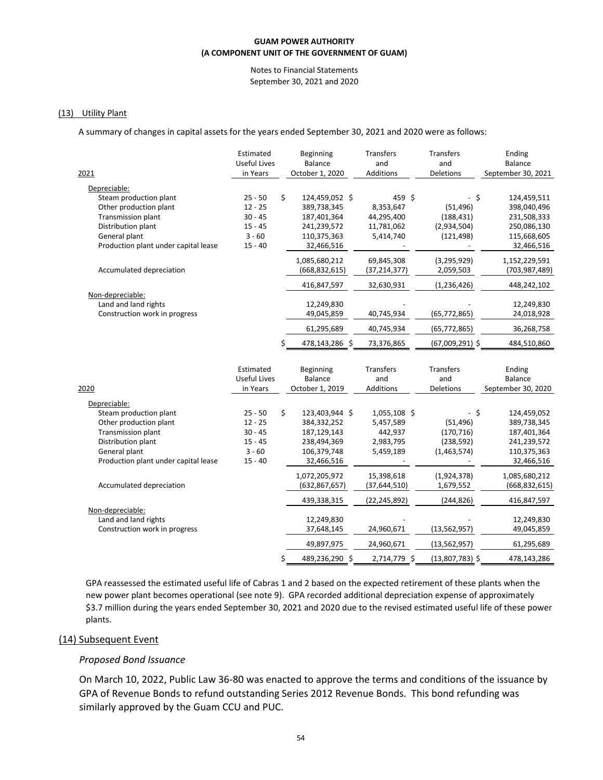#### Notes to Financial Statements September 30, 2021 and 2020

### (13) Utility Plant

A summary of changes in capital assets for the years ended September 30, 2021 and 2020 were as follows:

| 2021                                                                                                                                                                  | Estimated<br><b>Useful Lives</b><br>in Years                              | Beginning<br>Balance<br>October 1, 2020                                                        | Transfers<br>and<br><b>Additions</b>                           | Transfers<br>and<br><b>Deletions</b>                                 | Ending<br><b>Balance</b><br>September 30, 2021                                        |
|-----------------------------------------------------------------------------------------------------------------------------------------------------------------------|---------------------------------------------------------------------------|------------------------------------------------------------------------------------------------|----------------------------------------------------------------|----------------------------------------------------------------------|---------------------------------------------------------------------------------------|
| Depreciable:<br>Steam production plant<br>Other production plant<br>Transmission plant<br>Distribution plant<br>General plant                                         | $25 - 50$<br>$12 - 25$<br>$30 - 45$<br>$15 - 45$<br>$3 - 60$              | \$<br>124,459,052 \$<br>389,738,345<br>187,401,364<br>241,239,572<br>110,375,363               | 459 \$<br>8,353,647<br>44,295,400<br>11,781,062<br>5,414,740   | - \$<br>(51, 496)<br>(188, 431)<br>(2,934,504)<br>(121, 498)         | 124,459,511<br>398,040,496<br>231,508,333<br>250,086,130<br>115,668,605               |
| Production plant under capital lease<br>Accumulated depreciation                                                                                                      | $15 - 40$                                                                 | 32,466,516<br>1,085,680,212<br>(668, 832, 615)                                                 | 69,845,308<br>(37, 214, 377)                                   | (3, 295, 929)<br>2,059,503                                           | 32,466,516<br>1,152,229,591<br>(703, 987, 489)                                        |
| Non-depreciable:<br>Land and land rights<br>Construction work in progress                                                                                             |                                                                           | 416,847,597<br>12,249,830<br>49,045,859<br>61,295,689<br>478,143,286 \$                        | 32,630,931<br>40,745,934<br>40,745,934<br>73,376,865           | (1, 236, 426)<br>(65, 772, 865)<br>(65, 772, 865)<br>(67,009,291) \$ | 448,242,102<br>12,249,830<br>24,018,928<br>36,268,758<br>484,510,860                  |
| 2020                                                                                                                                                                  | Estimated<br><b>Useful Lives</b><br>in Years                              | Beginning<br>Balance<br>October 1, 2019                                                        | Transfers<br>and<br>Additions                                  | Transfers<br>and<br>Deletions                                        | Ending<br><b>Balance</b><br>September 30, 2020                                        |
| Depreciable:<br>Steam production plant<br>Other production plant<br>Transmission plant<br>Distribution plant<br>General plant<br>Production plant under capital lease | $25 - 50$<br>$12 - 25$<br>$30 - 45$<br>$15 - 45$<br>$3 - 60$<br>$15 - 40$ | \$<br>123,403,944 \$<br>384,332,252<br>187,129,143<br>238,494,369<br>106,379,748<br>32,466,516 | 1,055,108 \$<br>5,457,589<br>442,937<br>2,983,795<br>5,459,189 | $-$ \$<br>(51, 496)<br>(170, 716)<br>(238, 592)<br>(1,463,574)       | 124,459,052<br>389,738,345<br>187,401,364<br>241,239,572<br>110,375,363<br>32,466,516 |
| Accumulated depreciation                                                                                                                                              |                                                                           | 1,072,205,972<br>(632, 867, 657)                                                               | 15,398,618<br>(37, 644, 510)                                   | (1,924,378)<br>1,679,552                                             | 1,085,680,212<br>(668, 832, 615)                                                      |
| Non-depreciable:<br>Land and land rights<br>Construction work in progress                                                                                             |                                                                           | 439,338,315<br>12,249,830<br>37,648,145                                                        | (22, 245, 892)<br>24,960,671                                   | (244, 826)<br>(13, 562, 957)                                         | 416,847,597<br>12,249,830<br>49,045,859                                               |
|                                                                                                                                                                       |                                                                           | \$<br>49,897,975<br>489,236,290 \$                                                             | 24,960,671<br>2,714,779 \$                                     | (13, 562, 957)<br>$(13,807,783)$ \$                                  | 61,295,689<br>478,143,286                                                             |

GPA reassessed the estimated useful life of Cabras 1 and 2 based on the expected retirement of these plants when the new power plant becomes operational (see note 9). GPA recorded additional depreciation expense of approximately \$3.7 million during the years ended September 30, 2021 and 2020 due to the revised estimated useful life of these power plants.

#### (14) Subsequent Event

# *Proposed Bond Issuance*

On March 10, 2022, Public Law 36-80 was enacted to approve the terms and conditions of the issuance by GPA of Revenue Bonds to refund outstanding Series 2012 Revenue Bonds. This bond refunding was similarly approved by the Guam CCU and PUC.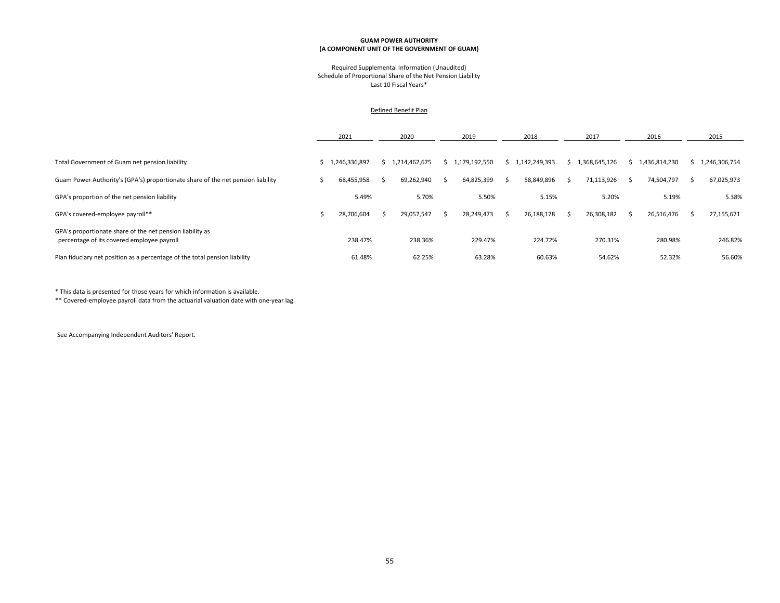#### Required Supplemental Information (Unaudited) Schedule of Proportional Share of the Net Pension Liability Last 10 Fiscal Years\*

#### Defined Benefit Plan

|                                                                                                         | 2021          | 2020            |    | 2019          | 2018          | 2017          |     | 2016          |   | 2015          |
|---------------------------------------------------------------------------------------------------------|---------------|-----------------|----|---------------|---------------|---------------|-----|---------------|---|---------------|
|                                                                                                         |               |                 |    |               |               |               |     |               |   |               |
| Total Government of Guam net pension liability                                                          | 1,246,336,897 | \$1,214,462,675 |    | 1,179,192,550 | 1.142.249.393 | 1,368,645,126 |     | 1,436,814,230 |   | 1,246,306,754 |
| Guam Power Authority's (GPA's) proportionate share of the net pension liability                         | 68,455,958    | 69,262,940      | -S | 64,825,399    | 58,849,896    | 71,113,926    | - s | 74,504,797    | ╮ | 67,025,973    |
| GPA's proportion of the net pension liability                                                           | 5.49%         | 5.70%           |    | 5.50%         | 5.15%         | 5.20%         |     | 5.19%         |   | 5.38%         |
| GPA's covered-employee payroll**                                                                        | 28,706,604    | 29,057,547      |    | 28,249,473    | 26,188,178    | 26,308,182    |     | 26,516,476    |   | 27,155,671    |
| GPA's proportionate share of the net pension liability as<br>percentage of its covered employee payroll | 238.47%       | 238.36%         |    | 229.47%       | 224.72%       | 270.31%       |     | 280.98%       |   | 246.82%       |
| Plan fiduciary net position as a percentage of the total pension liability                              | 61.48%        | 62.25%          |    | 63.28%        | 60.63%        | 54.62%        |     | 52.32%        |   | 56.60%        |

\* This data is presented for those years for which information is available.

\*\* Covered-employee payroll data from the actuarial valuation date with one-year lag.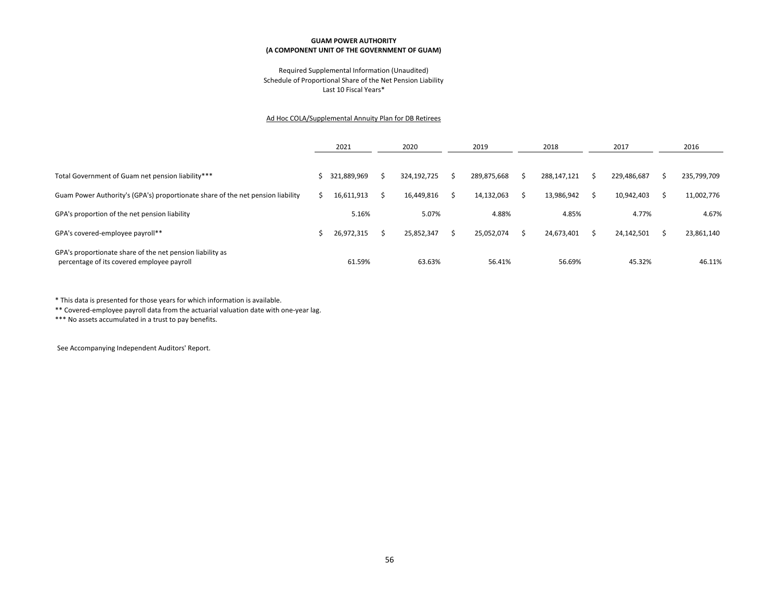#### Required Supplemental Information (Unaudited) Schedule of Proportional Share of the Net Pension Liability Last 10 Fiscal Years\*

#### Ad Hoc COLA/Supplemental Annuity Plan for DB Retirees

|                                                                                                         | 2021        | 2020        | 2019 |             | 2018        | 2017        | 2016 |             |
|---------------------------------------------------------------------------------------------------------|-------------|-------------|------|-------------|-------------|-------------|------|-------------|
|                                                                                                         |             |             |      |             |             |             |      |             |
| Total Government of Guam net pension liability***                                                       | 321,889,969 | 324,192,725 |      | 289,875,668 | 288,147,121 | 229,486,687 | ↘    | 235,799,709 |
| Guam Power Authority's (GPA's) proportionate share of the net pension liability                         | 16,611,913  | 16,449,816  |      | 14,132,063  | 13,986,942  | 10,942,403  |      | 11,002,776  |
| GPA's proportion of the net pension liability                                                           | 5.16%       | 5.07%       |      | 4.88%       | 4.85%       | 4.77%       |      | 4.67%       |
| GPA's covered-employee payroll**                                                                        | 26,972,315  | 25,852,347  |      | 25,052,074  | 24,673,401  | 24,142,501  |      | 23,861,140  |
| GPA's proportionate share of the net pension liability as<br>percentage of its covered employee payroll | 61.59%      | 63.63%      |      | 56.41%      | 56.69%      | 45.32%      |      | 46.11%      |

\* This data is presented for those years for which information is available.

\*\* Covered-employee payroll data from the actuarial valuation date with one-year lag.

\*\*\* No assets accumulated in a trust to pay benefits.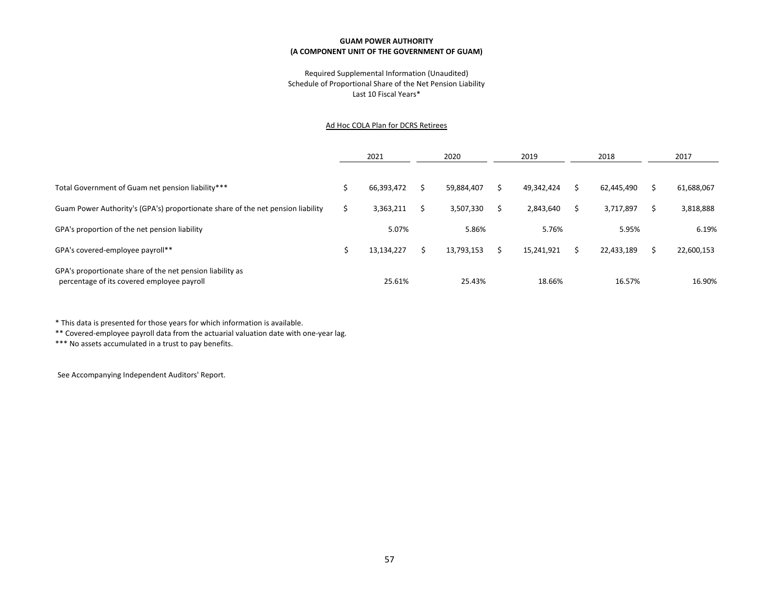#### Required Supplemental Information (Unaudited) Schedule of Proportional Share of the Net Pension Liability Last 10 Fiscal Years\*

#### Ad Hoc COLA Plan for DCRS Retirees

|                                                                                                         | 2021       | 2020 |            | 2019       | 2018       | 2017       |
|---------------------------------------------------------------------------------------------------------|------------|------|------------|------------|------------|------------|
|                                                                                                         |            |      |            |            |            |            |
| Total Government of Guam net pension liability***                                                       | 66,393,472 |      | 59,884,407 | 49,342,424 | 62,445,490 | 61,688,067 |
| Guam Power Authority's (GPA's) proportionate share of the net pension liability                         | 3,363,211  |      | 3,507,330  | 2,843,640  | 3,717,897  | 3,818,888  |
| GPA's proportion of the net pension liability                                                           | 5.07%      |      | 5.86%      | 5.76%      | 5.95%      | 6.19%      |
| GPA's covered-employee payroll**                                                                        | 13,134,227 |      | 13,793,153 | 15,241,921 | 22,433,189 | 22,600,153 |
| GPA's proportionate share of the net pension liability as<br>percentage of its covered employee payroll | 25.61%     |      | 25.43%     | 18.66%     | 16.57%     | 16.90%     |

\* This data is presented for those years for which information is available.

\*\* Covered-employee payroll data from the actuarial valuation date with one-year lag.

\*\*\* No assets accumulated in a trust to pay benefits.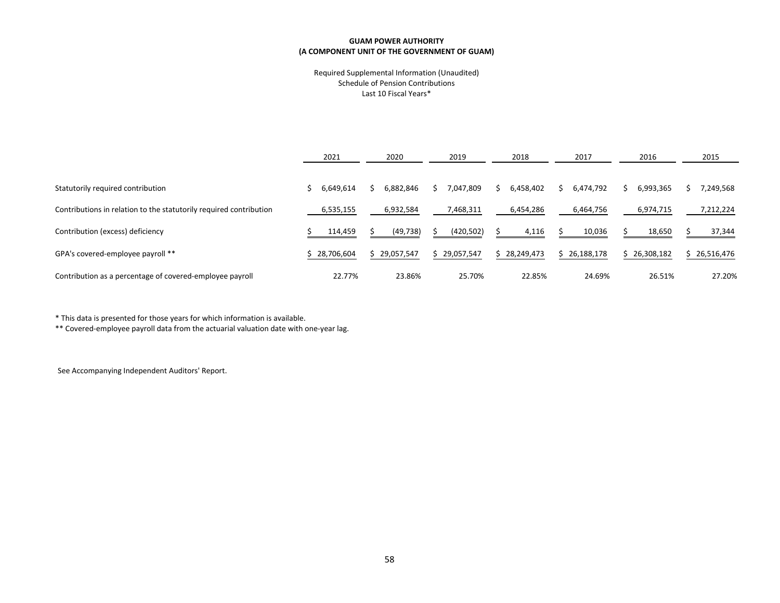#### Required Supplemental Information (Unaudited) Schedule of Pension Contributions Last 10 Fiscal Years\*

|                                                                    | 2021         | 2020         | 2019       | 2018       | 2017       | 2016       | 2015       |
|--------------------------------------------------------------------|--------------|--------------|------------|------------|------------|------------|------------|
| Statutorily required contribution                                  | 6,649,614    | 6,882,846    | 7,047,809  | 6,458,402  | 6,474,792  | 6,993,365  | 7,249,568  |
| Contributions in relation to the statutorily required contribution | 6,535,155    | 6,932,584    | 7,468,311  | 6,454,286  | 6,464,756  | 6,974,715  | 7,212,224  |
| Contribution (excess) deficiency                                   | 114,459      | (49, 738)    | (420, 502) | 4,116      | 10,036     | 18,650     | 37,344     |
| GPA's covered-employee payroll **                                  | \$28,706,604 | \$29,057,547 | 29,057,547 | 28,249,473 | 26,188,178 | 26,308,182 | 26,516,476 |
| Contribution as a percentage of covered-employee payroll           | 22.77%       | 23.86%       | 25.70%     | 22.85%     | 24.69%     | 26.51%     | 27.20%     |

\* This data is presented for those years for which information is available.

\*\* Covered-employee payroll data from the actuarial valuation date with one-year lag.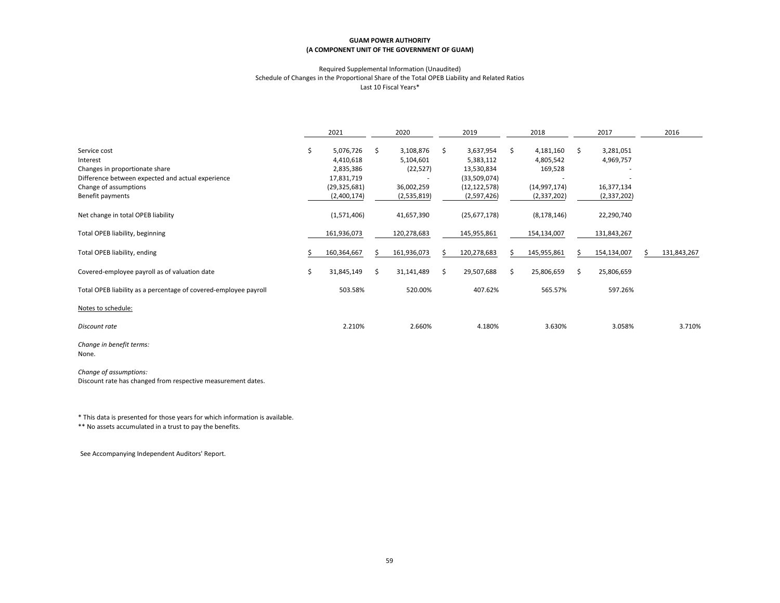#### Required Supplemental Information (Unaudited) Schedule of Changes in the Proportional Share of the Total OPEB Liability and Related Ratios Last 10 Fiscal Years\*

|                                                                                                                                                              |    | 2021                                                                               |    | 2020                                                             |    | 2019                                                                                  |    | 2018                                                               |    | 2017                                                | 2016        |
|--------------------------------------------------------------------------------------------------------------------------------------------------------------|----|------------------------------------------------------------------------------------|----|------------------------------------------------------------------|----|---------------------------------------------------------------------------------------|----|--------------------------------------------------------------------|----|-----------------------------------------------------|-------------|
| Service cost<br>Interest<br>Changes in proportionate share<br>Difference between expected and actual experience<br>Change of assumptions<br>Benefit payments | \$ | 5,076,726<br>4,410,618<br>2,835,386<br>17,831,719<br>(29, 325, 681)<br>(2,400,174) | \$ | 3,108,876<br>5,104,601<br>(22, 527)<br>36,002,259<br>(2,535,819) | \$ | 3,637,954<br>5,383,112<br>13,530,834<br>(33,509,074)<br>(12, 122, 578)<br>(2,597,426) | \$ | 4,181,160<br>4,805,542<br>169,528<br>(14, 997, 174)<br>(2,337,202) | Ś. | 3,281,051<br>4,969,757<br>16,377,134<br>(2,337,202) |             |
| Net change in total OPEB liability                                                                                                                           |    | (1,571,406)                                                                        |    | 41,657,390                                                       |    | (25, 677, 178)                                                                        |    | (8, 178, 146)                                                      |    | 22,290,740                                          |             |
| Total OPEB liability, beginning                                                                                                                              |    | 161,936,073                                                                        |    | 120,278,683                                                      |    | 145,955,861                                                                           |    | 154,134,007                                                        |    | 131,843,267                                         |             |
| Total OPEB liability, ending                                                                                                                                 |    | 160,364,667                                                                        |    | 161,936,073                                                      |    | 120,278,683                                                                           |    | 145,955,861                                                        |    | 154,134,007                                         | 131,843,267 |
| Covered-employee payroll as of valuation date                                                                                                                | Ś. | 31,845,149                                                                         | Ś. | 31,141,489                                                       | Ŝ. | 29,507,688                                                                            | Ŝ. | 25,806,659                                                         | Ś. | 25,806,659                                          |             |
| Total OPEB liability as a percentage of covered-employee payroll                                                                                             |    | 503.58%                                                                            |    | 520.00%                                                          |    | 407.62%                                                                               |    | 565.57%                                                            |    | 597.26%                                             |             |
| Notes to schedule:                                                                                                                                           |    |                                                                                    |    |                                                                  |    |                                                                                       |    |                                                                    |    |                                                     |             |
| Discount rate                                                                                                                                                |    | 2.210%                                                                             |    | 2.660%                                                           |    | 4.180%                                                                                |    | 3.630%                                                             |    | 3.058%                                              | 3.710%      |
| Change in benefit terms:                                                                                                                                     |    |                                                                                    |    |                                                                  |    |                                                                                       |    |                                                                    |    |                                                     |             |

None.

*Change of assumptions:* Discount rate has changed from respective measurement dates.

\* This data is presented for those years for which information is available.

\*\* No assets accumulated in a trust to pay the benefits.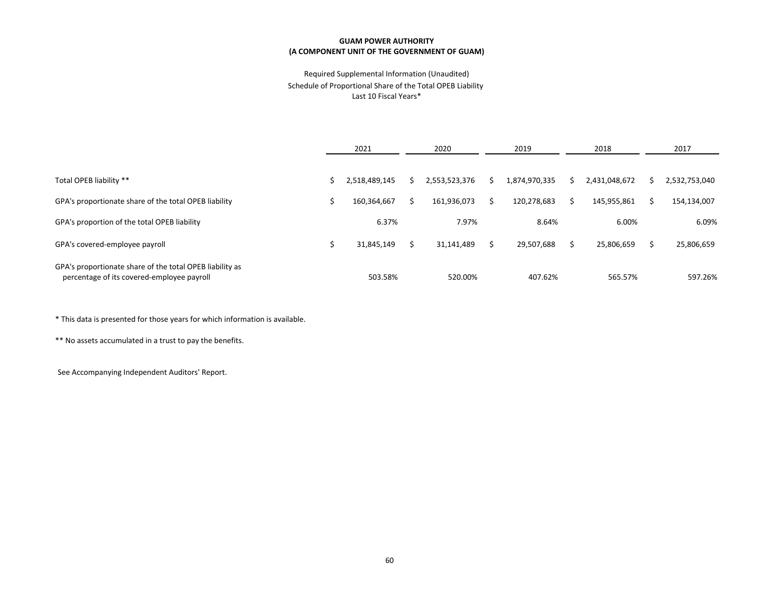### Required Supplemental Information (Unaudited) Schedule of Proportional Share of the Total OPEB Liability Last 10 Fiscal Years\*

|                                                                                                        | 2021          | 2020 |               | 2019 |               |   | 2018          | 2017 |               |  |
|--------------------------------------------------------------------------------------------------------|---------------|------|---------------|------|---------------|---|---------------|------|---------------|--|
|                                                                                                        |               |      |               |      |               |   |               |      |               |  |
| Total OPEB liability **                                                                                | 2,518,489,145 |      | 2,553,523,376 | S    | 1,874,970,335 | S | 2,431,048,672 |      | 2,532,753,040 |  |
| GPA's proportionate share of the total OPEB liability                                                  | 160,364,667   | S    | 161,936,073   |      | 120,278,683   | S | 145,955,861   |      | 154,134,007   |  |
| GPA's proportion of the total OPEB liability                                                           | 6.37%         |      | 7.97%         |      | 8.64%         |   | 6.00%         |      | 6.09%         |  |
| GPA's covered-employee payroll                                                                         | 31,845,149    | S    | 31,141,489    |      | 29,507,688    |   | 25,806,659    |      | 25,806,659    |  |
| GPA's proportionate share of the total OPEB liability as<br>percentage of its covered-employee payroll | 503.58%       |      | 520.00%       |      | 407.62%       |   | 565.57%       |      | 597.26%       |  |

\* This data is presented for those years for which information is available.

\*\* No assets accumulated in a trust to pay the benefits.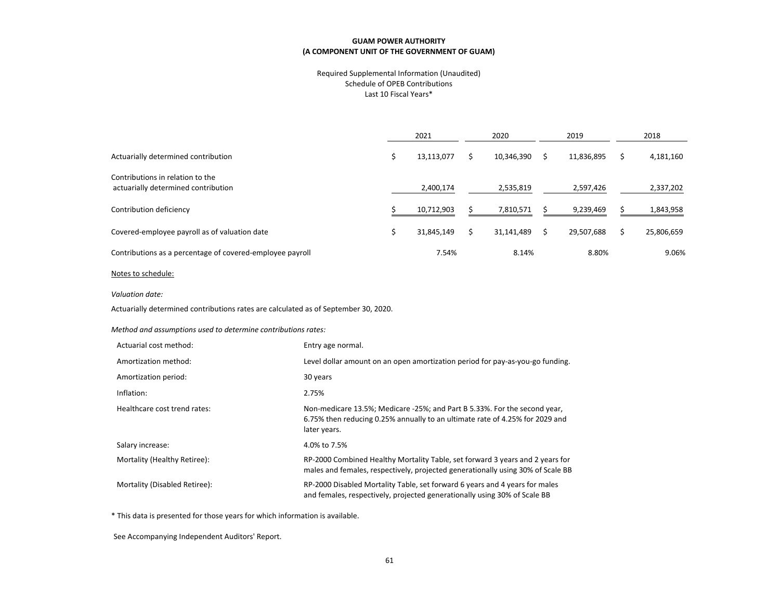#### Required Supplemental Information (Unaudited) Schedule of OPEB Contributions Last 10 Fiscal Years\*

|                                                                         | 2021       | 2020       | 2019       | 2018       |
|-------------------------------------------------------------------------|------------|------------|------------|------------|
| Actuarially determined contribution                                     | 13,113,077 | 10,346,390 | 11,836,895 | 4,181,160  |
| Contributions in relation to the<br>actuarially determined contribution | 2,400,174  | 2,535,819  | 2,597,426  | 2,337,202  |
| Contribution deficiency                                                 | 10,712,903 | 7,810,571  | 9,239,469  | 1,843,958  |
| Covered-employee payroll as of valuation date                           | 31,845,149 | 31,141,489 | 29,507,688 | 25,806,659 |
| Contributions as a percentage of covered-employee payroll               | 7.54%      | 8.14%      | 8.80%      | 9.06%      |
| the contract of the contract of the                                     |            |            |            |            |

#### Notes to schedule:

*Valuation date:*

Actuarially determined contributions rates are calculated as of September 30, 2020.

*Method and assumptions used to determine contributions rates:*

| Actuarial cost method:        | Entry age normal.                                                                                                                                                         |
|-------------------------------|---------------------------------------------------------------------------------------------------------------------------------------------------------------------------|
| Amortization method:          | Level dollar amount on an open amortization period for pay-as-you-go funding.                                                                                             |
| Amortization period:          | 30 years                                                                                                                                                                  |
| Inflation:                    | 2.75%                                                                                                                                                                     |
| Healthcare cost trend rates:  | Non-medicare 13.5%; Medicare -25%; and Part B 5.33%. For the second year,<br>6.75% then reducing 0.25% annually to an ultimate rate of 4.25% for 2029 and<br>later years. |
| Salary increase:              | 4.0% to 7.5%                                                                                                                                                              |
| Mortality (Healthy Retiree):  | RP-2000 Combined Healthy Mortality Table, set forward 3 years and 2 years for<br>males and females, respectively, projected generationally using 30% of Scale BB          |
| Mortality (Disabled Retiree): | RP-2000 Disabled Mortality Table, set forward 6 years and 4 years for males<br>and females, respectively, projected generationally using 30% of Scale BB                  |

\* This data is presented for those years for which information is available.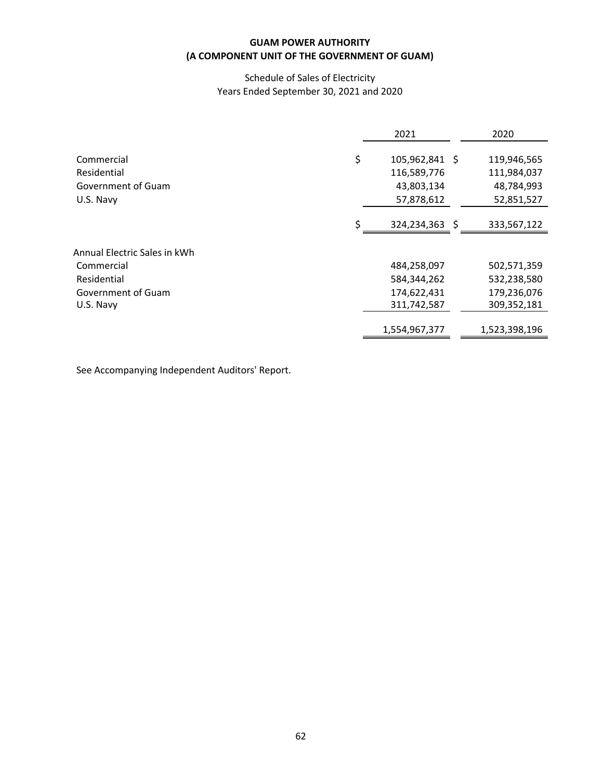# Schedule of Sales of Electricity Years Ended September 30, 2021 and 2020

|                                                                    | 2021                                                      | 2020                                                   |
|--------------------------------------------------------------------|-----------------------------------------------------------|--------------------------------------------------------|
| \$<br>Commercial<br>Residential<br>Government of Guam<br>U.S. Navy | 105,962,841 \$<br>116,589,776<br>43,803,134<br>57,878,612 | 119,946,565<br>111,984,037<br>48,784,993<br>52,851,527 |
| S                                                                  | 324,234,363 \$                                            | 333,567,122                                            |
| Annual Electric Sales in kWh                                       |                                                           |                                                        |
| Commercial                                                         | 484,258,097                                               | 502,571,359                                            |
| Residential                                                        | 584,344,262                                               | 532,238,580                                            |
| Government of Guam                                                 | 174,622,431                                               | 179,236,076                                            |
| U.S. Navy                                                          | 311,742,587                                               | 309,352,181                                            |
|                                                                    | 1,554,967,377                                             | 1,523,398,196                                          |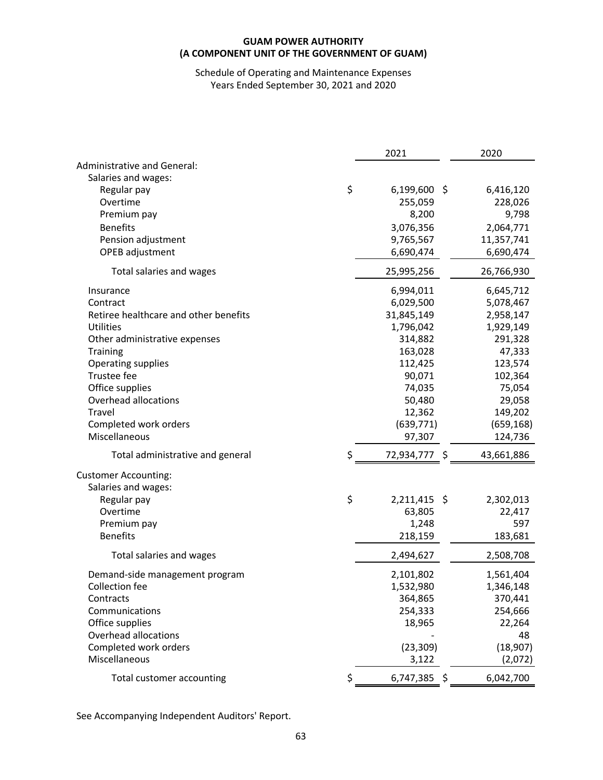# Schedule of Operating and Maintenance Expenses Years Ended September 30, 2021 and 2020

|                                       | 2021                 | 2020       |
|---------------------------------------|----------------------|------------|
| <b>Administrative and General:</b>    |                      |            |
| Salaries and wages:                   |                      |            |
| Regular pay                           | \$<br>$6,199,600$ \$ | 6,416,120  |
| Overtime                              | 255,059              | 228,026    |
| Premium pay                           | 8,200                | 9,798      |
| <b>Benefits</b>                       | 3,076,356            | 2,064,771  |
| Pension adjustment                    | 9,765,567            | 11,357,741 |
| OPEB adjustment                       | 6,690,474            | 6,690,474  |
| Total salaries and wages              | 25,995,256           | 26,766,930 |
| Insurance                             | 6,994,011            | 6,645,712  |
| Contract                              | 6,029,500            | 5,078,467  |
| Retiree healthcare and other benefits | 31,845,149           | 2,958,147  |
| <b>Utilities</b>                      | 1,796,042            | 1,929,149  |
| Other administrative expenses         | 314,882              | 291,328    |
| Training                              | 163,028              | 47,333     |
| Operating supplies                    | 112,425              | 123,574    |
| Trustee fee                           | 90,071               | 102,364    |
| Office supplies                       | 74,035               | 75,054     |
| Overhead allocations                  | 50,480               | 29,058     |
| Travel                                | 12,362               | 149,202    |
| Completed work orders                 | (639, 771)           | (659, 168) |
| Miscellaneous                         | 97,307               | 124,736    |
| Total administrative and general      | \$<br>72,934,777 \$  | 43,661,886 |
| <b>Customer Accounting:</b>           |                      |            |
| Salaries and wages:                   |                      |            |
| Regular pay                           | \$<br>2,211,415 \$   | 2,302,013  |
| Overtime                              | 63,805               | 22,417     |
| Premium pay                           | 1,248                | 597        |
| <b>Benefits</b>                       | 218,159              | 183,681    |
| Total salaries and wages              | 2,494,627            | 2,508,708  |
| Demand-side management program        | 2,101,802            | 1,561,404  |
| Collection fee                        | 1,532,980            | 1,346,148  |
| Contracts                             | 364,865              | 370,441    |
| Communications                        | 254,333              | 254,666    |
| Office supplies                       | 18,965               | 22,264     |
| Overhead allocations                  |                      | 48         |
| Completed work orders                 | (23, 309)            | (18, 907)  |
| Miscellaneous                         | 3,122                | (2,072)    |
| Total customer accounting             | \$<br>6,747,385 \$   | 6,042,700  |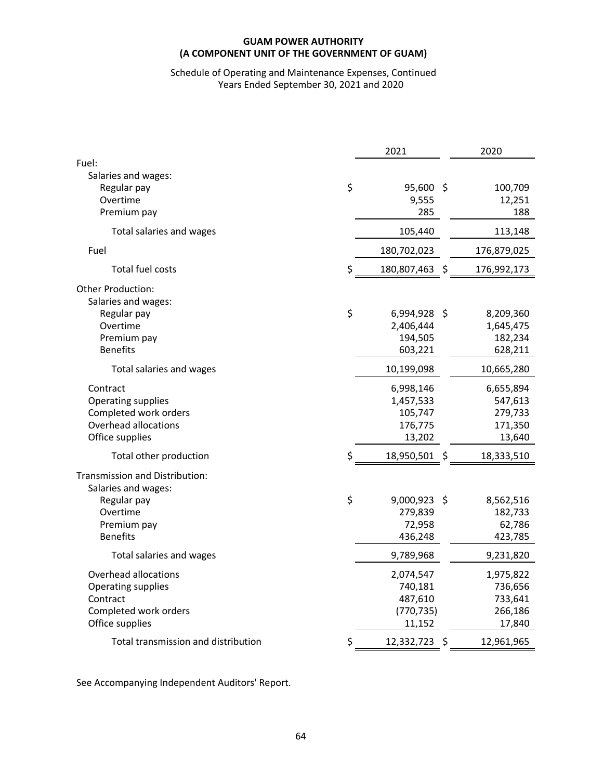# Schedule of Operating and Maintenance Expenses, Continued Years Ended September 30, 2021 and 2020

|                                                                                                                    | 2021 |                                                         |    | 2020                                                 |  |
|--------------------------------------------------------------------------------------------------------------------|------|---------------------------------------------------------|----|------------------------------------------------------|--|
| Fuel:<br>Salaries and wages:<br>Regular pay<br>Overtime<br>Premium pay                                             | \$   | $95,600$ \$<br>9,555<br>285                             |    | 100,709<br>12,251<br>188                             |  |
| Total salaries and wages                                                                                           |      | 105,440                                                 |    | 113,148                                              |  |
| Fuel                                                                                                               |      | 180,702,023                                             |    | 176,879,025                                          |  |
| Total fuel costs                                                                                                   | \$   | 180,807,463                                             | \$ | 176,992,173                                          |  |
| Other Production:<br>Salaries and wages:<br>Regular pay<br>Overtime<br>Premium pay<br><b>Benefits</b>              | \$   | 6,994,928 \$<br>2,406,444<br>194,505<br>603,221         |    | 8,209,360<br>1,645,475<br>182,234<br>628,211         |  |
| Total salaries and wages                                                                                           |      | 10,199,098                                              |    | 10,665,280                                           |  |
| Contract<br>Operating supplies<br>Completed work orders<br>Overhead allocations<br>Office supplies                 |      | 6,998,146<br>1,457,533<br>105,747<br>176,775<br>13,202  |    | 6,655,894<br>547,613<br>279,733<br>171,350<br>13,640 |  |
| Total other production                                                                                             | \$   | 18,950,501 \$                                           |    | 18,333,510                                           |  |
| Transmission and Distribution:<br>Salaries and wages:<br>Regular pay<br>Overtime<br>Premium pay<br><b>Benefits</b> | \$   | $9,000,923$ \$<br>279,839<br>72,958<br>436,248          |    | 8,562,516<br>182,733<br>62,786<br>423,785            |  |
| Total salaries and wages                                                                                           |      | 9,789,968                                               |    | 9,231,820                                            |  |
| Overhead allocations<br>Operating supplies<br>Contract<br>Completed work orders<br>Office supplies                 |      | 2,074,547<br>740,181<br>487,610<br>(770, 735)<br>11,152 |    | 1,975,822<br>736,656<br>733,641<br>266,186<br>17,840 |  |
| Total transmission and distribution                                                                                | \$   | 12,332,723                                              | \$ | 12,961,965                                           |  |